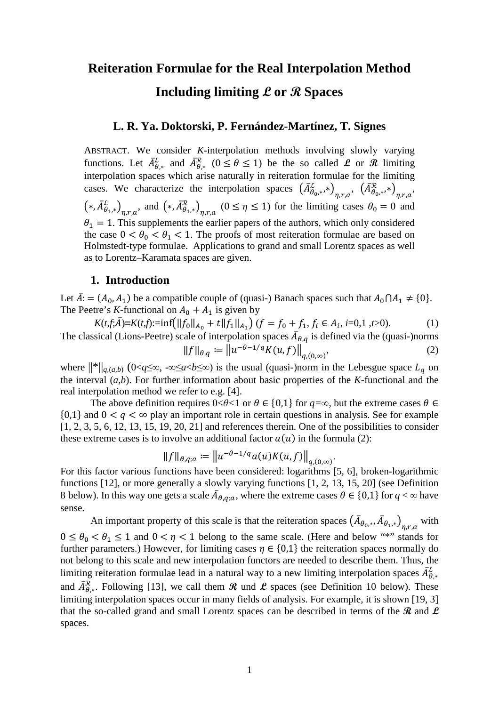# **Reiteration Formulae for the Real Interpolation Method Including limiting L or R Spaces**

## **L. R. Ya. Doktorski, P. Fernández-Martínez, T. Signes**

ABSTRACT. We consider *K*-interpolation methods involving slowly varying functions. Let  $A_{\theta,*}^{\perp}$  and  $A_{\theta,*}^{\mathcal{R}}$  ( $0 \le \theta \le 1$ ) be the so called **L** or **R** limiting interpolation spaces which arise naturally in reiteration formulae for the limiting cases. We characterize the interpolation spaces  $(A_{\theta_0,*}^{\mathcal{L}}, *')_{\eta,r,a}, (A_{\theta_0,*}^{\mathcal{R}}, *')_{\eta,r,a},$  $(*, A_{\theta_1,*}^{\perp})_{\eta,r,a}$ , and  $(*, A_{\theta_1,*}^{\perp})_{\eta,r,a}$   $(0 \leq \eta \leq 1)$  for the limiting cases  $\theta_0 = 0$  and  $\theta_1 = 1$ . This supplements the earlier papers of the authors, which only considered the case  $0 < \theta_0 < \theta_1 < 1$ . The proofs of most reiteration formulae are based on Holmstedt-type formulae. Applications to grand and small Lorentz spaces as well as to Lorentz–Karamata spaces are given.

#### **1. Introduction**

Let  $\bar{A}$ : =  $(A_0, A_1)$  be a compatible couple of (quasi-) Banach spaces such that  $A_0 \cap A_1 \neq \{0\}$ . The Peetre's *K*-functional on  $A_0 + A_1$  is given by

 $K(t, \bar{f}, \bar{A}) \equiv K(t, f) := \inf \left( \left\| f_0 \right\|_{A_0} + t \left\| f_1 \right\|_{A_1} \right) (f = f_0 + f_1, f_i \in A_i, i = 0, 1, t > 0).$  (1) The classical (Lions-Peetre) scale of interpolation spaces  $A_{\theta,q}$  is defined via the (quasi-)norms  $||f||_{\theta,q} := ||u^{-\theta-1/q}K(u,f)||_{a,(0,\infty)}^{\theta}$  $,$  (2)

where  $\|\cdot\|_{q,(a,b)}$  (0<*q*≤∞, -∞≤*a*<*b*≤∞) is the usual (quasi-)norm in the Lebesgue space  $L_q$  on the interval (*a,b*). For further information about basic properties of the *K*-functional and the real interpolation method we refer to e.g. [\[4\]](#page-46-0).

The above definition requires  $0 < \theta < 1$  or  $\theta \in \{0,1\}$  for  $q = \infty$ , but the extreme cases  $\theta \in$  ${0,1}$  and  $0 < q < \infty$  play an important role in certain questions in analysis. See for example [\[1,](#page-46-1) [2,](#page-46-2) [3,](#page-46-3) [5,](#page-46-4) [6,](#page-46-5) [12,](#page-46-6) [13,](#page-46-7) [15,](#page-47-0) [19,](#page-47-1) [20,](#page-47-2) [21\]](#page-47-3) and references therein. One of the possibilities to consider these extreme cases is to involve an additional factor  $a(u)$  in the formula (2):

$$
||f||_{\theta,q;a} := ||u^{-\theta-1/q}a(u)K(u,f)||_{q,(0,\infty)}.
$$

For this factor various functions have been considered: logarithms [\[5,](#page-46-4) [6\]](#page-46-5), broken-logarithmic functions [\[12\]](#page-46-6), or more generally a slowly varying functions [\[1,](#page-46-1) [2,](#page-46-2) [13,](#page-46-7) [15,](#page-47-0) [20\]](#page-47-2) (see [Definition](#page-4-0)  [8](#page-4-0) below). In this way one gets a scale  $A_{\theta,q;a}$ , where the extreme cases  $\theta \in \{0,1\}$  for  $q < \infty$  have sense.

An important property of this scale is that the reiteration spaces  $(A_{\theta_0,*}, A_{\theta_1,*})_{\eta,r,a}$  with  $0 \le \theta_0 < \theta_1 \le 1$  and  $0 < \eta < 1$  belong to the same scale. (Here and below "\*" stands for further parameters.) However, for limiting cases  $\eta \in \{0,1\}$  the reiteration spaces normally do not belong to this scale and new interpolation functors are needed to describe them. Thus, the limiting reiteration formulae lead in a natural way to a new limiting interpolation spaces  $\bar{A}_{\theta,*}^L$ and  $\bar{A}_{\theta,*}^R$ . Following [\[13\]](#page-46-7), we call them  $\mathcal R$  und  $\mathcal L$  spaces (see [Definition 10](#page-5-0) below). These limiting interpolation spaces occur in many fields of analysis. For example, it is shown [\[19,](#page-47-1) [3\]](#page-46-3) that the so-called grand and small Lorentz spaces can be described in terms of the **R** and **L** spaces.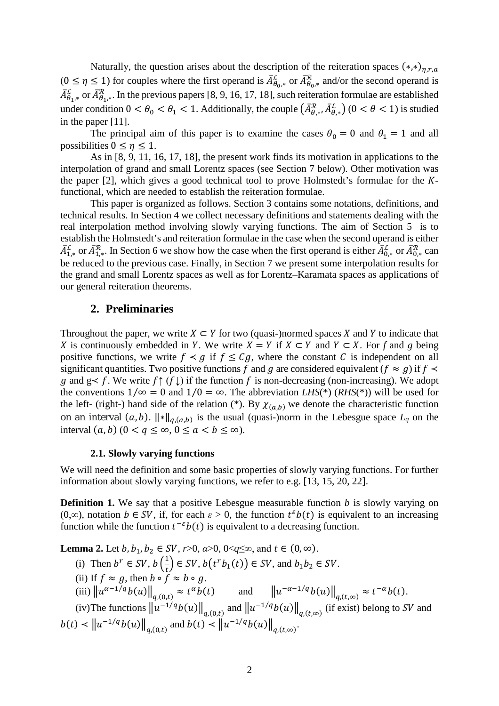Naturally, the question arises about the description of the reiteration spaces  $(*,*)_{\eta,r,a}$  $(0 \le \eta \le 1)$  for couples where the first operand is  $A_{\theta_{0},*}^{\mathcal{K}}$  or  $A_{\theta_{0},*}^{\mathcal{K}}$  and/or the second operand is  $A_{\theta_{1},*}^{\mathcal{H}}$  or  $A_{\theta_{1},*}^{\mathcal{H}}$ . In the previous papers [\[8,](#page-46-8) [9,](#page-46-9) [16,](#page-47-4) [17,](#page-47-5) [18\]](#page-47-6), such reiteration formulae are established under condition  $0 < \theta_0 < \theta_1 < 1$ . Additionally, the couple  $(A_{\theta,*}^{\mathcal{R}}, A_{\theta,*}^{\mathcal{L}})$   $(0 < \theta < 1)$  is studied in the paper [\[11\]](#page-46-10).

The principal aim of this paper is to examine the cases  $\theta_0 = 0$  and  $\theta_1 = 1$  and all possibilities  $0 \leq \eta \leq 1$ .

As in [\[8,](#page-46-8) [9,](#page-46-9) [11,](#page-46-10) [16,](#page-47-4) [17,](#page-47-5) [18\]](#page-47-6), the present work finds its motivation in applications to the interpolation of grand and small Lorentz spaces (see Section [7](#page-41-0) below). Other motivation was the paper  $[2]$ , which gives a good technical tool to prove Holmstedt's formulae for the  $K$ functional, which are needed to establish the reiteration formulae.

This paper is organized as follows. Section [3](#page-1-0) contains some notations, definitions, and technical results. In Section [4](#page-4-1) we collect necessary definitions and statements dealing with the real interpolation method involving slowly varying functions. The aim of Section [5](#page-11-0) is to establish the Holmstedt's and reiteration formulae in the case when the second operand is either  $A_{1,*}^L$  or  $A_{1,*}^R$ . In Section [6](#page-41-1) we show how the case when the first operand is either  $A_{0,*}^L$  or  $A_{0,*}^R$  can be reduced to the previous case. Finally, in Section [7](#page-41-0) we present some interpolation results for the grand and small Lorentz spaces as well as for Lorentz–Karamata spaces as applications of our general reiteration theorems.

## <span id="page-1-0"></span>**2. Preliminaries**

Throughout the paper, we write  $X \subset Y$  for two (quasi-)normed spaces X and Y to indicate that *X* is continuously embedded in *Y*. We write  $X = Y$  if  $X \subset Y$  and  $Y \subset X$ . For *f* and *g* being positive functions, we write  $f \prec g$  if  $f \leq Cg$ , where the constant C is independent on all significant quantities. Two positive functions f and g are considered equivalent ( $f \approx g$ ) if  $f \prec$ g and  $g \lt f$ . We write  $f \uparrow (f \downarrow)$  if the function f is non-decreasing (non-increasing). We adopt the conventions  $1/\infty = 0$  and  $1/0 = \infty$ . The abbreviation *LHS*(\*) (*RHS*(\*)) will be used for the left- (right-) hand side of the relation (\*). By  $\chi_{(a,b)}$  we denote the characteristic function on an interval  $(a, b)$ .  $\|\ast\|_{q,(a,b)}$  is the usual (quasi-)norm in the Lebesgue space  $L_q$  on the interval  $(a, b)$   $(0 < q \le \infty, 0 \le a < b \le \infty)$ .

#### **2.1. Slowly varying functions**

We will need the definition and some basic properties of slowly varying functions. For further information about slowly varying functions, we refer to e.g. [\[13,](#page-46-7) [15,](#page-47-0) [20,](#page-47-2) [22\]](#page-47-7).

**Definition 1.** We say that a positive Lebesgue measurable function *b* is slowly varying on (0,∞), notation  $b \in SV$ , if, for each  $\varepsilon > 0$ , the function  $t^{\varepsilon}b(t)$  is equivalent to an increasing function while the function  $t^{-\varepsilon}b(t)$  is equivalent to a decreasing function.

<span id="page-1-1"></span>**Lemma 2.** Let  $b, b_1, b_2 \in SV$ ,  $r > 0$ ,  $a > 0$ ,  $0 < q \le \infty$ , and  $t \in (0, \infty)$ .

- (i) Then  $b^r \in SV$ ,  $b\left(\frac{1}{t}\right)$  $\frac{1}{t}$   $\in$  SV,  $b(t^rb_1(t)) \in SV$ , and  $b_1b_2 \in SV$ .
- (ii) If  $f \approx g$ , then  $b \circ f \approx b \circ g$ .
- (iii)  $||u^{\alpha-1/q}b(u)||_{q,(0,t)} \approx t^{\alpha}b(t)$  and  $||u^{-\alpha-1/q}b(u)||_{q,(t,\infty)} \approx t^{-\alpha}b(t).$

(iv)The functions  $\|u^{-1/q}b(u)\|_{q,(0,t)}$  and  $\|u^{-1/q}b(u)\|_{q,(t,\infty)}$  (if exist) belong to SV and  $|b(t) \times ||u^{-1/q}b(u)||_{q,(0,t)}$  and  $|b(t) \times ||u^{-1/q}b(u)||_{q,(t,\infty)}$ .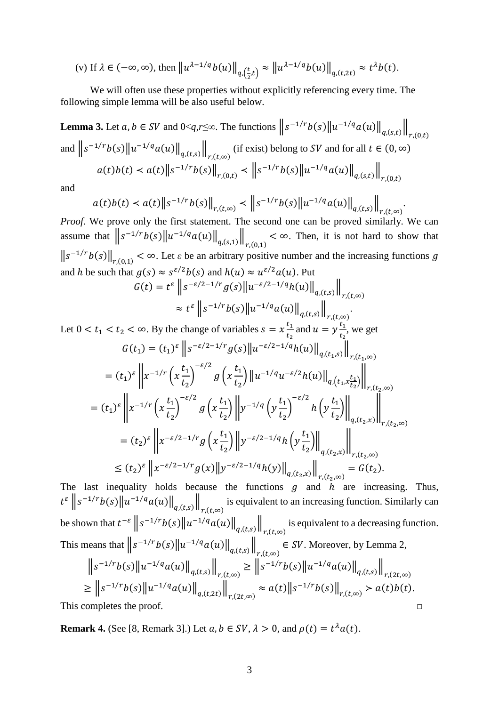(v) If 
$$
\lambda \in (-\infty, \infty)
$$
, then  $\left\| u^{\lambda - 1/q} b(u) \right\|_{q, \left(\frac{t}{2}, t\right)} \approx \left\| u^{\lambda - 1/q} b(u) \right\|_{q, (t, 2t)} \approx t^{\lambda} b(t)$ .

We will often use these properties without explicitly referencing every time. The following simple lemma will be also useful below.

<span id="page-2-1"></span>**Lemma 3.** Let  $a, b \in SV$  and  $0 < q, r \leq \infty$ . The functions  $||s^{-1/r}b(s)||u^{-1/q}a(u)||_{q,(s,t)}||_{r,(0,t)}$ and  $||s^{-1/r}b(s)||u^{-1/q}a(u)||_{q,(t,s)}||_{r,(t,\infty)}$  (if exist) belong to SV and for all  $t \in (0,\infty)$  $a(t)b(t) \prec a(t) \|s^{-1/r}b(s)\|_{r,(0,t)} \prec \|s^{-1/r}b(s)\|u^{-1/q}a(u)\|_{q,(s,t)}\|_{r,(0,t)}$ 

and

$$
a(t)b(t) < a(t) \|s^{-1/r}b(s)\|_{r,(t,\infty)} < \|s^{-1/r}b(s)\|u^{-1/q}a(u)\|_{q,(t,s)}\|_{r,(t,\infty)}.
$$

Proof. We prove only the first statement. The second one can be proved similarly. We can assume that  $||s^{-1/r}b(s)||u^{-1/q}a(u)||_{q,(s,1)}||_{r,(0,1)} < \infty$ . Then, it is not hard to show that  $\|s^{-1/r}b(s)\|_{r,(0,1)} < \infty$ . Let  $\varepsilon$  be an arbitrary positive number and the increasing functions g and h be such that  $g(s) \approx s^{\varepsilon/2} b(s)$  and  $h(u) \approx u^{\varepsilon/2} a(u)$ . Put

$$
G(t) = t^{\varepsilon} \left\| s^{-\varepsilon/2 - 1/r} g(s) \left\| u^{-\varepsilon/2 - 1/q} h(u) \right\|_{q,(t,s)} \right\|_{r,(t,\infty)}
$$

$$
\approx t^{\varepsilon} \left\| s^{-1/r} b(s) \left\| u^{-1/q} a(u) \right\|_{q,(t,s)} \right\|_{r,(t,\infty)}
$$

Let 
$$
0 < t_1 < t_2 < \infty
$$
. By the change of variables  $s = x \frac{t_1}{t_2}$  and  $u = y \frac{t_1}{t_2}$ , we get  
\n
$$
G(t_1) = (t_1)^{\varepsilon} \left\| s^{-\varepsilon/2 - 1/r} g(s) \right\| u^{-\varepsilon/2 - 1/q} h(u) \left\|_{q,(t_1,s)} \right\|_{r,(t_1,\infty)}
$$
\n
$$
= (t_1)^{\varepsilon} \left\| x^{-1/r} \left( x \frac{t_1}{t_2} \right)^{-\varepsilon/2} g\left( x \frac{t_1}{t_2} \right) \left\| u^{-1/q} u^{-\varepsilon/2} h(u) \right\|_{q,(t_1,x\frac{t_1}{t_2})} \right\|_{r,(t_2,\infty)}
$$
\n
$$
= (t_1)^{\varepsilon} \left\| x^{-1/r} \left( x \frac{t_1}{t_2} \right)^{-\varepsilon/2} g\left( x \frac{t_1}{t_2} \right) \left\| y^{-1/q} \left( y \frac{t_1}{t_2} \right)^{-\varepsilon/2} h\left( y \frac{t_1}{t_2} \right) \right\|_{q,(t_2,x)} \right\|_{r,(t_2,\infty)}
$$
\n
$$
= (t_2)^{\varepsilon} \left\| x^{-\varepsilon/2 - 1/r} g\left( x \frac{t_1}{t_2} \right) \left\| y^{-\varepsilon/2 - 1/q} h\left( y \frac{t_1}{t_2} \right) \right\|_{q,(t_2,x)} \right\|_{r,(t_2,\infty)}
$$
\n
$$
\leq (t_2)^{\varepsilon} \left\| x^{-\varepsilon/2 - 1/r} g(x) \left\| y^{-\varepsilon/2 - 1/q} h(y) \right\|_{q,(t_2,x)} \right\|_{r,(t_2,\infty)} = G(t_2).
$$

The last inequality holds because the functions  $g$  and  $h$  are increasing. Thus,  $t^{\varepsilon}$   $||s^{-1/r}b(s)||u^{-1/q}a(u)||_{q,(t,s)}||_{r,(t,\infty)}$  is equivalent to an increasing function. Similarly can be shown that  $t^{-\varepsilon}$   $||s^{-1/r}b(s)||u^{-1/q}a(u)||_{q,(t,s)}||_{r,(t,\infty)}$  is equivalent to a decreasing function. This means that  $||s^{-1/r}b(s)||u^{-1/q}a(u)||_{q,(t,s)}||_{r,(t,\infty)} \in SV$ . Moreover, by Lemma 2,  $||s^{-1/r}b(s)||u^{-1/q}a(u)||_{q,(t,s)}||_{r,(t,\infty)} \ge ||s^{-1/r}b(s)||u^{-1/q}a(u)||_{q,(t,s)}||_{r,(2t,\infty)}$  $\geq \left\|s^{-1/r}b(s)\right\|u^{-1/q}a(u)\right\|_{q,(t,2t)}\left\|_\mathit{r.(2t,\infty)}\approx a(t)\left\|s^{-1/r}b(s)\right\|_{r,(t,\infty)}\succ a(t)b(t).$  $\Box$ 

<span id="page-2-0"></span>This completes the proof.

**Remark 4.** (See [8, Remark 3].) Let  $a, b \in SV$ ,  $\lambda > 0$ , and  $\rho(t) = t^{\lambda} a(t)$ .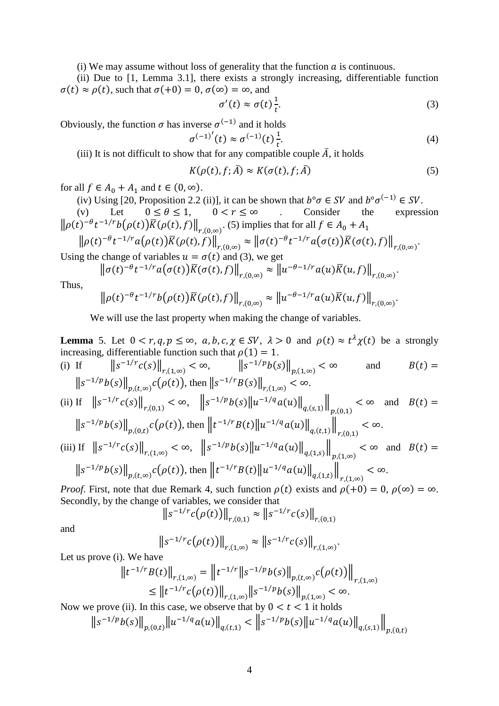(i) We may assume without loss of generality that the function  $a$  is continuous.

(ii) Due to [\[1,](#page-46-1) Lemma 3.1], there exists a strongly increasing, differentiable function  $\sigma(t) \approx \rho(t)$ , such that  $\sigma(+0) = 0$ ,  $\sigma(\infty) = \infty$ , and

$$
\sigma'(t) \approx \sigma(t)\frac{1}{t}.\tag{3}
$$

Obviously, the function  $\sigma$  has inverse  $\sigma^{(-1)}$  and it holds

$$
\sigma^{(-1)'}(t) \approx \sigma^{(-1)}(t) \frac{1}{t}.
$$
 (4)

(iii) It is not difficult to show that for any compatible couple  $\overline{A}$ , it holds

$$
K(\rho(t), f; \bar{A}) \approx K(\sigma(t), f; \bar{A})
$$
\n<sup>(5)</sup>

for all  $f \in A_0 + A_1$  and  $t \in (0, \infty)$ .

(iv) Using [\[20,](#page-47-2) Proposition 2.2 (ii)], it can be shown that  $b^{\circ}\sigma \in SV$  and  $b^{\circ}\sigma^{(-1)} \in SV$ .<br>
(v) Let  $0 \le \theta \le 1$ ,  $0 < r \le \infty$  Consider the expression

(v) Let  $0 \le \theta \le 1$ ,  $0 < r \le \infty$  . Consider the expression  $\left\|\rho(t)^{-\theta}t^{-1/r}b(\rho(t))K(\rho(t),f)\right\|_{r,(0,\infty)}$ . (5) implies that for all  $f \in A_0 + A_1$ 

$$
\|\rho(t)^{-\theta}t^{-1/r}a(\rho(t))\overline{K}(\rho(t),f)\|_{r,(0,\infty)} \approx \|\sigma(t)^{-\theta}t^{-1/r}a(\sigma(t))\overline{K}(\sigma(t),f)\|_{r,(0,\infty)}.
$$

Using the change of variables  $u = \sigma(t)$  and (3), we get

$$
\left\|\sigma(t)^{-\theta}t^{-1/r}a\big(\sigma(t)\big)\overline{K}(\sigma(t),f)\right\|_{r,(0,\infty)}\approx \left\|u^{-\theta-1/r}a(u)\overline{K}(u,f)\right\|_{r,(0,\infty)}.
$$

Thus,

$$
\left\|\rho(t)^{-\theta}t^{-1/r}b\big(\rho(t)\big)\overline{K}(\rho(t),f)\right\|_{r,(0,\infty)}\approx\left\|u^{-\theta-1/r}a(u)\overline{K}(u,f)\right\|_{r,(0,\infty)}.
$$

We will use the last property when making the change of variables.

<span id="page-3-0"></span>**Lemma** 5. Let  $0 < r, q, p \le \infty$ ,  $a, b, c, \chi \in SV$ ,  $\lambda > 0$  and  $\rho(t) \approx t^{\lambda} \chi(t)$  be a strongly increasing, differentiable function such that  $\rho(1) = 1$ .

(i) If 
$$
||s^{-1/r}c(s)||_{r,(1,\infty)} < \infty
$$
,  $||s^{-1/p}b(s)||_{p,(1,\infty)} < \infty$  and  $B(t) =$   
 $||s^{-1/p}b(s)||_{p,(t,\infty)}c(\rho(t))$ , then  $||s^{-1/r}B(s)||_{r,(1,\infty)} < \infty$ .

(ii) If 
$$
||s^{-1/r}c(s)||_{r,(0,1)} < \infty
$$
,  $||s^{-1/p}b(s)||u^{-1/q}a(u)||_{q,(s,1)}||_{p,(0,1)} < \infty$  and  $B(t) =$ 

$$
\|s^{-1/p}b(s)\|_{p,(0,t)}c(\rho(t)), \text{ then } \|t^{-1/r}B(t)\|u^{-1/q}a(u)\|_{q,(t,1)}\|_{r,(0,1)} < \infty.
$$
  
(iii) If  $\|s^{-1/r}c(s)\|_{r,(1,\infty)} < \infty$ ,  $\|s^{-1/p}b(s)\|u^{-1/q}a(u)\|_{q,(1,s)}\|_{p,(1,\infty)} < \infty$  and  $B(t) =$   
 $\|s^{-1/p}b(s)\|_{p,(t,\infty)}c(\rho(t))$ , then  $\|t^{-1/r}B(t)\|u^{-1/q}a(u)\|_{q,(1,t)}\|_{r,(1,\infty)} < \infty$ .

*Proof.* First, note that due [Remark 4,](#page-2-0) such function  $\rho(t)$  exists and  $\rho(+0) = 0$ ,  $\rho(\infty) = \infty$ . Secondly, by the change of variables, we consider that

$$
\left\|s^{-1/r}c(\rho(t))\right\|_{r,(0,1)} \approx \left\|s^{-1/r}c(s)\right\|_{r,(0,1)}
$$

and

$$
\|s^{-1/r}c(\rho(t))\|_{r,(1,\infty)} \approx \|s^{-1/r}c(s)\|_{r,(1,\infty)}
$$

.

Let us prove (i). We have

$$
||t^{-1/r}B(t)||_{r,(1,\infty)} = ||t^{-1/r}||s^{-1/p}b(s)||_{p,(t,\infty)}c(\rho(t))||_{r,(1,\infty)}
$$
  
\n
$$
\leq ||t^{-1/r}c(\rho(t))||_{r,(1,\infty)}||s^{-1/p}b(s)||_{p,(1,\infty)} < \infty.
$$

Now we prove (ii). In this case, we observe that by  $0 < t < 1$  it holds

$$
\|s^{-1/p}b(s)\|_{p,(0,t)}\|u^{-1/q}a(u)\|_{q,(t,1)} < \left\|s^{-1/p}b(s)\|u^{-1/q}a(u)\right\|_{q,(s,1)}\right\|_{p,(0,t)}
$$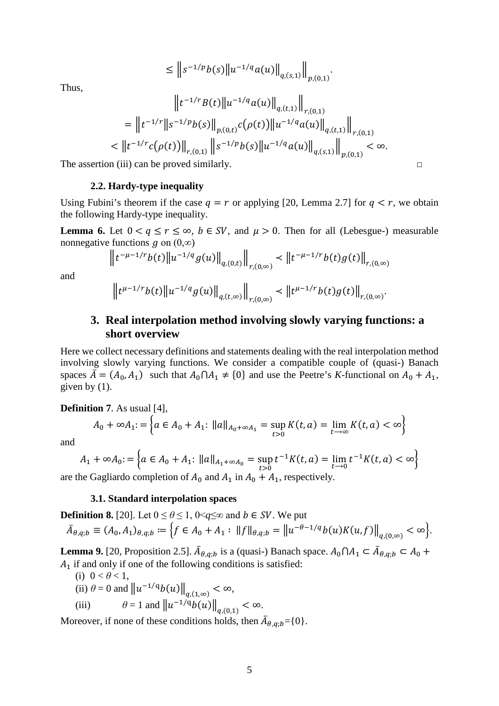$$
\leq \left\| s^{-1/p} b(s) \left\| u^{-1/q} a(u) \right\|_{q,(s,1)} \right\|_{p,(0,1)}
$$

Thus,

$$
\|t^{-1/r}B(t)\|u^{-1/q}a(u)\|_{q,(t,1)}\|_{r,(0,1)}
$$
\n
$$
= \|t^{-1/r}\|s^{-1/p}b(s)\|_{p,(0,t)}c(\rho(t))\|u^{-1/q}a(u)\|_{q,(t,1)}\|_{r,(0,1)}
$$
\n
$$
< \|t^{-1/r}c(\rho(t))\|_{r,(0,1)}\|s^{-1/p}b(s)\|u^{-1/q}a(u)\|_{q,(s,1)}\|_{p,(0,1)} < \infty.
$$
\n1. (iii) can be proved similarly.

.

The assertion (iii) can be proved similarly.  $\Box$ 

#### **2.2. Hardy-type inequality**

Using Fubini's theorem if the case  $q = r$  or applying [\[20,](#page-47-2) Lemma 2.7] for  $q < r$ , we obtain the following Hardy-type inequality.

<span id="page-4-3"></span>**Lemma 6.** Let  $0 < q \le r \le \infty$ ,  $b \in SV$ , and  $\mu > 0$ . Then for all (Lebesgue-) measurable nonnegative functions  $q$  on  $(0, \infty)$ 

$$
\left\|t^{-\mu-1/r}b(t)\right\|u^{-1/q}g(u)\right\|_{q,(0,t)}\left\|_{r,(0,\infty)}\right\|_{r,(0,\infty)}\left\|t^{-\mu-1/r}b(t)g(t)\right\|_{r,(0,\infty)}
$$

<span id="page-4-1"></span>and

$$
\left\|t^{\mu-1/r}b(t)\right\|u^{-1/q}g(u)\right\|_{q,(t,\infty)}\left\|t^{\mu-1/r}b(t)g(t)\right\|_{r,(0,\infty)}.
$$

# **3. Real interpolation method involving slowly varying functions: a short overview**

Here we collect necessary definitions and statements dealing with the real interpolation method involving slowly varying functions. We consider a compatible couple of (quasi-) Banach spaces  $\overline{A} = (A_0, A_1)$  such that  $A_0 \cap A_1 \neq \{0\}$  and use the Peetre's *K*-functional on  $A_0 + A_1$ , given by  $(1)$ .

<span id="page-4-2"></span>**Definition 7**. As usual [\[4\]](#page-46-0),

$$
A_0 + \infty A_1 = \left\{ a \in A_0 + A_1 : ||a||_{A_0 + \infty A_1} = \sup_{t > 0} K(t, a) = \lim_{t \to \infty} K(t, a) < \infty \right\}
$$

and

$$
A_1 + \infty A_0 = \left\{ a \in A_0 + A_1 : ||a||_{A_1 + \infty A_0} = \sup_{t > 0} t^{-1} K(t, a) = \lim_{t \to 0} t^{-1} K(t, a) < \infty \right\}
$$

are the Gagliardo completion of  $A_0$  and  $A_1$  in  $A_0 + A_1$ , respectively.

#### **3.1. Standard interpolation spaces**

<span id="page-4-0"></span>**Definition 8.** [\[20\]](#page-47-2). Let  $0 \le \theta \le 1$ ,  $0 \le q \le \infty$  and  $b \in SV$ . We put

$$
\bar{A}_{\theta,q;b} \equiv (A_0, A_1)_{\theta,q;b} := \Big\{ f \in A_0 + A_1 : ||f||_{\theta,q;b} = ||u^{-\theta-1/q}b(u)K(u,f)||_{q,(0,\infty)} < \infty \Big\}.
$$

**Lemma 9.** [\[20,](#page-47-2) Proposition 2.5].  $A_{\theta,q;b}$  is a (quasi-) Banach space.  $A_0 \cap A_1 \subset A_{\theta,q;b} \subset A_0 +$  $A<sub>1</sub>$  if and only if one of the following conditions is satisfied:

(i)  $0 < \theta < 1$ ,

(ii)  $\theta = 0$  and  $\|u^{-1/q}b(u)\|_{a,(1,\infty)} < \infty$ ,

(iii) 
$$
\theta = 1
$$
 and  $||u^{-1/q}b(u)||_{q,(0,1)} < \infty$ 

Moreover, if none of these conditions holds, then  $A_{\theta,q;b} = \{0\}$ .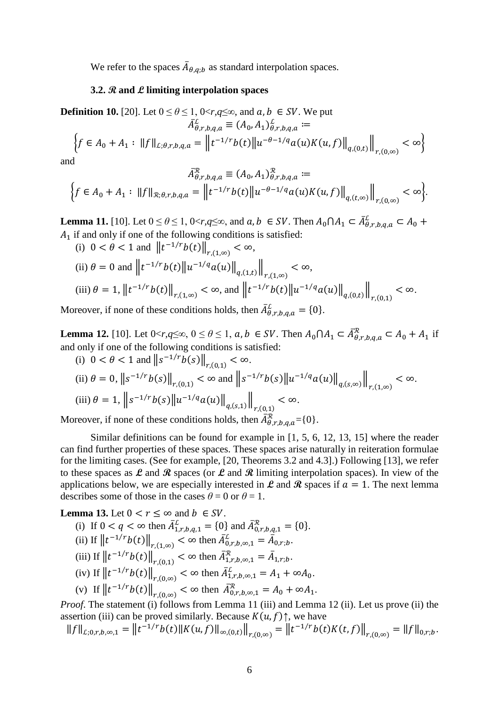We refer to the spaces  $A_{\theta,q;b}$  as standard interpolation spaces.

#### **3.2. R and L limiting interpolation spaces**

<span id="page-5-0"></span>**Definition 10.** [\[20\]](#page-47-2). Let  $0 \le \theta \le 1$ ,  $0 \lt r, q \le \infty$ , and  $a, b \in SV$ . We put

$$
A_{\theta,r,b,q,a}^{\perp} \equiv (A_0, A_1)_{\theta,r,b,q,a}^{\perp} :=
$$
  

$$
\left\{ f \in A_0 + A_1 : ||f||_{\mathcal{L};\theta,r,b,q,a} = ||t^{-1/r}b(t)||u^{-\theta-1/q}a(u)K(u,f)||_{q,(0,t)}||_{r,(0,\infty)} < \infty \right\}
$$

and

$$
A_{\theta,r,b,q,a}^{\mathcal{X}} \equiv (A_0, A_1)_{\theta,r,b,q,a}^{\mathcal{X}} :=
$$
  

$$
\Big\{ f \in A_0 + A_1 : ||f||_{\mathcal{R};\theta,r,b,q,a} = ||t^{-1/r}b(t)||u^{-\theta-1/q}a(u)K(u,f)||_{q,(t,\infty)}||_{r,(0,\infty)} < \infty \Big\}.
$$

<span id="page-5-1"></span>**Lemma 11.** [\[10\]](#page-46-11). Let  $0 \le \theta \le 1$ ,  $0 \le r, q \le \infty$ , and  $a, b \in SV$ . Then  $A_0 \cap A_1 \subset A_{\theta, r, b, q, a}^L \subset A_0 +$  $A_1$  if and only if one of the following conditions is satisfied:

(i) 
$$
0 < \theta < 1
$$
 and  $||t^{-1/r}b(t)||_{r,(1,\infty)} < \infty$ ,  
\n(ii)  $\theta = 0$  and  $||t^{-1/r}b(t)||u^{-1/q}a(u)||_{q,(1,t)}||_{r,(1,\infty)} < \infty$ ,  
\n(iii)  $\theta = 1$ ,  $||t^{-1/r}b(t)||_{r,(1,\infty)} < \infty$ , and  $||t^{-1/r}b(t)||u^{-1/q}a(u)||_{q,(0,t)}||_{r,(0,1)} < \infty$ .

<span id="page-5-2"></span>Moreover, if none of these conditions holds, then  $A^{\mathcal{L}}_{\theta,r,b,q,a} = \{0\}.$ 

**Lemma 12.** [\[10\]](#page-46-11). Let  $0 < r, q \le \infty$ ,  $0 \le \theta \le 1$ ,  $a, b \in SV$ . Then  $A_0 \cap A_1 \subset \overline{A}_{\theta, r, b, q, a}^{\mathcal{R}} \subset A_0 + A_1$  if and only if one of the following conditions is satisfied:

(i) 
$$
0 < \theta < 1
$$
 and  $||s^{-1/r}b(s)||_{r,(0,1)} < \infty$ .  
\n(ii)  $\theta = 0$ ,  $||s^{-1/r}b(s)||_{r,(0,1)} < \infty$  and  $||s^{-1/r}b(s)||u^{-1/q}a(u)||_{q,(s,\infty)}||_{r,(1,\infty)} < \infty$ .  
\n(iii)  $\theta = 1$ ,  $||s^{-1/r}b(s)||u^{-1/q}a(u)||_{q,(s,1)}||_{r,(0,1)} < \infty$ .  
\nMoreover, if none of these conditions holds, then  $\overline{A}_{\theta,r,b,q,a}^R = \{0\}$ .

Similar definitions can be found for example in [\[1,](#page-46-1) [5,](#page-46-4) [6,](#page-46-5) [12,](#page-46-6) [13,](#page-46-7) [15\]](#page-47-0) where the reader can find further properties of these spaces. These spaces arise naturally in reiteration formulae for the limiting cases. (See for example, [\[20,](#page-47-2) Theorems 3.2 and 4.3].) Following [\[13\]](#page-46-7), we refer to these spaces as  $\mathcal L$  and  $\mathcal R$  spaces (or  $\mathcal L$  and  $\mathcal R$  limiting interpolation spaces). In view of the applications below, we are especially interested in  $\mathcal{L}$  and  $\mathcal{R}$  spaces if  $a = 1$ . The next lemma describes some of those in the cases  $\theta = 0$  or  $\theta = 1$ .

<span id="page-5-3"></span>**Lemma 13.** Let  $0 < r \leq \infty$  and  $b \in SV$ .

(i) If 
$$
0 < q < \infty
$$
 then  $\overline{A}_{1,r,b,q,1}^L = \{0\}$  and  $\overline{A}_{0,r,b,q,1}^R = \{0\}$ .  
\n(ii) If  $||t^{-1/r}b(t)||_{r,(1,\infty)} < \infty$  then  $\overline{A}_{0,r,b,\infty,1}^L = \overline{A}_{0,r,b}$ .  
\n(iii) If  $||t^{-1/r}b(t)||_{r,(0,1)} < \infty$  then  $\overline{A}_{1,r,b,\infty,1}^R = \overline{A}_{1,r,b}$ .  
\n(iv) If  $||t^{-1/r}b(t)||_{r,(0,\infty)} < \infty$  then  $\overline{A}_{1,r,b,\infty,1}^L = A_1 + \infty A_0$ .  
\n(v) If  $||t^{-1/r}b(t)||_{r,(0,\infty)} < \infty$  then  $\overline{A}_{0,r,b,\infty,1}^R = A_0 + \infty A_1$ .  
\n*Proof.* The statement (i) follows from Lemma 11 (iii) and Lemma 12 (ii). Let us prove

*Proof*. The statement (i) follows from [Lemma 11](#page-5-1) (iii) and [Lemma 12](#page-5-2) (ii). Let us prove (ii) the assertion (iii) can be proved similarly. Because  $K(u, f)$ <sup> $\uparrow$ </sup>, we have

$$
||f||_{L;0,r,b,\infty,1} = ||t^{-1/r}b(t)||K(u,f)||_{\infty,(0,t)}||_{r,(0,\infty)} = ||t^{-1/r}b(t)K(t,f)||_{r,(0,\infty)} = ||f||_{0,r,b}.
$$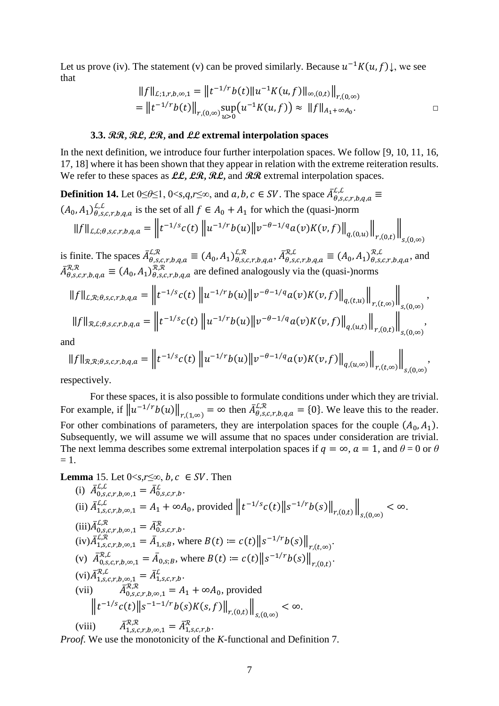Let us prove (iv). The statement (v) can be proved similarly. Because  $u^{-1}K(u, f)\downarrow$ , we see that

$$
||f||_{\mathcal{L};1,r,b,\infty,1} = ||t^{-1/r}b(t)||u^{-1}K(u,f)||_{\infty,(0,t)}||_{r,(0,\infty)}
$$
  
= 
$$
||t^{-1/r}b(t)||_{r,(0,\infty)} \sup_{u>0} (u^{-1}K(u,f)) \approx ||f||_{A_1+\infty A_0}.
$$

 $S,(0,\infty)$ 

#### **3.3. RR, RL, LR, and LL extremal interpolation spaces**

In the next definition, we introduce four further interpolation spaces. We follow [\[9,](#page-46-9) [10,](#page-46-11) [11,](#page-46-10) [16,](#page-47-4) [17,](#page-47-5) [18\]](#page-47-6) where it has been shown that they appear in relation with the extreme reiteration results. We refer to these spaces as  $LL$ ,  $LR$ ,  $RL$ , and  $RR$  extremal interpolation spaces.

**Definition 14.** Let  $0 \le \theta \le 1$ ,  $0 \le s, q, r \le \infty$ , and  $a, b, c \in SV$ . The space  $\overline{A}^{L,L}_{\theta,s,c,r,b,q,a} \equiv$  $(A_0, A_1)_{\theta,s,c,r,b,q,a}^{L,L}$  is the set of all  $f \in A_0 + A_1$  for which the (quasi-)norm  $||f||_{L,L;\theta,s,c,r,b,q,a} = ||t^{-1/s}c(t)||u^{-1/r}b(u)||v^{-\theta-1/q}a(v)K(v,f)||_{q,(0,u)}||_{r,(0,t)}||_{r,(0,t)}$ 

is finite. The spaces  $\bar{A}^{L,\mathcal{R}}_{\theta,s,c,r,b,q,a} \equiv (A_0, A_1)^{L,\mathcal{R}}_{\theta,s,c,r,b,q,a}, \bar{A}^{\mathcal{R},L}_{\theta,s,c,r,b,q,a} \equiv (A_0, A_1)^{\mathcal{R},L}_{\theta,s,c,r,b,q,a}$ , and  $\bar{A}_{\theta,s,c,r,b,q,a}^{\kappa,\kappa} \equiv (A_0, A_1)_{\theta,s,c,r,b,q,a}^{\kappa,\kappa}$  are defined analogously via the (quasi-)norms

$$
||f||_{\mathcal{L},\mathcal{R};\theta,s,c,r,b,q,a} = ||t^{-1/s}c(t)||u^{-1/r}b(u)||v^{-\theta-1/q}a(v)K(v,f)||_{q,(t,u)}||_{r,(t,\infty)}||_{s,(0,\infty)},
$$
  

$$
||f||_{\mathcal{R},\mathcal{L};\theta,s,c,r,b,q,a} = ||t^{-1/s}c(t)||u^{-1/r}b(u)||v^{-\theta-1/q}a(v)K(v,f)||_{q,(u,t)}||_{r,(0,t)}||_{s,(0,\infty)},
$$

and

$$
||f||_{\mathcal{R},\mathcal{R};\theta,s,c,r,b,q,a} = \left||t^{-1/s}c(t)||u^{-1/r}b(u)||v^{-\theta-1/q}a(v)K(v,f)||_{q,(u,\infty)}\right||_{r,(t,\infty)}\right||_{s,(0,\infty)},
$$

respectively.

For these spaces, it is also possible to formulate conditions under which they are trivial. For example, if  $||u^{-1/r}b(u)||_{r,(1,\infty)} = \infty$  then  $\bar{A}^{L,\mathcal{R}}_{\theta,s,c,r,b,q,a} = \{0\}$ . We leave this to the reader. For other combinations of parameters, they are interpolation spaces for the couple  $(A_0, A_1)$ . Subsequently, we will assume we will assume that no spaces under consideration are trivial. The next lemma describes some extremal interpolation spaces if  $q = \infty$ ,  $a = 1$ , and  $\theta = 0$  or  $\theta$  $= 1.$ 

# <span id="page-6-0"></span>**Lemma** 15. Let  $0 \le s, r \le \infty$ , b,  $c \in SV$ . Then

(i) 
$$
\bar{A}_{0,s,c,r,b,\infty,1}^{L,L}
$$
  
\n(ii)  $\bar{A}_{1,s,c,r,b,\infty,1}^{L,L} = A_1 + \infty A_0$ , provided  $||t^{-1/s}c(t)||s^{-1/r}b(s)||_{r,(0,t)}||_{s,(0,\infty)} < \infty$ .  
\n(iii)  $\bar{A}_{0,s,c,r,b,\infty,1}^{L,R} = \bar{A}_{0,s,c,r,b}^R$ .  
\n(iv)  $\bar{A}_{1,s,c,r,b,\infty,1}^{L,R} = \bar{A}_{1,s,B}^{L}$ , where  $B(t) := c(t)||s^{-1/r}b(s)||_{r,(t,\infty)}$ .  
\n(v)  $\bar{A}_{0,s,c,r,b,\infty,1}^{R,L} = \bar{A}_{0,s,B}^{L}$ , where  $B(t) := c(t)||s^{-1/r}b(s)||_{r,(0,t)}$ .  
\n(vi)  $\bar{A}_{1,s,c,r,b,\infty,1}^{R,L} = \bar{A}_{1,s,c,r,b}^{L}$ .  
\n(vii)  $\bar{A}_{0,s,c,r,b,\infty,1}^{R,R} = A_1 + \infty A_0$ , provided  $||t^{-1/s}c(t)||s^{-1-r}b(s)K(s,f)||_{r,(0,t)}||_{s,(0,\infty)} < \infty$ .  
\n(viii)  $\bar{A}_{1,s,c,r,b,\infty,1}^{R,R} = \bar{A}_{1,s,c,r,b}^{R}$ .

*Proof*. We use the monotonicity of the *K*-functional and [Definition 7.](#page-4-2)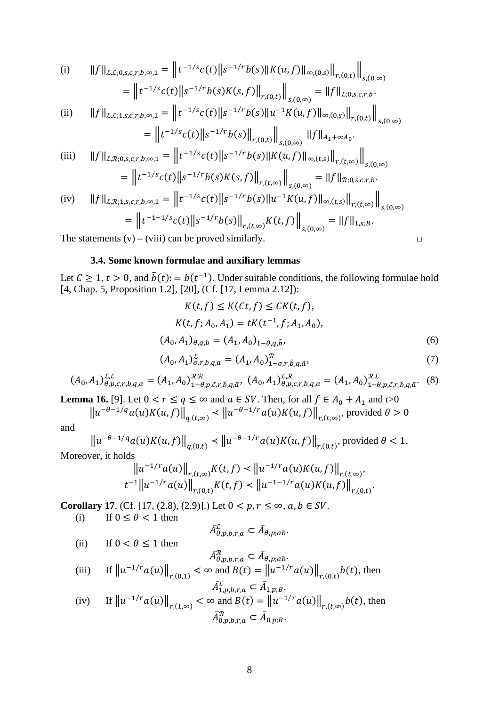(i) 
$$
||f||_{\mathcal{L},\mathcal{L};0,s,c,r,b,\infty,1} = ||t^{-1/s}c(t)||s^{-1/r}b(s)||K(u,f)||_{\infty,(0,s)}||_{r,(0,t)}||_{s,(0,\infty)}
$$
  
\n
$$
= ||t^{-1/s}c(t)||s^{-1/r}b(s)K(s,f)||_{r,(0,t)}||_{s,(0,\infty)} = ||f||_{\mathcal{L};0,s,c,r,b}.
$$
  
\n(ii) 
$$
||f||_{\mathcal{L},\mathcal{L};1,s,c,r,b,\infty,1} = ||t^{-1/s}c(t)||s^{-1/r}b(s)||u^{-1}K(u,f)||_{\infty,(0,s)}||_{r,(0,t)}||_{s,(0,\infty)}
$$

$$
= \left\| t^{-1/s} c(t) \right\| s^{-1/r} b(s) \left\|_{r,(0,t)} \right\|_{s,(0,\infty)} \|f\|_{A_1 + \infty A_0}.
$$

(iii) 
$$
||f||_{\mathcal{L},\mathcal{R};0,s,c,r,b,\infty,1} = ||t^{-1/s}c(t)||s^{-1/r}b(s)||K(u,f)||_{\infty,(t,s)}||_{r,(t,\infty)}||_{s,(0,\infty)}
$$

$$
= ||t^{-1/s}c(t)||_{\infty}(r,b)|_{\infty,(t,s)} ||_{\infty,(t,s)} ||_{r,(t,\infty)}||_{s,(0,\infty)}
$$

$$
= ||t^{-1/s}c(t)||s^{-1/r}b(s)K(s,f)||_{r,(t,\infty)}||_{s,(0,\infty)} = ||f||_{\mathcal{R};0,s,c,r,b}.
$$
  
\n(iv) 
$$
||f||_{\mathcal{L},\mathcal{R};1,s,c,r,b,\infty,1} = ||t^{-1/s}c(t)||s^{-1/r}b(s)||u^{-1}K(u,f)||_{\infty,(t,s)}||_{r,(t,\infty)}||_{s,(0,\infty)}
$$

$$
= ||t^{-1-1/s}c(t)||s^{-1/r}b(s)||_{r,(t,\infty)}K(t,f)||_{s,(0,\infty)} = ||f||_{1,s;b}.
$$

The statements  $(v) - (viii)$  can be proved similarly.  $\Box$ 

#### **3.4. Some known formulae and auxiliary lemmas**

Let  $C \ge 1$ ,  $t > 0$ , and  $\tilde{b}(t) = b(t^{-1})$ . Under suitable conditions, the following formulae hold [\[4,](#page-46-0) Chap. 5, Proposition 1.2], [\[20\]](#page-47-2), (Cf. [\[17,](#page-47-5) Lemma 2.12]):

$$
K(t, f) \le K(Ct, f) \le CK(t, f),
$$
  
\n
$$
K(t, f; A_0, A_1) = tK(t^{-1}, f; A_1, A_0),
$$
  
\n
$$
(A_0, A_1)_{\theta, q, b} = (A_1, A_0)_{1-\theta, q, \tilde{b}},
$$
  
\n(6)

$$
(A_0, A_1)_{\sigma, r, b, q, a}^{\mathcal{L}} = (A_1, A_0)_{1-\sigma, r, \tilde{b}, q, \tilde{a}}^{\mathcal{R}}, \tag{7}
$$

$$
(A_0, A_1)_{\theta, p, c, r, b, q, a}^{\mathcal{L}, \mathcal{L}} = (A_1, A_0)_{1-\theta, p, \tilde{c}, r, \tilde{b}, q, \tilde{a}}^{\mathcal{R}, \mathcal{R}}, \ (A_0, A_1)_{\theta, p, c, r, b, q, a}^{\mathcal{L}, \mathcal{R}} = (A_1, A_0)_{1-\theta, p, \tilde{c}, r, \tilde{b}, q, \tilde{a}}^{\mathcal{R}, \mathcal{L}}.
$$
 (8)

<span id="page-7-0"></span>**Lemma 16.** [\[9\]](#page-46-9). Let  $0 < r \le q \le \infty$  and  $a \in SV$ . Then, for all  $f \in A_0 + A_1$  and  $t > 0$  $\|u^{-\theta-1/q}a(u)K(u,f)\|_{q,(t,\infty)} \leq \|u^{-\theta-1/r}a(u)K(u,f)\|_{r,(t,\infty)},$  provided  $\theta > 0$ 

and

 $\|u^{-\theta-1/q}a(u)K(u,f)\|_{q,(0,t)} \le \|u^{-\theta-1/r}a(u)K(u,f)\|_{r,(0,t)},$  provided  $\theta < 1$ . Moreover, it holds

$$
\|u^{-1/r}a(u)\|_{r,(t,\infty)}K(t,f) < \|u^{-1/r}a(u)K(u,f)\|_{r,(t,\infty)},
$$
  

$$
t^{-1}\|u^{-1/r}a(u)\|_{r,(0,t)}K(t,f) < \|u^{-1-1/r}a(u)K(u,f)\|_{r,(0,t)}.
$$

<span id="page-7-1"></span>**Corollary 17**. (Cf. [\[17,](#page-47-5) (2.8), (2.9)].) Let  $0 < p, r \le \infty, a, b \in SV$ .<br>(i) If  $0 \le \theta < 1$  then

If  $0 \le \theta < 1$  then

(ii) If  $0 < \theta \le 1$  then

$$
\bar{A}_{\theta,p,b,r,a}^{\mathcal{L}} \subset \bar{A}_{\theta,p;ab}.
$$

$$
\bar{A}_{\theta,p,b,r,a}^{\mathcal{R}} \subset \bar{A}_{\theta,p;ab}.
$$
\n(iii)

\n
$$
\text{If } \|u^{-1/r}a(u)\|_{r,(0,1)} < \infty \text{ and } B(t) = \|u^{-1/r}a(u)\|_{r,(0,t)}b(t), \text{ then}
$$

$$
\bar{A}_{1,p,b,r,a}^L \subset \bar{A}_{1,p,B}.
$$
\n(iv) If  $||u^{-1/r}a(u)||_{r,(1,\infty)} < \infty$  and  $B(t) = ||u^{-1/r}a(u)||_{r,(t,\infty)}b(t)$ , then  
\n
$$
\bar{A}_{0,p,b,r,a}^R \subset \bar{A}_{0,p,B}.
$$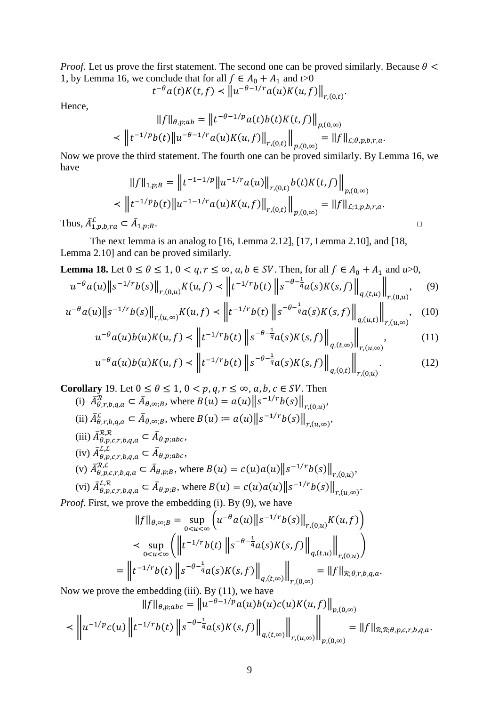*Proof.* Let us prove the first statement. The second one can be proved similarly. Because  $\theta$  < 1, by [Lemma 16,](#page-7-0) we conclude that for all  $f \in A_0 + A_1$  and  $t > 0$ 

$$
t^{-\theta}a(t)K(t,f) < ||u^{-\theta-1/r}a(u)K(u,f)||_{r,(0,t)}.
$$

Hence,

$$
||f||_{\theta,p;ab} = ||t^{-\theta-1/p}a(t)b(t)K(t,f)||_{p,(0,\infty)}
$$
  

$$
< ||t^{-1/p}b(t)||u^{-\theta-1/r}a(u)K(u,f)||_{r,(0,t)}||_{p,(0,\infty)} = ||f||_{L;\theta,p,b,r,a}.
$$

Now we prove the third statement. The fourth one can be proved similarly. By [Lemma 16,](#page-7-0) we have

$$
||f||_{1,p;B} = ||t^{-1-1/p}||u^{-1/r}a(u)||_{r,(0,t)}b(t)K(t,f)||_{p,(0,\infty)}
$$
  

$$
< ||t^{-1/p}b(t)||u^{-1-1/r}a(u)K(u,f)||_{r,(0,t)}||_{p,(0,\infty)} = ||f||_{L;1,p,b,r,a}.
$$

Thus,  $A_{1,p,b,ra}^{\mathcal{L}} \subset A$ 

The next lemma is an analog to [\[16,](#page-47-4) Lemma 2.12], [\[17,](#page-47-5) Lemma 2.10], and [\[18,](#page-47-6) Lemma 2.10] and can be proved similarly.

**Lemma 18.** Let 
$$
0 \le \theta \le 1
$$
,  $0 < q, r \le \infty$ ,  $a, b \in SV$ . Then, for all  $f \in A_0 + A_1$  and  $u > 0$ ,  
\n
$$
u^{-\theta} a(u) \|s^{-1/r} b(s)\|_{r,(0,u)} K(u, f) < \left\|t^{-1/r} b(t)\right\|s^{-\theta-\frac{1}{q}} a(s)K(s, f)\right\|_{q,(t,u)}\Big\|_{r,(0,u)}, \quad (9)
$$

$$
u^{-\theta}a(u)\|s^{-1/r}b(s)\|_{r,(u,\infty)}K(u,f) \leq \|t^{-1/r}b(t)\|s^{-\theta-\frac{1}{q}}a(s)K(s,f)\|_{q,(u,t)}\|_{r,(u,\infty)}, \quad (10)
$$

$$
u^{-\theta}a(u)b(u)K(u,f) \prec \left\| t^{-1/r}b(t) \right\| s^{-\theta - \frac{1}{q}}a(s)K(s,f) \left\|_{q,(t,\infty)} \right\|_{r,(u,\infty)},\tag{11}
$$

$$
u^{-\theta}a(u)b(u)K(u,f) \prec \left\| t^{-1/r}b(t) \left\| s^{-\theta - \frac{1}{q}} a(s)K(s,f) \right\|_{q,(0,t)} \right\|_{r,(0,u)}.
$$
 (12)

.

<span id="page-8-0"></span>**Corollary** 19. Let  $0 \le \theta \le 1$ ,  $0 < p, q, r \le \infty$ ,  $a, b, c \in SV$ . Then

- (i)  $A_{\theta,r,b,q,a}^{\mathcal{R}} \subset A_{\theta,\infty,B}$ , where  $B(u) = a(u) \|s^{-1/r}b(s)\|_{r,(0,u)},$ (ii)  $\bar{A}_{\theta,r,b,q,a}^{\mathcal{L}} \subset \bar{A}_{\theta,\infty;\mathcal{B}}$ , where  $B(u) \coloneqq a(u) \| s^{-1/r} b(s) \|_{r,(u,\infty)}$ ,
- (iii)  $\bar{A}_{\theta,p,c,r,b,q,a}^{\mathcal{R},\mathcal{R}} \subset \bar{A}_{\theta,p;abc},$
- $(iv)$   $\bar{A}^{L,L}_{\theta,p,c,r,b,q,a} \subset \bar{A}_{\theta,p;abc},$
- (v)  $\bar{A}_{\theta,p,c,r,b,q,a}^{R,L} \subset \bar{A}_{\theta,p,B}$ , where  $B(u) = c(u)a(u) \| s^{-1/r} b(s) \|_{r,(0,u)},$

(vi) 
$$
\bar{A}_{\theta, p, c, r, b, q, a}^{L, \mathcal{R}} \subset \bar{A}_{\theta, p; B}
$$
, where  $B(u) = c(u)a(u) \|s^{-1/r}b(s)\|_{r, (u, \infty)}$ 

*Proof*. First, we prove the embedding (i). By (9), we have

$$
||f||_{\theta,\infty;B} = \sup_{0 < u < \infty} \left( u^{-\theta} a(u) ||s^{-1/r} b(s)||_{r,(0,u)} K(u,f) \right)
$$
\n
$$
\leq \sup_{0 < u < \infty} \left( \left\| t^{-1/r} b(t) ||s^{-\theta-\frac{1}{q}} a(s) K(s,f) \right\|_{q,(t,u)} \right\|_{r,(0,u)} \right)
$$
\n
$$
= \left\| t^{-1/r} b(t) ||s^{-\theta-\frac{1}{q}} a(s) K(s,f) \right\|_{q,(t,\infty)} \right\|_{r,(0,\infty)} = ||f||_{\mathcal{R};\theta,r,b,q,a}.
$$

Now we prove the embedding (iii). By (11), we have

$$
||f||_{\theta,p;abc} = ||u^{-\theta-1/p}a(u)b(u)c(u)K(u,f)||_{p,(0,\infty)}
$$
  

$$
\leq ||u^{-1/p}c(u)||t^{-1/r}b(t)||s^{-\theta-\frac{1}{q}}a(s)K(s,f)||_{q,(t,\infty)}||_{r,(u,\infty)}||_{p,(0,\infty)} = ||f||_{\mathcal{R},\mathcal{R};\theta,p,c,r,b,q,a}.
$$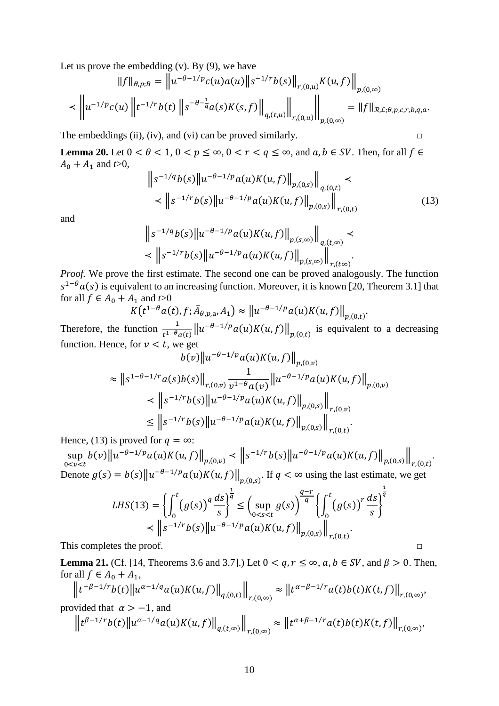Let us prove the embedding  $(v)$ . By  $(9)$ , we have

$$
||f||_{\theta,p;B} = ||u^{-\theta-1/p}c(u)a(u)||s^{-1/r}b(s)||_{r,(0,u)}K(u,f)||_{p,(0,\infty)}
$$
  

$$
< ||u^{-1/p}c(u)||t^{-1/r}b(t)||s^{-\theta-\frac{1}{q}}a(s)K(s,f)||_{q,(t,u)}||_{r,(0,u)}||_{p,(0,\infty)} = ||f||_{\mathcal{R},\mathcal{L};\theta,p,c,r,b,q,a}.
$$

The embeddings (ii), (iv), and (vi) can be proved similarly.  $\Box$ 

**Lemma 20.** Let  $0 < \theta < 1$ ,  $0 < p \le \infty$ ,  $0 < r < q \le \infty$ , and  $a, b \in SV$ . Then, for all  $f \in$  $A_0 + A_1$  and  $t > 0$ ,

$$
\|s^{-1/q}b(s)\|u^{-\theta-1/p}a(u)K(u,f)\|_{p,(0,s)}\|_{q,(0,t)} \|s^{-1/r}b(s)\|u^{-\theta-1/p}a(u)K(u,f)\|_{p,(0,s)}\|_{r,(0,t)}
$$
\n(13)

.

and

$$
\|s^{-1/q}b(s)\|u^{-\theta-1/p}a(u)K(u,f)\|_{p,(s,\infty)}\|_{q,(t,\infty)}\prec
$$
  

$$
\langle\|s^{-1/r}b(s)\|u^{-\theta-1/p}a(u)K(u,f)\|_{p,(s,\infty)}\|_{r,(t\infty)}.
$$

*Proof.* We prove the first estimate. The second one can be proved analogously. The function  $s^{1-\theta}a(s)$  is equivalent to an increasing function. Moreover, it is known [\[20,](#page-47-2) Theorem 3.1] that for all  $f \in A_0 + A_1$  and  $t > 0$ 

$$
K(t^{1-\theta}a(t), f; \bar{A}_{\theta, p, a}, A_1) \approx ||u^{-\theta-1/p}a(u)K(u, f)||_{p,(0,t)}
$$

Therefore, the function  $\frac{1}{t^{1-\theta}a(t)}||u^{-\theta-1/p}a(u)K(u,f)||_{p,(0,t)}$  is equivalent to a decreasing function. Hence, for  $v < t$ , we get

$$
b(v) \|u^{-\theta-1/p} a(u) K(u,f)\|_{p,(0,v)}
$$
  
\n
$$
\approx \|s^{1-\theta-1/r} a(s) b(s)\|_{r,(0,v)} \frac{1}{v^{1-\theta} a(v)} \|u^{-\theta-1/p} a(u) K(u,f)\|_{p,(0,v)}
$$
  
\n
$$
\le \|s^{-1/r} b(s) \|u^{-\theta-1/p} a(u) K(u,f)\|_{p,(0,s)} \|_{r,(0,v)}
$$
  
\n
$$
\le \|s^{-1/r} b(s) \|u^{-\theta-1/p} a(u) K(u,f)\|_{p,(0,s)} \|_{r,(0,t)}.
$$

Hence, (13) is proved for  $q = \infty$ :

sup  $\sup_{0\le v\le t} b(v) \|u^{-\theta-1/p}a(u)K(u,f)\|_{p,(0,v)} \le \|s^{-1/r}b(s)\|u^{-\theta-1/p}a(u)K(u,f)\|_{p,(0,s)}\|_{r,(0,t)}$ . Denote  $g(s) = b(s) \|u^{-\theta - 1/p} a(u) K(u, f)\|_{p,(0,s)}$ . If  $q < \infty$  using the last estimate, we get

$$
LHS(13) = \left\{ \int_0^t (g(s))^q \frac{ds}{s} \right\}^{\frac{1}{q}} \le \left( \sup_{0 < s < t} g(s) \right)^{\frac{q-r}{q}} \left\{ \int_0^t (g(s))^r \frac{ds}{s} \right\}^{\frac{1}{q}}
$$
\n
$$
\le \left\| s^{-1/r} b(s) \right\| u^{-\theta - 1/p} a(u) K(u, f) \Big\|_{p,(0,s)} \Big\|_{r,(0,t)}.
$$

This completes the proof.  $\Box$ 

<span id="page-9-0"></span>**Lemma 21.** (Cf. [\[14,](#page-47-8) Theorems 3.6 and 3.7].) Let  $0 < q, r \le \infty$ ,  $a, b \in SV$ , and  $\beta > 0$ . Then, for all  $f \in A_0 + A_1$ ,

$$
\left\|t^{-\beta-1/r}b(t)\right\|u^{\alpha-1/q}a(u)K(u,f)\right\|_{q,(0,t)}\left\|_{r,(0,\infty)}\approx\left\|t^{\alpha-\beta-1/r}a(t)b(t)K(t,f)\right\|_{r,(0,\infty)},
$$

provided that 
$$
\alpha > -1
$$
, and

$$
\left\|t^{\beta-1/r}b(t)\right\|u^{\alpha-1/q}a(u)K(u,f)\right\|_{q,(t,\infty)}\left\| \int_{r,(0,\infty)}\approx \left\|t^{\alpha+\beta-1/r}a(t)b(t)K(t,f)\right\|_{r,(0,\infty)},
$$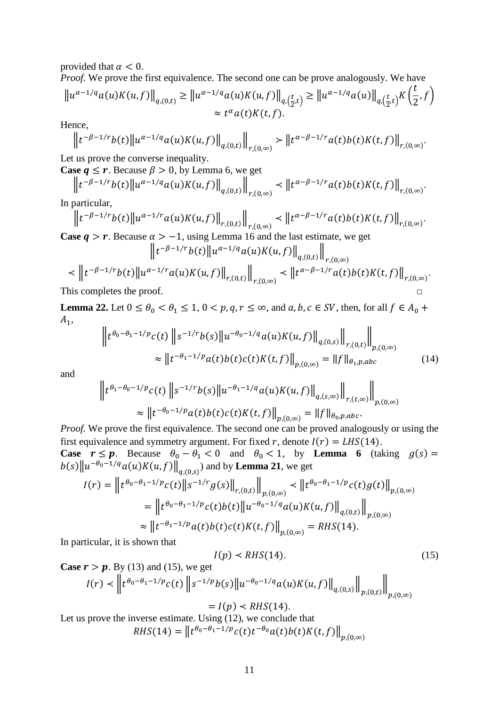provided that  $\alpha < 0$ .

*Proof.* We prove the first equivalence. The second one can be prove analogously. We have

$$
\|u^{\alpha-1/q}a(u)K(u,f)\|_{q,(0,t)} \ge \|u^{\alpha-1/q}a(u)K(u,f)\|_{q,\left(\frac{t}{2},t\right)} \ge \|u^{\alpha-1/q}a(u)\|_{q,\left(\frac{t}{2},t\right)}K\left(\frac{t}{2},f\right)
$$
  

$$
\approx t^{\alpha}a(t)K(t,f).
$$

Hence,

$$
\left\|t^{-\beta-1/r}b(t)\right\|u^{\alpha-1/q}a(u)K(u,f)\right\|_{q,(0,t)}\left\|_{r,(0,\infty)}\right\|t^{\alpha-\beta-1/r}a(t)b(t)K(t,f)\right\|_{r,(0,\infty)}.
$$

Let us prove the converse inequality.

**Case**  $q \le r$ **. Because**  $\beta > 0$ **, by [Lemma 6,](#page-4-3) we get** 

$$
\left\| t^{-\beta - 1/r} b(t) \right\| u^{\alpha - 1/q} a(u) K(u, f) \right\|_{q,(0,t)} \left\| \int_{r,(0,\infty)} \left\| t^{\alpha - \beta - 1/r} a(t) b(t) K(t, f) \right\|_{r,(0,\infty)}.
$$

In particular,

$$
\left\|t^{-\beta-1/r}b(t)\right\|u^{\alpha-1/r}a(u)K(u,f)\right\|_{r,(0,t)}\left\|t^{\alpha-\beta-1/r}a(t)b(t)K(t,f)\right\|_{r,(0,\infty)}.
$$

**Case**  $q > r$ **.** Because  $\alpha > -1$ , using [Lemma 16](#page-7-0) and the last estimate, we get

$$
\|t^{-\beta-1/r}b(t)\|u^{\alpha-1/q}a(u)K(u,f)\|_{q,(0,t)}\|_{r,(0,\infty)}\|\t+^{-\beta-1/r}b(t)\|u^{\alpha-1/r}a(u)K(u,f)\|_{r,(0,t)}\|\t+^{-\beta-1/r}a(t)b(t)K(t,f)\|_{r,(0,\infty)}.
$$
\nThis completes the proof.

<span id="page-10-0"></span>**Lemma 22.** Let  $0 \le \theta_0 < \theta_1 \le 1$ ,  $0 < p, q, r \le \infty$ , and  $a, b, c \in SV$ , then, for all  $f \in A_0 +$  $A_1$ ,

$$
\left\| t^{\theta_0 - \theta_1 - 1/p} c(t) \left\| s^{-1/r} b(s) \right\| u^{-\theta_0 - 1/q} a(u) K(u, f) \right\|_{q,(0,s)} \right\|_{r,(0,t)} \Big\|_{p,(0,\infty)}
$$
  
 
$$
\approx \left\| t^{-\theta_1 - 1/p} a(t) b(t) c(t) K(t, f) \right\|_{p,(0,\infty)} = \|f\|_{\theta_1, p,abc}
$$
 (14)

and

$$
\|t^{\theta_1-\theta_0-1/p}c(t)\|s^{-1/r}b(s)\|u^{-\theta_1-1/q}a(u)K(u,f)\|_{q,(s,\infty)}\|_{r,(t,\infty)}\|_{p,(0,\infty)}
$$
  

$$
\approx \|t^{-\theta_0-1/p}a(t)b(t)c(t)K(t,f)\|_{p,(0,\infty)} = \|f\|_{\theta_0,p,abc}.
$$

*Proof.* We prove the first equivalence. The second one can be proved analogously or using the first equivalence and symmetry argument. For fixed r, denote  $I(r) = LHS(14)$ .

**Case**  $r \le p$ . Because  $\theta_0 - \theta_1 < 0$  and  $\theta_0 < 1$ , by **[Lemma](#page-4-3) 6** (taking  $g(s) =$  $||b(s)||u^{-\theta_0-1/q}a(u)K(u,f)||_{q,(0,s)}$  and by **[Lemma 21](#page-9-0)**, we get

$$
I(r) = \left\| t^{\theta_0 - \theta_1 - 1/p} c(t) \right\| s^{-1/r} g(s) \left\|_{r,(0,t)} \right\|_{p,(0,\infty)} \leq \left\| t^{\theta_0 - \theta_1 - 1/p} c(t) g(t) \right\|_{p,(0,\infty)}
$$
  
= 
$$
\left\| t^{\theta_0 - \theta_1 - 1/p} c(t) b(t) \right\| u^{-\theta_0 - 1/q} a(u) K(u,f) \left\|_{q,(0,t)} \right\|_{p,(0,\infty)}
$$
  

$$
\approx \left\| t^{-\theta_1 - 1/p} a(t) b(t) c(t) K(t,f) \right\|_{p,(0,\infty)} = RHS(14).
$$

In particular, it is shown that

$$
I(p) < RHS(14). \tag{15}
$$

Case 
$$
r > p
$$
. By (13) and (15), we get  
\n
$$
I(r) < \left\| t^{\theta_0 - \theta_1 - 1/p} c(t) \right\| s^{-1/p} b(s) \| u^{-\theta_0 - 1/q} a(u) K(u, f) \|_{q,(0,s)} \|_{p,(0,t)} \|_{p,(0,\infty)}
$$

 $= I(p) \le RHS(14).$ Let us prove the inverse estimate. Using (12), we conclude that

 $RHS(14) = ||t^{\theta_0 - \theta_1 - 1/p}c(t)t^{-\theta_0}a(t)b(t)K(t, f)||_{n,(0,\infty)}$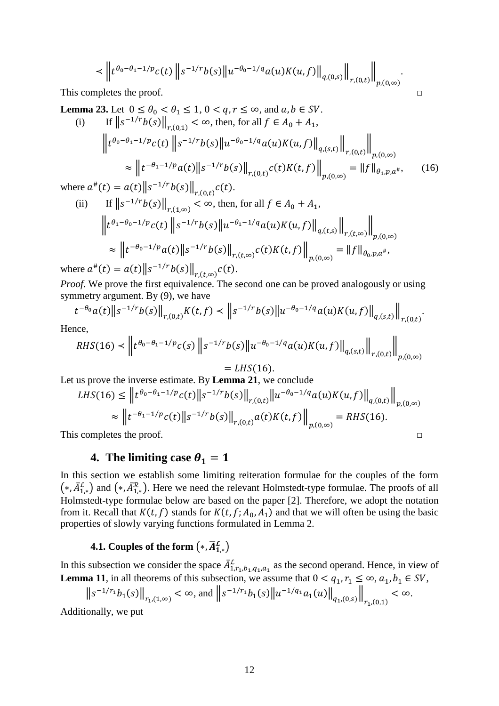$$
<\left\|t^{\theta_0-\theta_1-1/p}c(t)\right\|s^{-1/r}b(s)\left\|u^{-\theta_0-1/q}a(u)K(u,f)\right\|_{q,(0,s)}\right\|_{r,(0,t)}\right\|_{p,(0,\infty)}.
$$

This completes the proof. □

<span id="page-11-1"></span>**Lemma 23.** Let  $0 \le \theta_0 < \theta_1 \le 1$ ,  $0 < q, r \le \infty$ , and  $a, b \in SV$ .

(i) If 
$$
||s^{-1/r}b(s)||_{r,(0,1)} < \infty
$$
, then, for all  $f \in A_0 + A_1$ ,  
\n
$$
\left\|t^{\theta_0 - \theta_1 - 1/p}c(t)\right\|s^{-1/r}b(s)\|u^{-\theta_0 - 1/q}a(u)K(u,f)\right\|_{q,(s,t)}\Big\|_{r,(0,t)}\Big\|_{p,(0,\infty)}
$$
\n
$$
\approx \left\|t^{-\theta_1 - 1/p}a(t)\right\|s^{-1/r}b(s)\right\|_{r,(0,t)}c(t)K(t,f)\Big\|_{p,(0,\infty)} = \|f\|_{\theta_1, p,a^{\#}},\qquad(16)
$$

where  $a^{#}(t) = a(t) \|s^{-1/r}b(s)\|_{r,(0,t)}c(t)$ .

(ii) If 
$$
||s^{-1/r}b(s)||_{r,(1,\infty)} < \infty
$$
, then, for all  $f \in A_0 + A_1$ ,  
\n
$$
\left\|t^{\theta_1-\theta_0-1/p}c(t)\right\|s^{-1/r}b(s)\left\|u^{-\theta_1-1/q}a(u)K(u,f)\right\|_{q,(t,s)}\left\|_{r,(t,\infty)}\right\|_{p,(0,\infty)}
$$
\n
$$
\approx \left\|t^{-\theta_0-1/p}a(t)\right\|s^{-1/r}b(s)\left\|_{r,(t,\infty)}c(t)K(t,f)\right\|_{p,(0,\infty)} = \|f\|_{\theta_0,p,a^*},
$$

where  $a^{*}(t) = a(t) \|s^{-1/r}b(s)\|_{r,(t,\infty)} c(t)$ .

*Proof.* We prove the first equivalence. The second one can be proved analogously or using symmetry argument. By (9), we have

$$
t^{-\theta_0}a(t)\|s^{-1/r}b(s)\|_{r,(0,t)}K(t,f) < \left\|s^{-1/r}b(s)\|u^{-\theta_0-1/q}a(u)K(u,f)\right\|_{q,(s,t)}\right\|_{r,(0,t)}.
$$

Hence,

$$
RHS(16) \le \left\| t^{\theta_0 - \theta_1 - 1/p} c(s) \right\| s^{-1/r} b(s) \left\| u^{-\theta_0 - 1/q} a(u) K(u, f) \right\|_{q,(s,t)} \right\|_{r,(0,t)} \Big\|_{p,(0,\infty)}
$$
  
= LHS(16).

Let us prove the inverse estimate. By **[Lemma 21](#page-9-0)**, we conclude

$$
LHS(16) \leq \left\| t^{\theta_0 - \theta_1 - 1/p} c(t) \right\| s^{-1/r} b(s) \left\|_{r,(0,t)} \left\| u^{-\theta_0 - 1/q} a(u) K(u,f) \right\|_{q,(0,t)} \right\|_{p,(0,\infty)}
$$

$$
\approx \left\| t^{-\theta_1 - 1/p} c(t) \right\| s^{-1/r} b(s) \left\|_{r,(0,t)} a(t) K(t,f) \right\|_{p,(0,\infty)} = RHS(16).
$$

<span id="page-11-0"></span>This completes the proof.  $\Box$ 

# **4.** The limiting case  $\theta_1 = 1$

In this section we establish some limiting reiteration formulae for the couples of the form  $(*, \bar{A}_{1,*}^{\mathcal{L}})$  and  $(*, \bar{A}_{1,*}^{\mathcal{R}})$ . Here we need the relevant Holmstedt-type formulae. The proofs of all Holmstedt-type formulae below are based on the paper [\[2\]](#page-46-2). Therefore, we adopt the notation from it. Recall that  $K(t, f)$  stands for  $K(t, f; A_0, A_1)$  and that we will often be using the basic properties of slowly varying functions formulated in [Lemma 2.](#page-1-1)

# **4.1.** Couples of the form  $(*,\overline{A}_{1,*}^{\mathcal{L}})$

In this subsection we consider the space  $\bar{A}_{1,r_1,b_1,q_1,a_1}^L$  as the second operand. Hence, in view of **[Lemma 11](#page-5-1)**, in all theorems of this subsection, we assume that  $0 < q_1, r_1 \le \infty$ ,  $a_1, b_1 \in SV$ ,

$$
\|s^{-1/r_1}b_1(s)\|_{r_1,(1,\infty)} < \infty, \text{ and }\left\|s^{-1/r_1}b_1(s)\|u^{-1/q_1}a_1(u)\right\|_{q_1,(0,s)}\right\|_{r_1,(0,1)} < \infty.
$$

Additionally, we put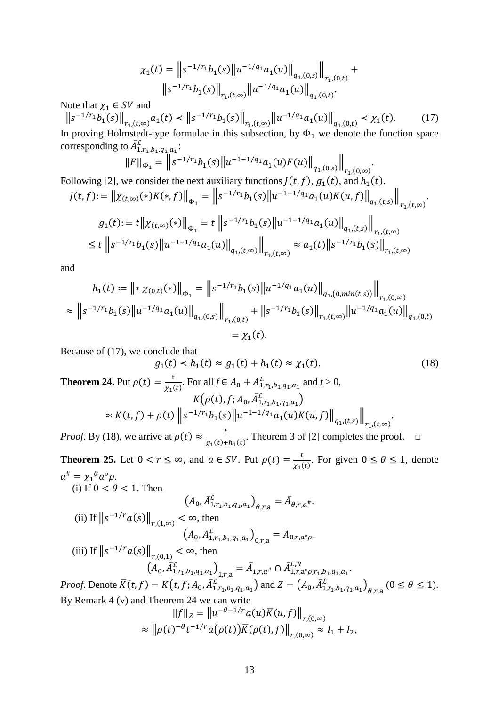$$
\chi_1(t) = \left\| s^{-1/r_1} b_1(s) \left\| u^{-1/q_1} a_1(u) \right\|_{q_1,(0,s)} \right\|_{r_1,(0,t)} +
$$
  

$$
\left\| s^{-1/r_1} b_1(s) \right\|_{r_1,(t,\infty)} \left\| u^{-1/q_1} a_1(u) \right\|_{q_1,(0,t)}.
$$

Note that  $\chi_1 \in SV$  and

 $||s^{-1/r_1}b_1(s)||_{r_1,(t,\infty)}a_1(t) < ||s^{-1/r_1}b_1(s)||_{r_1,(t,\infty)}||u^{-1/q_1}a_1(u)||_{q_1,(0,t)} < \chi_1(t).$  (17) In proving Holmstedt-type formulae in this subsection, by  $\Phi_1$  we denote the function space corresponding to  $A^{\mathcal{L}}_{1,r_1,b_1,q_1,a_1}$ :

$$
||F||_{\Phi_1} = ||s^{-1/r_1}b_1(s)||u^{-1-1/q_1}a_1(u)F(u)||_{q_1,(0,s)}||_{r_1,(0,\infty)}
$$

.

Following [\[2\]](#page-46-2), we consider the next auxiliary functions  $J(t, f)$ ,  $g_1(t)$ , and  $h_1(t)$ .

$$
J(t, f) := \left\| \chi_{(t,\infty)}(*)K(*, f) \right\|_{\Phi_1} = \left\| s^{-1/r_1} b_1(s) \left\| u^{-1-1/q_1} a_1(u) K(u, f) \right\|_{q_1,(t,s)} \right\|_{r_1,(t,\infty)}.
$$
  

$$
g_1(t) := t \left\| \chi_{(t,\infty)}(*) \right\|_{\Phi_1} = t \left\| s^{-1/r_1} b_1(s) \left\| u^{-1-1/q_1} a_1(u) \right\|_{q_1,(t,s)} \right\|_{r_1,(t,\infty)}.
$$
  

$$
\leq t \left\| s^{-1/r_1} b_1(s) \left\| u^{-1-1/q_1} a_1(u) \right\|_{q_1,(t,\infty)} \right\|_{r_1,(t,\infty)} \approx a_1(t) \left\| s^{-1/r_1} b_1(s) \right\|_{r_1,(t,\infty)}
$$

and

$$
h_1(t) := \left\| \int \chi_{(0,t)}(\cdot) \right\|_{\Phi_1} = \left\| s^{-1/r_1} b_1(s) \left\| u^{-1/q_1} a_1(u) \right\|_{q_1,(0, \min(t,s))} \right\|_{r_1,(0,\infty)}
$$
  

$$
\approx \left\| s^{-1/r_1} b_1(s) \left\| u^{-1/q_1} a_1(u) \right\|_{q_1,(0,s)} \right\|_{r_1,(0,t)} + \left\| s^{-1/r_1} b_1(s) \right\|_{r_1,(t,\infty)} \left\| u^{-1/q_1} a_1(u) \right\|_{q_1,(0,t)}
$$
  

$$
= \chi_1(t).
$$

Because of (17), we conclude that

<span id="page-12-0"></span>
$$
g_1(t) < h_1(t) \approx g_1(t) + h_1(t) \approx \chi_1(t). \tag{18}
$$
\nTheorem 24. Put  $\rho(t) = \frac{t}{\chi_1(t)}$ . For all  $f \in A_0 + \bar{A}_{1,r_1,b_1,q_1,a_1}^{\mathcal{L}}$  and  $t > 0$ ,

\n
$$
K(\rho(t), f; A_0, \bar{A}_{1,r_1,b_1,q_1,a_1}^{\mathcal{L}})
$$
\n
$$
\approx K(t, f) + \rho(t) \left\| s^{-1/r_1} b_1(s) \left\| u^{-1-1/q_1} a_1(u) K(u, f) \right\|_{q_1, (t,s)} \right\|_{r_1, (t,\infty)}.
$$

*Proof.* By (18), we arrive at  $\rho(t) \approx \frac{t}{g_1(t) + h_1(t)}$ . Theorem 3 of [\[2\]](#page-46-2) completes the proof.  $\square$ 

**Theorem 25.** Let  $0 < r \le \infty$ , and  $a \in SV$ . Put  $\rho(t) = \frac{t}{\chi_1(t)}$ . For given  $0 \le \theta \le 1$ , denote  $a^{\#} = \chi_1^{\ \theta} a^{\circ} \rho.$ (i) If  $0 < \theta < 1$ . Then

$$
(A_0, \bar{A}_{1,r_1,b_1,q_1,a_1}^{\mathcal{L}})_{\theta,r,a} = \bar{A}_{\theta,r,a^{\#}}.
$$
\n(ii) If  $||s^{-1/r}a(s)||_{r,(1,\infty)} < \infty$ , then  
\n
$$
(A_0, \bar{A}_{1,r_1,b_1,q_1,a_1}^{\mathcal{L}})_{0,r,a} = \bar{A}_{0,r,a^{\circ}\rho}.
$$
\n(iii) If  $||s^{-1/r}a(s)||_{r,(0,1)} < \infty$ , then  
\n
$$
(A_0, \bar{A}_{1,r_1,b_1,q_1,a_1}^{\mathcal{L}})_{1,r,a} = \bar{A}_{1,r,a^{\#}} \cap \bar{A}_{1,r,a^{\circ}\rho,r_1,b_1,q_1,a_1}^{\mathcal{L},\mathcal{R}}.
$$

*Proof.* Denote  $\overline{K}(t, f) = K(t, f; A_0, \overline{A}_{1,r_1,b_1,q_1,a_1}^L)$  and  $Z = (A_0, \overline{A}_{1,r_1,b_1,q_1,a_1}^L)_{\theta,r,a}$   $(0 \le \theta \le 1)$ . By [Remark 4](#page-2-0) (v) and [Theorem 24](#page-12-0) we can write

$$
||f||_Z = ||u^{-\theta-1/r}a(u)\overline{K}(u,f)||_{r,(0,\infty)}
$$
  

$$
\approx ||\rho(t)^{-\theta}t^{-1/r}a(\rho(t))\overline{K}(\rho(t),f)||_{r,(0,\infty)} \approx I_1 + I_2,
$$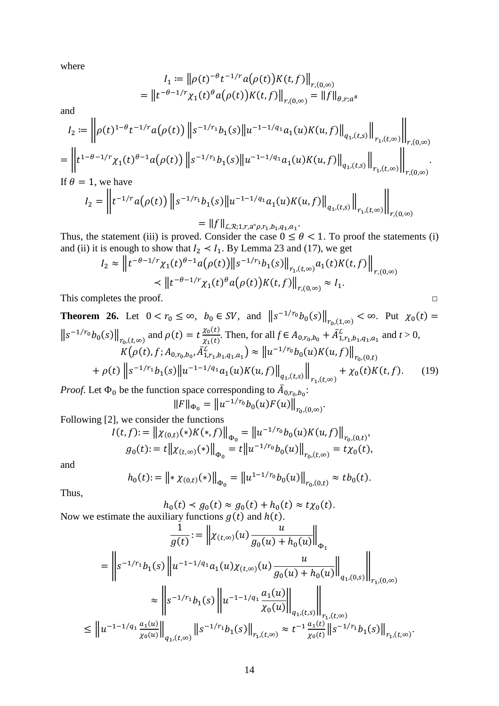where

$$
I_1 := ||\rho(t)^{-\theta} t^{-1/r} a(\rho(t)) K(t, f)||_{r, (0, \infty)}
$$
  
=  $||t^{-\theta-1/r} \chi_1(t)^{\theta} a(\rho(t)) K(t, f)||_{r, (0, \infty)} = ||f||_{\theta, r; a^*}$ 

and

$$
I_2 := \left\| \rho(t)^{1-\theta} t^{-1/r} a(\rho(t)) \left\| s^{-1/r_1} b_1(s) \right\| u^{-1-1/q_1} a_1(u) K(u, f) \right\|_{q_1,(t,s)} \left\| \bigg\|_{r,(0,\infty)} \right\|_{r,(0,\infty)}
$$
  
= 
$$
\left\| t^{1-\theta-1/r} \chi_1(t)^{\theta-1} a(\rho(t)) \left\| s^{-1/r_1} b_1(s) \right\| u^{-1-1/q_1} a_1(u) K(u, f) \right\|_{q_1,(t,s)} \left\| \bigg\|_{r,(0,\infty)} \right\|_{r,(0,\infty)}
$$
  
If  $\theta = 1$  we have

If  $\theta = 1$ , we have

$$
I_2 = \left\| t^{-1/r} a(\rho(t)) \left\| s^{-1/r_1} b_1(s) \right\| u^{-1-1/q_1} a_1(u) K(u, f) \right\|_{q_1, (t,s)} \left\| \int_{r_1, (t,\infty)} \right\|_{r,(0,\infty)}
$$
  
= 
$$
\left\| f \right\|_{\mathcal{L},\mathcal{R};1,r,a^\circ\rho,r_1,b_1,q_1,a_1}.
$$

Thus, the statement (iii) is proved. Consider the case  $0 \le \theta < 1$ . To proof the statements (i) and (ii) it is enough to show that  $I_2 \lt I_1$ . By [Lemma 23](#page-11-1) and (17), we get

$$
I_2 \approx \left\| t^{-\theta - 1/r} \chi_1(t)^{\theta - 1} a(\rho(t)) \right\| s^{-1/r_1} b_1(s) \left\|_{r_1, (t, \infty)} a_1(t) K(t, f) \right\|_{r, (0, \infty)}
$$
  

$$
\prec \left\| t^{-\theta - 1/r} \chi_1(t)^{\theta} a(\rho(t)) K(t, f) \right\|_{r, (0, \infty)} \approx I_1.
$$
  
This completes the proof.

<span id="page-13-0"></span>**Theorem 26.** Let 
$$
0 < r_0 \le \infty
$$
,  $b_0 \in SV$ , and  $||s^{-1/r_0}b_0(s)||_{r_0,(1,\infty)} < \infty$ . Put  $\chi_0(t) =$   
\n $||s^{-1/r_0}b_0(s)||_{r_0,(t,\infty)}$  and  $\rho(t) = t \frac{\chi_0(t)}{\chi_1(t)}$ . Then, for all  $f \in A_{0,r_0,b_0} + \bar{A}_{1,r_1,b_1,q_1,a_1}^L$  and  $t > 0$ ,  
\n $K(\rho(t), f; A_{0,r_0,b_0}, \bar{A}_{1,r_1,b_1,q_1,a_1}^L) \approx ||u^{-1/r_0}b_0(u)K(u, f)||_{r_0,(0,t)}$   
\n $+\rho(t) ||s^{-1/r_1}b_1(s)||u^{-1-1/q_1}a_1(u)K(u, f)||_{q_1,(t,s)}||_{r_1,(t,\infty)} + \chi_0(t)K(t, f).$  (19)

*Proof.* Let  $\Phi_0$  be the function space corresponding to  $A_{0,r_0,b_0}$ :

 $\|F\|_{\Phi_0} = \|u^{-1/r_0}b_0(u)F(u)\|_{r_{0}(0,\infty)}.$ 

Following [\[2\]](#page-46-2), we consider the functions

$$
I(t, f) := \left\| \chi_{(0,t)}(*)K(*, f) \right\|_{\Phi_0} = \left\| u^{-1/r_0} b_0(u) K(u, f) \right\|_{r_0, (0,t)},
$$
  

$$
g_0(t) := t \left\| \chi_{(t,\infty)}(*) \right\|_{\Phi_0} = t \left\| u^{-1/r_0} b_0(u) \right\|_{r_0, (t,\infty)} = t \chi_0(t),
$$

and

$$
h_0(t) := \left\| \mathbf{1} \chi_{(0,t)}(\mathbf{1}) \right\|_{\Phi_0} = \left\| u^{1-1/r_0} b_0(u) \right\|_{r_0,(0,t)} \approx t b_0(t).
$$

Thus,

$$
h_0(t) < g_0(t) \approx g_0(t) + h_0(t) \approx t \chi_0(t).
$$
\nNow we estimate the auxiliary functions  $g(t)$  and  $h(t)$ .

$$
\frac{1}{g(t)} := \left\| \chi_{(t,\infty)}(u) \frac{u}{g_0(u) + h_0(u)} \right\|_{\Phi_1}
$$
\n
$$
= \left\| s^{-1/r_1} b_1(s) \left\| u^{-1-1/q_1} a_1(u) \chi_{(t,\infty)}(u) \frac{u}{g_0(u) + h_0(u)} \right\|_{q_1,(0,s)} \right\|_{r_1,(0,\infty)}
$$
\n
$$
\approx \left\| s^{-1/r_1} b_1(s) \left\| u^{-1-1/q_1} \frac{a_1(u)}{\chi_0(u)} \right\|_{q_1,(t,s)} \right\|_{r_1,(t,\infty)}
$$
\n
$$
\leq \left\| u^{-1-1/q_1} \frac{a_1(u)}{\chi_0(u)} \right\|_{q_1,(t,\infty)} \left\| s^{-1/r_1} b_1(s) \right\|_{r_1,(t,\infty)} \approx t^{-1} \frac{a_1(t)}{\chi_0(t)} \left\| s^{-1/r_1} b_1(s) \right\|_{r_1,(t,\infty)}.
$$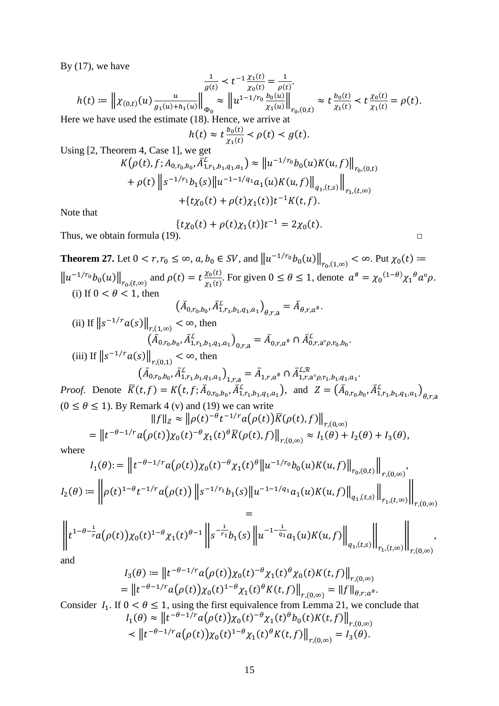By  $(17)$ , we have

$$
h(t) := \left\| \chi_{(0,t)}(u) \frac{u}{g_1(u) + h_1(u)} \right\|_{\Phi_0} \approx \left\| u^{1-1/r_0} \frac{b_0(u)}{h_1(u)} \right\|_{\mathcal{V}_{(0,t)}} \approx t \frac{b_0(t)}{h_1(t)} < t \frac{\chi_0(t)}{\chi_1(t)} = \rho(t).
$$
\nwhere the system is the estimate (18). Hence, we arrive at

Here we have used the est

$$
h(t) \approx t \frac{b_0(t)}{\chi_1(t)} < \rho(t) < g(t).
$$

Using [\[2,](#page-46-2) Theorem 4, Case 1], we get

$$
K(\rho(t), f; A_{0,r_0,b_0}, \bar{A}_{1,r_1,b_1,q_1,a_1}^L) \approx ||u^{-1/r_0}b_0(u)K(u, f)||_{r_0,(0,t)}
$$
  
+  $\rho(t) ||s^{-1/r_1}b_1(s)||u^{-1-1/q_1}a_1(u)K(u, f)||_{q_1,(t,s)}||_{r_1,(t,\infty)}$   
+  $\{t\chi_0(t) + \rho(t)\chi_1(t)\}t^{-1}K(t, f).$ 

Note that

$$
\{t\chi_0(t) + \rho(t)\chi_1(t)\}t^{-1} = 2\chi_0(t).
$$
 Thus, we obtain formula (19).

$$
\Box
$$

<span id="page-14-0"></span>**Theorem 27.** Let  $0 < r, r_0 \le \infty$ ,  $a, b_0 \in SV$ , and  $||u^{-1/r_0}b_0(u)||_{r_0,(1,\infty)} < \infty$ . Put  $\chi_0(t)$  ≔  $\|u^{-1/r_0}b_0(u)\|_{r_0,(t,\infty)}$  and  $\rho(t) = t \frac{\chi_0(t)}{\chi_1(t)}$  $\frac{\chi_0(\epsilon)}{\chi_1(t)}$ . For given  $0 \le \theta \le 1$ , denote  $a^* = {\chi_0}^{(1-\theta)} {\chi_1}^{\theta} a^{\circ} \rho$ . (i) If  $0 < \theta < 1$ , then

$$
(A_{0,r_0,b_0}, A_{1,r_1,b_1,q_1,a_1}^L)_{\theta,r,a} = A_{\theta,r,a^*}.
$$
\n(ii) If  $||s^{-1/r}a(s)||_{r,(1,\infty)} < \infty$ , then  
\n
$$
(\bar{A}_{0,r_0,b_0}, \bar{A}_{1,r_1,b_1,q_1,a_1}^L)_{0,r,a} = \bar{A}_{0,r,a^*} \cap \bar{A}_{0,r,a^0,p,r_0,b_0}^L.
$$
\n(iii) If  $||s^{-1/r}a(s)||_{r,(0,1)} < \infty$ , then  
\n
$$
(\bar{A}_{0,r_0,b_0}, \bar{A}_{1,r_1,b_1,q_1,a_1}^L)_{1,r,a} = \bar{A}_{1,r,a^*} \cap \bar{A}_{1,r,a^0,p,r_1,b_1,q_1,a_1}^{L,R}.
$$

*Proof.* Denote  $K(t, f) = K(t, f; A_{0,r_0,b_0}, A_{1,r_1,b_1,q_1,a_1}^L)$ , and  $Z = (A_{0,r_0,b_0}, A_{1,r_1,b_1,q_1,a_1}^L)_{\theta, r, a_1}$  $(0 \le \theta \le 1)$ . By [Remark 4](#page-2-0) (v) and (19) we can write

$$
||f||_Z \approx ||\rho(t)^{-\theta}t^{-1/r}a(\rho(t))\overline{K}(\rho(t),f)||_{r,(0,\infty)}
$$
  
= 
$$
||t^{-\theta-1/r}a(\rho(t))\chi_0(t)^{-\theta}\chi_1(t)^{\theta}\overline{K}(\rho(t),f)||_{r,(0,\infty)} \approx I_1(\theta) + I_2(\theta) + I_3(\theta),
$$

where

$$
I_1(\theta) := \left\| t^{-\theta - 1/r} a(\rho(t)) \chi_0(t)^{-\theta} \chi_1(t)^{\theta} \left\| u^{-1/r_0} b_0(u) K(u, f) \right\|_{r_0(0,t)} \right\|_{r,(0,\infty)},
$$
  

$$
I_2(\theta) := \left\| \rho(t)^{1-\theta} t^{-1/r} a(\rho(t)) \left\| s^{-1/r_1} b_1(s) \right\| u^{-1-1/q_1} a_1(u) K(u, f) \left\|_{q_1,(t,s)} \right\|_{r_1,(t,\infty)} \right\|_{r,(0,\infty)}
$$
  

$$
=
$$

$$
\left\|t^{1-\theta-\frac{1}{r}}a(\rho(t))\chi_0(t)^{1-\theta}\chi_1(t)^{\theta-1}\right\|s^{-\frac{1}{r_1}}b_1(s)\left\|u^{-1-\frac{1}{q_1}}a_1(u)K(u,f)\right\|_{q_1,(t,s)}\right\|_{r_1,(t,\infty)}\left\| \int_{r_1(0,\infty)}\right\|_{r_1(0,\infty)},
$$

and

$$
I_3(\theta) := \left\| t^{-\theta - 1/r} a(\rho(t)) \chi_0(t)^{-\theta} \chi_1(t)^{\theta} \chi_0(t) K(t, f) \right\|_{r, (0, \infty)}
$$
  
= 
$$
\left\| t^{-\theta - 1/r} a(\rho(t)) \chi_0(t)^{1-\theta} \chi_1(t)^{\theta} K(t, f) \right\|_{r, (0, \infty)} = \|f\|_{\theta, r; a^{\#}}.
$$

Consider  $I_1$ . If  $0 < \theta \le 1$ , using the first equivalence from [Lemma 21,](#page-9-0) we conclude that  $I_1(\theta) \approx ||t^{-\theta-1/r} a(\rho(t)) \chi_0(t)^{-\theta} \chi_1(t)^{\theta} b_0(t) K(t,f)||_{r,(0,\infty)}$  $\langle \mathbf{r} | t^{-\theta-1/r} a(\rho(t)) \chi_0(t)^{1-\theta} \chi_1(t)^{\theta} K(t,f) \rangle |_{r,(0,\infty)} = I_3(\theta).$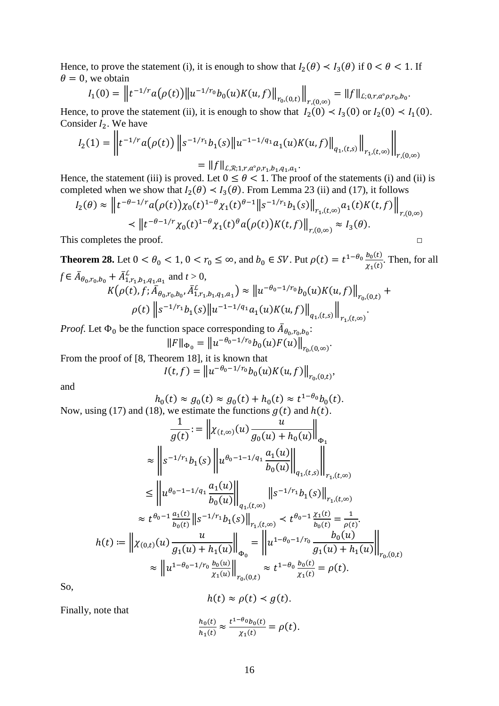Hence, to prove the statement (i), it is enough to show that  $I_2(\theta) < I_3(\theta)$  if  $0 < \theta < 1$ . If  $\theta = 0$ , we obtain

$$
I_1(0) = \left\| t^{-1/r} a(\rho(t)) \right\| u^{-1/r_0} b_0(u) K(u,f) \right\|_{r_0,(0,t)} \Big\|_{r,(0,\infty)} = \|f\|_{L;0,r,a^{\circ}\rho,r_0,b_0}.
$$

Hence, to prove the statement (ii), it is enough to show that  $I_2(0) < I_3(0)$  or  $I_2(0) < I_1(0)$ . Consider  $I_2$ . We have

$$
I_2(1) = \left\| t^{-1/r} a(\rho(t)) \left\| s^{-1/r_1} b_1(s) \left\| u^{-1-1/q_1} a_1(u) K(u, f) \right\|_{q_1,(t,s)} \right\|_{r_1,(t,\infty)} \right\|_{r,(0,\infty)}
$$
  
=  $||f||_{L,\mathcal{R};1,r,a^{\circ}\rho,r_1,b_1,q_1,a_1}.$ 

Hence, the statement (iii) is proved. Let  $0 \le \theta < 1$ . The proof of the statements (i) and (ii) is completed when we show that  $I_2(\theta) < I_3(\theta)$ . From [Lemma 23](#page-11-1) (ii) and (17), it follows

$$
I_2(\theta) \approx \left\| t^{-\theta - 1/r} a(\rho(t)) \chi_0(t)^{1-\theta} \chi_1(t)^{\theta - 1} \right\| s^{-1/r_1} b_1(s) \Big\|_{r_1(t,\infty)} a_1(t) K(t,f) \Big\|_{r,(0,\infty)}
$$
  

$$
\leq \left\| t^{-\theta - 1/r} \chi_0(t)^{1-\theta} \chi_1(t)^{\theta} a(\rho(t)) K(t,f) \right\|_{r,(0,\infty)} \approx I_3(\theta).
$$
  
This completes the proof.

<span id="page-15-0"></span>**Theorem 28.** Let  $0 < \theta_0 < 1$ ,  $0 < r_0 \le \infty$ , and  $b_0 \in SV$ . Put  $\rho(t) = t^{1-\theta_0} \frac{b_0(t)}{x_1(t)}$ . Then, for all  $f \in A_{\theta_0, r_0, b_0} + A^{\mathcal{L}}_{1, r_1, b_1, q_1, a_1}$  and  $t > 0$ ,  $K(\rho(t), f; A_{\theta_0, r_0, b_0}, A_{1, r_1, b_1, q_1, a_1}^L) \approx ||u^{-\theta_0 - 1/r_0} b_0(u) K(u, f)||_{r_0, (0, t)} +$  $\rho(t)$   $||s^{-1/r_1}b_1(s)||u^{-1-1/q_1}a_1(u)K(u,f)||_{q_1,(t,s)}||$ .

*Proof.* Let  $\Phi_0$  be the function space corresponding to  $A_{\theta_0, r_0, b_0}$ :

$$
||F||_{\Phi_0} = ||u^{-\theta_0 - 1/r_0} b_0(u) F(u)||_{r_0, (0,\infty)}.
$$

 $r_{1}$ , $(t,\infty)$ 

From the proof of [\[8,](#page-46-8) Theorem 18], it is known that

$$
I(t,f) = \|u^{-\theta_0 - 1/r_0} b_0(u) K(u,f)\|_{r_0,(0,t)},
$$

and

Now, using (17) and (18), we estimate the functions 
$$
g(t) \approx t^{1-\theta_0} b_0(t)
$$
.  
Now, using (17) and (18), we estimate the functions  $g(t)$  and  $h(t)$ .

$$
\frac{1}{g(t)} := \left\| \chi_{(t,\infty)}(u) \frac{u}{g_0(u) + h_0(u)} \right\|_{\Phi_1}
$$
\n
$$
\approx \left\| s^{-1/r_1} b_1(s) \left\| u^{\theta_0 - 1 - 1/q_1} \frac{a_1(u)}{b_0(u)} \right\|_{q_1,(t,s)} \right\|_{r_1,(t,\infty)}
$$
\n
$$
\leq \left\| u^{\theta_0 - 1 - 1/q_1} \frac{a_1(u)}{b_0(u)} \right\|_{q_1,(t,\infty)} \left\| s^{-1/r_1} b_1(s) \right\|_{r_1,(t,\infty)}
$$
\n
$$
\approx t^{\theta_0 - 1} \frac{a_1(t)}{b_0(t)} \left\| s^{-1/r_1} b_1(s) \right\|_{r_1,(t,\infty)} \prec t^{\theta_0 - 1} \frac{\chi_1(t)}{b_0(t)} = \frac{1}{\rho(t)}.
$$
\n
$$
h(t) := \left\| \chi_{(0,t)}(u) \frac{u}{g_1(u) + h_1(u)} \right\|_{\Phi_0} = \left\| u^{1 - \theta_0 - 1/r_0} \frac{b_0(u)}{g_1(u) + h_1(u)} \right\|_{r_0,(0,t)}
$$
\n
$$
\approx \left\| u^{1 - \theta_0 - 1/r_0} \frac{b_0(u)}{\chi_1(u)} \right\|_{r_0,(0,t)} \approx t^{1 - \theta_0} \frac{b_0(t)}{\chi_1(t)} = \rho(t).
$$

So,

$$
h(t) \approx \rho(t) < g(t).
$$

Finally, note that

$$
\frac{h_0(t)}{h_1(t)} \approx \frac{t^{1-\theta_0}b_0(t)}{\chi_1(t)} = \rho(t).
$$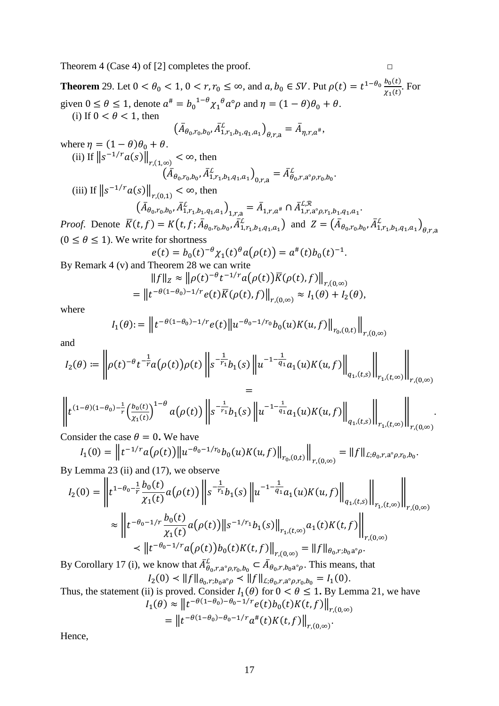Theorem 4 (Case 4) of [\[2\]](#page-46-2) completes the proof.  $□$ 

$$
\mathbb{L}_{\mathbb{L}}
$$

**Theorem** 29. Let  $0 < \theta_0 < 1$ ,  $0 < r, r_0 \le \infty$ , and  $a, b_0 \in SV$ . Put  $\rho(t) = t^{1-\theta_0} \frac{b_0(t)}{x_1(t)}$ . For given  $0 \le \theta \le 1$ , denote  $\alpha^* = b_0^{1-\theta} \chi_1^{\theta} \alpha^{\circ} \rho$  and  $\eta = (1-\theta)\theta_0 + \theta$ . (i) If  $0 < \theta < 1$ , then  $(A_{\theta_0, r_0, b_0}, A_{1, r_1, b_1, q_1, a_1}^{\mathcal{L}})_{\theta, r, a} = A_{\eta, r, a^{\#}},$ where  $\eta = (1 - \theta)\theta_0 + \theta$ . (ii) If  $||s^{-1/r}a(s)||_{r,(1,\infty)} < \infty$ , then  $(A_{\theta_0, r_0, b_0}, A_{1, r_1, b_1, q_1, a_1}^L)_{0, r, a} = A_{\theta_0, r, a^{\circ} \rho, r_0, b_0}^L.$ (iii) If  $||s^{-1/r}a(s)||_{r,(0,1)} < \infty$ , then  $\left(\bar{A}_{\theta_0,r_0,b_0}, \bar{A}_{1,r_1,b_1,q_1,a_1}^L\right)_{1,r,a} = \bar{A}_{1,r,a^*} \cap \bar{A}_{1,r,a^{\circ} \rho,r_1,b_1,q_1,a_1}^{L,R}.$ 

*Proof.* Denote  $K(t, f) = K(t, f; A_{\theta_0, r_0, b_0}, A_{1, r_1, b_1, q_1, a_1}^L)$  and  $Z = (A_{\theta_0, r_0, b_0}, A_{1, r_1, b_1, q_1, a_1}^L)_{\theta, r, a_1}$  $(0 \le \theta \le 1)$ . We write for shortness

$$
e(t) = b_0(t)^{-\theta} \chi_1(t)^{\theta} a(\rho(t)) = a^{\#}(t) b_0(t)^{-1}.
$$
  
and Theorem 28 we can write

By [Remark 4](#page-2-0) (v) and [Theorem 28](#page-15-0) we can write

$$
||f||_z \approx ||\rho(t)^{-\theta}t^{-1/r}a(\rho(t))K(\rho(t),f)||_{r,(0,\infty)}
$$
  
= 
$$
||t^{-\theta(1-\theta_0)-1/r}e(t)\overline{K}(\rho(t),f)||_{r,(0,\infty)} \approx I_1(\theta) + I_2(\theta),
$$

where

$$
I_1(\theta) := \left\| t^{-\theta(1-\theta_0)-1/r} e(t) \right\| u^{-\theta_0-1/r_0} b_0(u) K(u,f) \Big\|_{r_0,(0,t)} \right\|_{r,(0,\infty)}
$$

and

$$
I_2(\theta)\coloneqq\left\|\rho(t)^{-\theta}t^{-\frac{1}{r}}a\big(\rho(t)\big)\rho(t)\left\|s^{-\frac{1}{r_1}}b_1(s)\left\|u^{-1-\frac{1}{q_1}}a_1(u)K(u,f)\right\|_{q_1,(t,s)}\right\|_{r_1,(t,\infty)}\right\|_{r,(0,\infty)}
$$

$$
=\\
\left\|t^{(1-\theta)(1-\theta_0)-\frac{1}{r}}\left(\frac{b_0(t)}{\chi_1(t)}\right)^{1-\theta}a(\rho(t))\right\|s^{-\frac{1}{r_1}}b_1(s)\left\|u^{-1-\frac{1}{q_1}}a_1(u)K(u,f)\right\|_{q_1,(t,s)}\right\|_{r_1,(t,\infty)}\right\|_{r,(0,\infty)}.
$$

Consider the case  $\theta = 0$ . We have

$$
I_1(0) = \left\| t^{-1/r} a(\rho(t)) \right\| u^{-\theta_0 - 1/r_0} b_0(u) K(u, f) \Big\|_{r_0, (0, t)} \Big\|_{r, (0, \infty)} = \|f\|_{L; \theta_0, r, a^\circ \rho, r_0, b_0}.
$$

By [Lemma 23](#page-11-1) (ii) and (17), we observe

$$
I_2(0) = \left\| t^{1-\theta_0 - \frac{1}{r}} \frac{b_0(t)}{\chi_1(t)} a(\rho(t)) \right\| s^{-\frac{1}{r_1}} b_1(s) \left\| u^{-1-\frac{1}{q_1}} a_1(u) K(u, f) \right\|_{q_1,(t,s)} \left\| \int_{r_1,(t,\infty)} \left\| u_{r_1,(t,\infty)} \right\|_{r_1,(t,\infty)} \right\|_{r_1,(t,\infty)} \leq \left\| t^{-\theta_0 - 1/r} \frac{b_0(t)}{\chi_1(t)} a(\rho(t)) \right\| s^{-1/r_1} b_1(s) \left\| \int_{r_1,(t,\infty)} a_1(t) K(t, f) \right\|_{r,(0,\infty)} \leq \left\| t^{-\theta_0 - 1/r} a(\rho(t)) b_0(t) K(t, f) \right\|_{r,(0,\infty)} = \left\| f \right\|_{\theta_0, r; b_0 a^\circ \rho}.
$$

By [Corollary 17](#page-7-1) (i), we know that  $\bar{A}^L_{\theta_0,r,a^{\circ} \rho,r_0,b_0} \subset \bar{A}_{\theta_0,r,b_0a^{\circ} \rho}$ . This means, that  $I_2(0) \prec ||f||_{\theta_0, r; b_0 a^{\circ} \rho} \prec ||f||_{\mathcal{L}; \theta_0, r, a^{\circ} \rho, r_0, b_0} = I_1(0).$ 

Thus, the statement (ii) is proved. Consider  $I_1(\theta)$  for  $0 < \theta \le 1$ . By [Lemma 21,](#page-9-0) we have  $I_1(\theta) \approx ||t^{-\theta(1-\theta_0)-\theta_0-1/r}e(t)b_0(t)K(t,f)||_{r,(0,\infty)}$ 

$$
= \left\| t^{-\theta(1-\theta_0)-\theta_0-1/r} a^*(t) K(t,f) \right\|_{r,(0,\infty)}.
$$

Hence,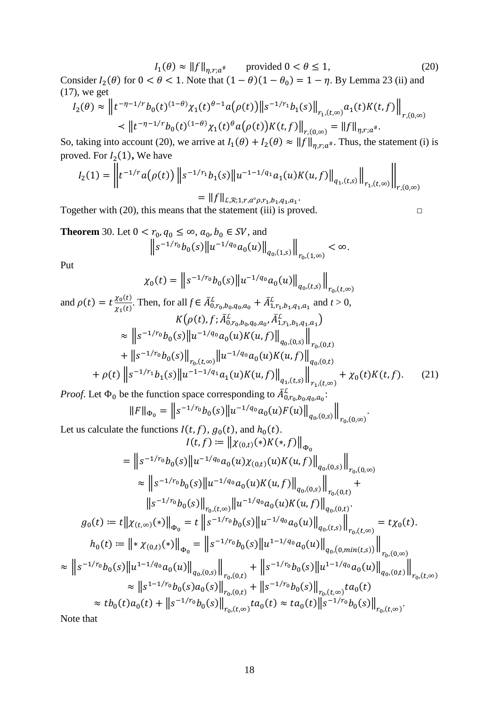$I_1(\theta) \approx ||f||_{\eta, r; a^*}$  provided  $0 < \theta \le 1$ , (20) Consider  $I_2(\theta)$  for  $0 < \theta < 1$ . Note that  $(1 - \theta)(1 - \theta_0) = 1 - \eta$ . By [Lemma 23](#page-11-1) (ii) and (17), we get

$$
I_2(\theta) \approx \left\| t^{-\eta - 1/r} b_0(t)^{(1-\theta)} \chi_1(t)^{\theta - 1} a(\rho(t)) \right\| s^{-1/r_1} b_1(s) \right\|_{r_1, (t, \infty)} a_1(t) K(t, f) \Big\|_{r, (0, \infty)}
$$
  

$$
\leq \| t^{-\eta - 1/r} b_0(t)^{(1-\theta)} \chi_1(t)^{\theta} a(\rho(t)) K(t, f) \Big\|_{r, (0, \infty)} = \| f \|_{\eta, r; a^{\#}}.
$$

So, taking into account (20), we arrive at  $I_1(\theta) + I_2(\theta) \approx ||f||_{\eta, r; a^*}$ . Thus, the statement (i) is proved. For  $I_2(1)$ , We have

$$
I_2(1) = \left\| t^{-1/r} a(\rho(t)) \left\| s^{-1/r_1} b_1(s) \left\| u^{-1-1/q_1} a_1(u) K(u, f) \right\|_{q_1,(t,s)} \right\|_{r_1,(t,\infty)} \right\|_{r,(0,\infty)}
$$
  
= \|f\|\_{L,\mathcal{R};1,r,a^{\circ}\rho,r\_1,b\_1,q\_1,a\_1}.

Together with  $(20)$ , this means that the statement  $(iii)$  is proved.  $□$ 

<span id="page-17-0"></span>**Theorem** 30. Let  $0 < r_0, q_0 \le \infty, a_0, b_0 \in SV$ , and  $\|s^{-1/r_0}b_0(s)\|u^{-1/q_0}a_0(u)\|_{q_0,(1,s)}\|$  $r_0$ ,(1,∞)  $< \infty$ .

Put

$$
\chi_0(t) = \left\| s^{-1/r_0} b_0(s) \left\| u^{-1/q_0} a_0(u) \right\|_{q_0,(t,s)} \right\|_{r_0,(t,\infty)}
$$

and 
$$
\rho(t) = t \frac{\chi_0(t)}{\chi_1(t)}
$$
. Then, for all  $f \in \overline{A}_{0,r_0,b_0,q_0,a_0}^L + \overline{A}_{1,r_1,b_1,q_1,a_1}^L$  and  $t > 0$ ,  
\n
$$
K(\rho(t), f; \overline{A}_{0,r_0,b_0,q_0,a_0}^L, \overline{A}_{1,r_1,b_1,q_1,a_1}^L)
$$
\n
$$
\approx ||s^{-1/r_0}b_0(s)||u^{-1/q_0}a_0(u)K(u,f)||_{q_0,(0,s)}||_{r_0,(0,t)}
$$
\n
$$
+ ||s^{-1/r_0}b_0(s)||_{r_0,(t,\infty)}||u^{-1/q_0}a_0(u)K(u,f)||_{q_0,(0,t)}
$$
\n
$$
+ \rho(t) ||s^{-1/r_1}b_1(s)||u^{-1-1/q_1}a_1(u)K(u,f)||_{q_1,(t,s)}||_{r_1,(t,\infty)} + \chi_0(t)K(t,f).
$$
\n(21)

*Proof.* Let  $\Phi_0$  be the function space corresponding to  $\bar{A}^L_{0,r_0,b_0,q_0,a_0}$ :

$$
||F||_{\Phi_0} = ||s^{-1/r_0}b_0(s)||u^{-1/q_0}a_0(u)F(u)||_{q_0,(0,s)}||_{r_0,(0,\infty)}.
$$

Let us calculate the functions  $I(t, f)$ ,  $g_0(t)$ , and  $h_0(t)$ .  $I(t, f) := || \chi_{(0,t)}(*) K(*, f) ||$ 

$$
\begin{split}\n&= \left\|s^{-1/r_0}b_0(s)\right\|u^{-1/q_0}a_0(u)\chi_{(0,t)}(u)K(u,f)\right\|_{q_0,(0,s)}\left\| \underset{r_0,(0,\infty)}{\times} \left\|s^{-1/r_0}b_0(s)\right\|u^{-1/q_0}a_0(u)K(u,f)\right\|_{q_0,(0,s)}\left\| \underset{r_0,(0,t)}{\times} + \left\|s^{-1/r_0}b_0(s)\right\|_{r_0,(t,\infty)}\left\|u^{-1/q_0}a_0(u)K(u,f)\right\|_{q_0,(0,t)}.\n\end{split}
$$
\n
$$
g_0(t) := t\left\|\chi_{(t,\infty)}(*)\right\|_{\Phi_0} = t\left\|s^{-1/r_0}b_0(s)\right\|u^{-1/q_0}a_0(u)\left\|_{q_0,(t,s)}\right\|_{r_0,(t,\infty)} = t\chi_0(t).
$$
\n
$$
h_0(t) := \left\|*\chi_{(0,t)}(*)\right\|_{\Phi_0} = \left\|s^{-1/r_0}b_0(s)\right\|u^{1-1/q_0}a_0(u)\left\|_{q_0,(0,\min(t,s))}\right\|_{r_0,(0,\infty)}\right\|_{r_0,(0,\infty)}\n\approx \left\|s^{-1/r_0}b_0(s)\left\|u^{1-1/q_0}a_0(u)\right\|_{q_0,(0,t)}\right\|_{r_0,(t,\infty)}\n\approx \left\|s^{1-1/r_0}b_0(s)a_0(s)\right\|_{r_0,(0,t)} + \left\|s^{-1/r_0}b_0(s)\right\|_{r_0,(t,\infty)}ta_0(t)\n\approx tb_0(t)a_0(t) + \left\|s^{-1/r_0}b_0(s)\right\|_{r_0,(t,\infty)}ta_0(t) \approx ta_0(t)\left\|s^{-1/r_0}b_0(s)\right\|_{r_0,(t,\infty)}.\n\end{split}
$$

Note that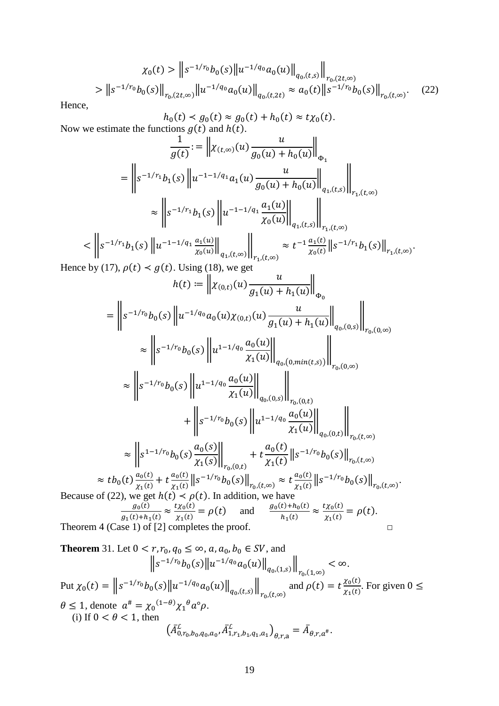$$
\chi_0(t) > \|s^{-1/r_0} b_0(s)\| u^{-1/q_0} a_0(u) \|_{q_0,(t,s)} \|_{r_0,(2t,\infty)}
$$
  
 
$$
> \|s^{-1/r_0} b_0(s)\|_{r_0,(2t,\infty)} \|u^{-1/q_0} a_0(u)\|_{q_0,(t,2t)} \approx a_0(t) \|s^{-1/r_0} b_0(s)\|_{r_0,(t,\infty)}.
$$
 (22)

Hence,

Now we estimate the functions 
$$
g(t)
$$
 and  $h(t)$ .  
\nNow we estimate the functions  $g(t)$  and  $h(t)$ .  
\n
$$
\frac{1}{g(t)} := \left\| \chi_{(t,\infty)}(u) \frac{u}{g_0(u) + h_0(u)} \right\|_{\Phi_1}
$$
\n
$$
= \left\| s^{-1/r_1} b_1(s) \left\| u^{-1-1/q_1} a_1(u) \frac{u}{g_0(u) + h_0(u)} \right\|_{q_1,(t,s)} \right\|_{r_1,(t,\infty)}
$$
\n
$$
\approx \left\| s^{-1/r_1} b_1(s) \left\| u^{-1-1/q_1} \frac{a_1(u)}{x_0(u)} \right\|_{q_1,(t,s)} \right\|_{r_1,(t,\infty)}
$$
\nHence by (17),  $\rho(t) \leq g(t)$ . Using (18), we get  
\n
$$
h(t) := \left\| \chi_{(0,t)}(u) \frac{u}{g_1(u) + h_1(u)} \right\|_{\Phi_0}
$$
\n
$$
= \left\| s^{-1/r_0} b_0(s) \left\| u^{-1/q_0} a_0(u) \chi_{(0,t)}(u) \frac{u}{g_1(u) + h_1(u)} \right\|_{\Phi_0}
$$
\n
$$
\approx \left\| s^{-1/r_0} b_0(s) \left\| u^{-1/q_0} a_0(u) \chi_{(0,t)}(u) \frac{u}{g_1(u) + h_1(u)} \right\|_{q_0,(0,s)} \right\|_{r_0,(0,\infty)}
$$
\n
$$
\approx \left\| s^{-1/r_0} b_0(s) \left\| u^{1-1/q_0} \frac{a_0(u)}{x_1(u)} \right\|_{q_0,(0,\infty)} \right\|_{r_0,(0,\infty)}
$$
\n
$$
\approx \left\| s^{-1/r_0} b_0(s) \left\| u^{1-1/q_0} \frac{a_0(u)}{x_1(u)} \right\|_{q_0,(0,t)} \right\|_{r_0,(0,\infty)}
$$
\n
$$
\approx \left\| s^{-1/r_0} b_0(s) \left\| u^{1-1/q_0} \frac{a_0(u)}{x_1(u)} \right\|_{r_0,(0,t)}
$$
\n
$$
\approx t
$$

<span id="page-18-0"></span>**Theorem** 31. Let 
$$
0 < r, r_0, q_0 \le \infty
$$
, a,  $a_0, b_0 \in SV$ , and  
\n
$$
\|s^{-1/r_0}b_0(s)\|u^{-1/q_0}a_0(u)\|_{q_0,(1,s)}\|_{r_0,(1,\infty)} < \infty.
$$
\nPut  $\chi_0(t) = \|s^{-1/r_0}b_0(s)\|u^{-1/q_0}a_0(u)\|_{q_0,(t,s)}\|_{r_0,(t,\infty)}$  and  $\rho(t) = t \frac{\chi_0(t)}{\chi_1(t)}$ . For given  $0 \le \theta \le 1$ , denote  $a^* = \chi_0^{(1-\theta)}\chi_1^{\theta}a^{\circ}\rho$ .  
\n(i) If  $0 < \theta < 1$ , then  
\n
$$
(\bar{A}_{0,r_0,b_0,q_0,a_0}^{\mathcal{L}}, \bar{A}_{1,r_1,b_1,q_1,a_1}^{\mathcal{L}})_{\theta,r,a} = \bar{A}_{\theta,r,a^*}.
$$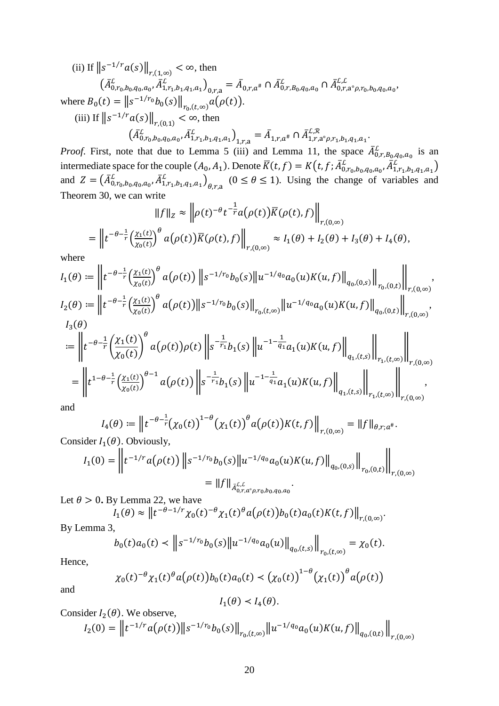(ii) If  $||s^{-1/r} a(s)||_{r,(1,\infty)} < \infty$ , then  $\left(\bar{A}_{0,r_0,b_0,q_0,a_0}^{\mathcal{L}}, \bar{A}_{1,r_1,b_1,q_1,a_1}^{\mathcal{L}}\right)_{0,r,a} = \bar{A}_{0,r,a^{\#}} \cap \bar{A}_{0,r,B_0,q_0,a_0}^{\mathcal{L}} \cap \bar{A}_{0,r,a^{\circ} \rho,r_0,b_0,q_0,a_0}^{\mathcal{L},\mathcal{L}},$  where  $B_0(t) = ||s^{-1/r_0}b_0(s)||_{r_0,(t,\infty)} a(\rho(t)).$ 

(iii) If  $||s^{-1/r}a(s)||_{r,(0,1)} < \infty$ , then

 $(\bar{A}_{0,r_0,b_0,q_0,a_0}^{\mathcal{L}}, \bar{A}_{1,r_1,b_1,q_1,a_1}^{\mathcal{L}})_{1,r,a} = \bar{A}_{1,r,a^*} \cap \bar{A}_{1,r,a^0,p,r_1,b_1,q_1,a_1}^{\mathcal{L},\mathcal{R}}$ <br>*Proof.* First, note that due to Lemma 5 (iii) and Lemma 11, the space  $\bar{A}_{0,r,B_0,q_0,a_0}^{\mathcal{L}}$  is an intermediate space for the couple  $(A_0, A_1)$ . Denote  $\overline{K}(t, f) = K(t, f; \overline{A}_{0,r_0,b_0,q_0,a_0}^C, \overline{A}_{1,r_1,b_1,q_1,a_1}^C)$ <br>and  $Z = (\overline{A}_{0,r_0,b_0,q_0,a_0}^C, \overline{A}_{1,r_1,b_1,q_1,a_1}^C)_{\theta,r,a}$  ( $0 \le \theta \le 1$ ). Using the change of variabl Theorem 30, we can write  $\overline{1}$ 

$$
||f||_Z \approx ||\rho(t)^{-\theta}t^{-\frac{1}{r}}a(\rho(t))\overline{K}(\rho(t),f)||_{r,(0,\infty)}
$$
  
= 
$$
||t^{-\theta-\frac{1}{r}}\left(\frac{\chi_1(t)}{\chi_0(t)}\right)^{\theta}a(\rho(t))\overline{K}(\rho(t),f)||_{r,(0,\infty)} \approx I_1(\theta) + I_2(\theta) + I_3(\theta) + I_4(\theta)
$$

where

$$
I_1(\theta) := \left\| t^{-\theta - \frac{1}{r}} \left( \frac{\chi_1(t)}{\chi_0(t)} \right)^{\theta} a(\rho(t)) \left\| s^{-1/r_0} b_0(s) \right\| u^{-1/q_0} a_0(u) K(u, f) \right\|_{q_0,(0,s)} \right\|_{r_0,(0,t)} \bigg\|_{r,(0,\infty)}
$$
  

$$
I_2(\theta) := \left\| t^{-\theta - \frac{1}{r}} \left( \frac{\chi_1(t)}{\chi_0(t)} \right)^{\theta} a(\rho(t)) \left\| s^{-1/r_0} b_0(s) \right\|_{r_0,(t,\infty)} \left\| u^{-1/q_0} a_0(u) K(u, f) \right\|_{q_0,(0,t)} \right\|_{r,(0,\infty)},
$$
  

$$
I_3(\theta)
$$

$$
:= \left\| t^{-\theta - \frac{1}{r}} \left( \frac{\chi_1(t)}{\chi_0(t)} \right)^{\theta} a(\rho(t)) \rho(t) \right\| s^{-\frac{1}{r_1}} b_1(s) \left\| u^{-1-\frac{1}{q_1}} a_1(u) K(u, f) \right\|_{q_1,(t,s)} \left\| \bigg\|_{r_1,(t,\infty)} \right\|_{r_1,(t,\infty)} \right\|_{r_1,(0,\infty)} = \left\| t^{1-\theta - \frac{1}{r}} \left( \frac{\chi_1(t)}{\chi_0(t)} \right)^{\theta - 1} a(\rho(t)) \left\| s^{-\frac{1}{r_1}} b_1(s) \left\| u^{-1-\frac{1}{q_1}} a_1(u) K(u, f) \right\|_{q_1,(t,s)} \right\|_{r_1,(t,\infty)} \right\|_{r_1,(0,\infty)} ,
$$

and

$$
I_4(\theta) := \left\| t^{-\theta - \frac{1}{r}} (\chi_0(t))^{1-\theta} (\chi_1(t))^{\theta} a(\rho(t)) K(t, f) \right\|_{r, (0, \infty)} = \|f\|_{\theta, r; a^{\#}}.
$$

Consider  $I_1(\theta)$ . Obviously,

$$
I_1(0) = \left\| t^{-1/r} a(\rho(t)) \left\| s^{-1/r_0} b_0(s) \left\| u^{-1/q_0} a_0(u) K(u, f) \right\|_{q_0,(0,s)} \right\|_{r_0,(0,t)} \right\|_{r,(0,\infty)}
$$
  
=  $||f||_{\bar{A}_{0,r,a^{\circ}\rho,r_0,b_0,q_0,a_0}}.$ 

Let  $\theta > 0$ . By Lemma 22, we have

$$
I_1(\theta) \approx ||t^{-\theta - 1/r} \chi_0(t)^{-\theta} \chi_1(t)^{\theta} a(\rho(t)) b_0(t) a_0(t) K(t, f)||_{r, (0,\infty)}.
$$

By Lemma 3,

$$
b_0(t)a_0(t) < ||s^{-1/r_0}b_0(s)||u^{-1/q_0}a_0(u)||_{q_0,(t,s)}||_{r_0,(t,\infty)} = \chi_0(t)
$$

Hence,

$$
\chi_0(t)^{-\theta} \chi_1(t)^{\theta} a(\rho(t)) b_0(t) a_0(t) < (\chi_0(t))^{1-\theta} (\chi_1(t))^{\theta} a(\rho(t))
$$

and

$$
I_1(\theta) < I_4(\theta).
$$

Consider 
$$
I_2(\theta)
$$
. We observe,

$$
I_2(0) = \left\| t^{-1/r} a(\rho(t)) \right\| s^{-1/r_0} b_0(s) \left\|_{r_0(t,\infty)} \| u^{-1/q_0} a_0(u) K(u,f) \right\|_{q_0,(0,t)} \left\|_{r,(0,\infty)} \right\|_{r,(0,\infty)}
$$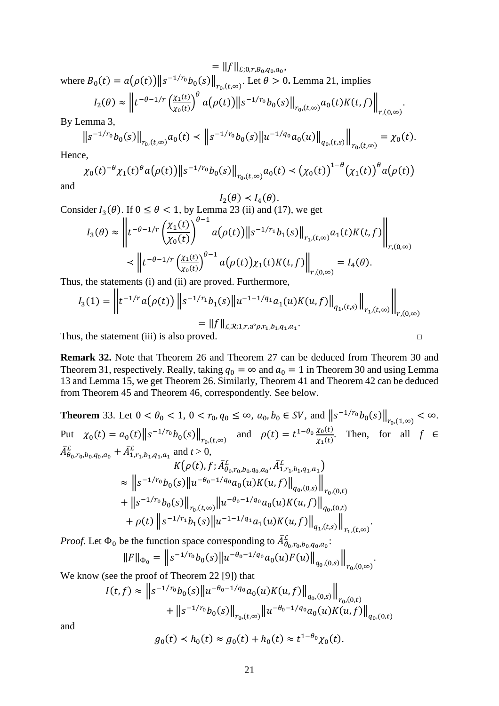$=$   $||f||_{L;0,r,B_0,q_0,a_0},$ where  $B_0(t) = a(\rho(t)) \|\mathbf{s}^{-1/r_0} b_0(\mathbf{s})\|_{r_0, (t, \infty)}$ . Let  $\theta > 0$ . [Lemma 21,](#page-9-0) implies

$$
I_2(\theta) \approx \left\| t^{-\theta - 1/r} \left( \frac{\chi_1(t)}{\chi_0(t)} \right)^{\theta} a(\rho(t)) \right\| s^{-1/r_0} b_0(s) \right\|_{r_0, (t, \infty)} a_0(t) K(t, f) \left\| \int_{r, (0, \infty)} |t - \rho(t)|^{\theta} ds
$$

.

 $\ddot{\phantom{a}}$ 

By [Lemma 3,](#page-2-1)

$$
\left\|s^{-1/r_0}b_0(s)\right\|_{r_0,(t,\infty)}a_0(t) \prec \left\|s^{-1/r_0}b_0(s)\right\|u^{-1/q_0}a_0(u)\right\|_{q_0,(t,s)}\left\|_{r_0,(t,\infty)}=\chi_0(t).
$$

Hence,

$$
\chi_0(t)^{-\theta} \chi_1(t)^{\theta} a(\rho(t)) \big\| s^{-1/r_0} b_0(s) \big\|_{r_0, (t, \infty)} a_0(t) < \big( \chi_0(t) \big)^{1-\theta} \big( \chi_1(t) \big)^{\theta} a(\rho(t))
$$

and

$$
I_2(\theta) < I_4(\theta).
$$

Consider  $I_3(\theta)$ . If  $0 \le \theta < 1$ , by [Lemma 23](#page-11-1) (ii) and (17), we get

$$
I_3(\theta) \approx \left\| t^{-\theta - 1/r} \left( \frac{\chi_1(t)}{\chi_0(t)} \right)^{\theta - 1} a(\rho(t)) \| s^{-1/r_1} b_1(s) \|_{r_1, (t, \infty)} a_1(t) K(t, f) \right\|_{r, (0, \infty)}
$$

$$
\prec \left\| t^{-\theta - 1/r} \left( \frac{\chi_1(t)}{\chi_0(t)} \right)^{\theta - 1} a(\rho(t)) \chi_1(t) K(t, f) \right\|_{r, (0, \infty)} = I_4(\theta).
$$

Thus, the statements (i) and (ii) are proved. Furthermore,

$$
I_3(1) = \left\| t^{-1/r} a(\rho(t)) \left\| s^{-1/r_1} b_1(s) \right\| u^{-1-1/q_1} a_1(u) K(u, f) \right\|_{q_1,(t,s)} \left\| \int_{r_1,(t,\infty)} \right\|_{r,(0,\infty)}
$$
  
=  $||f||_{L,\mathcal{R};1,r,a^{\circ}\rho,r_1,b_1,q_1,a_1}.$ 

Thus, the statement (iii) is also proved.  $□$ 

**Remark 32.** Note that [Theorem 26](#page-13-0) and [Theorem 27](#page-14-0) can be deduced from [Theorem 30](#page-17-0) and [Theorem 31,](#page-18-0) respectively. Really, taking  $q_0 = \infty$  and  $a_0 = 1$  in [Theorem 30](#page-17-0) and using Lemma [13](#page-5-3) and [Lemma 15,](#page-6-0) we get [Theorem 26.](#page-13-0) Similarly, [Theorem 41](#page-30-0) and [Theorem 42](#page-31-0) can be deduced from [Theorem 45](#page-34-0) and [Theorem 46,](#page-35-0) correspondently. See below.

<span id="page-20-0"></span>**Theorem** 33. Let  $0 < \theta_0 < 1$ ,  $0 < r_0$ ,  $q_0 \leq \infty$ ,  $a_0, b_0 \in SV$ , and  $||s^{-1/r_0}b_0(s)||_{r_0,(1,\infty)} < \infty$ . Put  $\chi_0(t) = a_0(t) ||s^{-1/r_0} b_0(s)||_{r_0, (t, \infty)}$  and  $\rho(t) = t^{1-\theta_0} \frac{\chi_0(t)}{\chi_1(t)}$ . Then, for all *f* ∈  $\bar{A}_{\theta_0,r_0,b_0,q_0,a_0}^L + \bar{A}_{1,r_1,b_1,q_1,a_1}^L$  and  $t > 0$ ,  $K(\rho(t), f; \bar{A}^L_{\theta_0, r_0, b_0, q_0, a_0}, \bar{A}^L_{1, r_1, b_1, q_1, a_1})$  $\approx$   $||s^{-1/r_0}b_0(s)||u^{-\theta_0-1/q_0}a_0(u)K(u,f)||_{q_0,(0,s)}||$  $r_{0}$ , $(0,t)$  $+ \|s^{-1/r_0} b_0(s)\|_{r_0,(t,\infty)} \|u^{-\theta_0-1/q_0} a_0(u) K(u,f)\|_{q_0,(0,t)}$ +  $\rho(t)$   $||s^{-1/r_1}b_1(s)||u^{-1-1/q_1}a_1(u)K(u,f)||_{q_1,(t,s)}||$  $r_{1}$ , $(t,\infty)$ .

*Proof.* Let  $\Phi_0$  be the function space corresponding to  $\bar{A}^L_{\theta_0, r_0, b_0, q_0, a_0}$ .

$$
||F||_{\Phi_0} = ||s^{-1/r_0}b_0(s)||u^{-\theta_0 - 1/q_0}a_0(u)F(u)||_{q_0,(0,s)}||_{r_0,(0,\infty)}.
$$

We know (see the proof of Theorem 22 [\[9\]](#page-46-9)) that

$$
I(t,f) \approx \left\| s^{-1/r_0} b_0(s) \left\| u^{-\theta_0 - 1/q_0} a_0(u) K(u,f) \right\|_{q_0,(0,s)} \right\|_{r_0,(0,t)}
$$
  
+ 
$$
\left\| s^{-1/r_0} b_0(s) \right\|_{r_0,(t,\infty)} \left\| u^{-\theta_0 - 1/q_0} a_0(u) K(u,f) \right\|_{q_0,(0,t)}
$$

and

$$
g_0(t) < h_0(t) \approx g_0(t) + h_0(t) \approx t^{1-\theta_0} \chi_0(t).
$$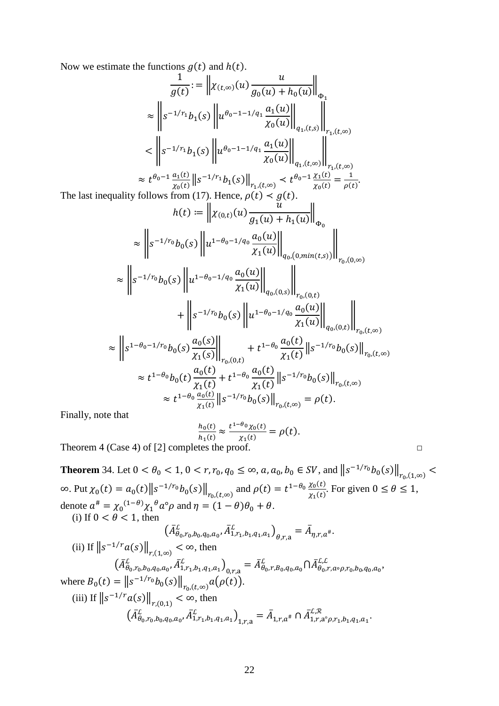Now we estimate the functions  $g(t)$  and  $h(t)$ .

$$
\frac{1}{g(t)} := \left\| \chi_{(t,\infty)}(u) \frac{u}{g_0(u) + h_0(u)} \right\|_{\Phi_1}
$$
\n
$$
\approx \left\| s^{-1/r_1} b_1(s) \left\| u^{\theta_0 - 1 - 1/q_1} \frac{a_1(u)}{\chi_0(u)} \right\|_{q_1,(t,s)} \right\|_{r_1,(t,\infty)}
$$
\n
$$
< \left\| s^{-1/r_1} b_1(s) \left\| u^{\theta_0 - 1 - 1/q_1} \frac{a_1(u)}{\chi_0(u)} \right\|_{q_1,(t,\infty)} \right\|_{r_1,(t,\infty)}
$$
\n
$$
\approx t^{\theta_0 - 1} \frac{a_1(t)}{\chi_0(t)} \left\| s^{-1/r_1} b_1(s) \right\|_{r_1,(t,\infty)} < t^{\theta_0 - 1} \frac{\chi_1(t)}{\chi_0(t)} = \frac{1}{\rho(t)}.
$$
\nin follows from (17). Hence,  $g(t) \le g(t)$ .

The last inequality follows from (17). Hence,  $\rho(t) < g(t)$ .

$$
h(t) := \left\| \chi_{(0,t)}(u) \frac{u}{g_1(u) + h_1(u)} \right\|_{\Phi_0}
$$
  
\n
$$
\approx \left\| s^{-1/r_0} b_0(s) \left\| u^{1-\theta_0-1/q_0} \frac{a_0(u)}{\chi_1(u)} \right\|_{q_0,(0, \min(t,s))} \right\|_{r_0,(0,\infty)}
$$
  
\n
$$
\approx \left\| s^{-1/r_0} b_0(s) \left\| u^{1-\theta_0-1/q_0} \frac{a_0(u)}{\chi_1(u)} \right\|_{q_0,(0,s)} \right\|_{r_0,(0,t)}
$$
  
\n
$$
+ \left\| s^{-1/r_0} b_0(s) \left\| u^{1-\theta_0-1/q_0} \frac{a_0(u)}{\chi_1(u)} \right\|_{q_0,(0,t)} \right\|_{r_0,(t,\infty)}
$$
  
\n
$$
\approx \left\| s^{1-\theta_0-1/r_0} b_0(s) \frac{a_0(s)}{\chi_1(s)} \right\|_{r_0,(0,t)} + t^{1-\theta_0} \frac{a_0(t)}{\chi_1(t)} \left\| s^{-1/r_0} b_0(s) \right\|_{r_0,(t,\infty)}
$$
  
\n
$$
\approx t^{1-\theta_0} b_0(t) \frac{a_0(t)}{\chi_1(t)} + t^{1-\theta_0} \frac{a_0(t)}{\chi_1(t)} \left\| s^{-1/r_0} b_0(s) \right\|_{r_0,(t,\infty)}
$$
  
\n
$$
\approx t^{1-\theta_0} \frac{a_0(t)}{\chi_1(t)} \left\| s^{-1/r_0} b_0(s) \right\|_{r_0,(t,\infty)} = \rho(t).
$$

Finally, note that

$$
\frac{h_0(t)}{h_1(t)} \approx \frac{t^{1-\theta_0} \chi_0(t)}{\chi_1(t)} = \rho(t).
$$

Theorem 4 (Case 4) of [\[2\]](#page-46-2) completes the proof.  $\Box$ 

<span id="page-21-0"></span>**Theorem** 34. Let 
$$
0 < \theta_0 < 1
$$
,  $0 < r, r_0, q_0 \le \infty$ ,  $a, a_0, b_0 \in SV$ , and  $||s^{-1/r_0}b_0(s)||_{r_0,(1,\infty)} < \infty$ . Put  $\chi_0(t) = a_0(t)||s^{-1/r_0}b_0(s)||_{r_0,(t,\infty)}$  and  $\rho(t) = t^{1-\theta_0} \frac{\chi_0(t)}{\chi_1(t)}$ . For given  $0 \le \theta \le 1$ ,  
 denote  $a^{\#} = \chi_0^{(1-\theta)} \chi_1^{\theta} a^{\circ} \rho$  and  $\eta = (1-\theta)\theta_0 + \theta$ .  
\n(i) If  $0 < \theta < 1$ , then  $(\bar{A}_{\theta_0,r_0,b_0,q_0,a_0}^{\mathcal{L}}, \bar{A}_{1,r_1,b_1,q_1,a_1}^{\mathcal{L}})_{\theta,r,a} = \bar{A}_{\eta,r,a^{\#}}$ .  
\n(ii) If  $||s^{-1/r}a(s)||_{r,(1,\infty)} < \infty$ , then  $(\bar{A}_{\theta_0,r_0,b_0,q_0,a_0}^{\mathcal{L}}, \bar{A}_{1,r_1,b_1,q_1,a_1}^{\mathcal{L}})_{0,r,a} = \bar{A}_{\theta_0,r, \theta_0,q_0,a_0}^{\mathcal{L}}$   $(\bar{A}_{\theta_0,r_0,b_0,q_0,a_0}^{\mathcal{L}}$ ,  $\bar{A}_{1,r_1,b_1,q_1,a_1}^{\mathcal{L}})_{0,r,a} = \bar{A}_{\theta_0,r, \theta_0,q_0,a_0}^{\mathcal{L}}$   $(\bar{A}_{\theta_0,r_0,b_0,q_0,a_0}^{\mathcal{L}}$ ,  $\bar{A}_{1,r_1,b_1,q_1,a_1}^{\mathcal{L}}$ )  
\n(iii) If  $||s^{-1/r}a(s)||_{r,(0,1)} < \infty$ , then  $(\bar{A}_{\theta_0,r_0,b_0,q_0,a_0}^{\mathcal{L}}$ ,  $\bar{A}_{1,r_1,b_1,q_1,a_1}^{\mathcal{L}}$ )<sub>1,r,a</sub>  $= \bar{A}_{1,r,a^{\$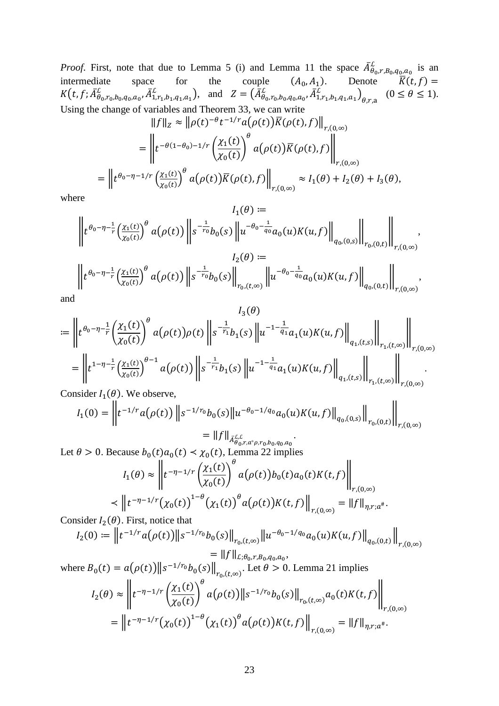*Proof.* First, note that due to Lemma 5 (i) and Lemma 11 the space  $\bar{A}_{\theta_0,r,B_0,q_0,a_0}^{\mathcal{L}}$  is an intermediate space for the couple  $(A_0, A_1)$ . Denote  $\bar{K}(t, f) = K(t, f; \bar{A}_{\theta_0,r_0,b_0,q_0,a_0}^{\mathcal{L}}, \bar{A}_{1,r_1,b_1,q_1,a_1}$ 

$$
\|f\|_{Z} \approx \|\rho(t)^{-\theta}t^{-1/r}a(\rho(t))\overline{K}(\rho(t),f)\|_{r,(0,\infty)}
$$
  

$$
= \left\|t^{-\theta(1-\theta_0)-1/r}\left(\frac{\chi_1(t)}{\chi_0(t)}\right)^{\theta}a(\rho(t))\overline{K}(\rho(t),f)\right\|_{r,(0,\infty)}
$$
  

$$
= \left\|t^{\theta_0-\eta-1/r}\left(\frac{\chi_1(t)}{\chi_0(t)}\right)^{\theta}a(\rho(t))\overline{K}(\rho(t),f)\right\|_{r,(0,\infty)} \approx I_1(\theta) + I_2(\theta) + I_3(\theta),
$$

where

$$
I_1(\theta) := \left\| t^{\theta_0 - \eta - \frac{1}{r}} \left( \frac{\chi_1(t)}{\chi_0(t)} \right)^{\theta} a(\rho(t)) \right\| s^{-\frac{1}{r_0}} b_0(s) \left\| u^{-\theta_0 - \frac{1}{q_0}} a_0(u) K(u, f) \right\|_{q_0,(0,s)} \left\| \bigg\|_{r_0,(0,t)} \right\|_{r,(0,\infty)},
$$
  

$$
I_2(\theta) := \left\| t^{\theta_0 - \eta - \frac{1}{r}} \left( \frac{\chi_1(t)}{\chi_0(t)} \right)^{\theta} a(\rho(t)) \left\| s^{-\frac{1}{r_0}} b_0(s) \right\|_{r_0,(t,\infty)} \left\| u^{-\theta_0 - \frac{1}{q_0}} a_0(u) K(u, f) \right\|_{q_0,(0,t)} \right\|_{r,(0,\infty)},
$$

and

Consider  $I_1(\theta)$ . We observe,

$$
I_1(0) = \left\| t^{-1/r} a(\rho(t)) \left\| s^{-1/r_0} b_0(s) \left\| u^{-\theta_0 - 1/q_0} a_0(u) K(u, f) \right\|_{q_0, (0, s)} \right\|_{r_0, (0, t)} \right\|_{r, (0, \infty)}
$$
  
= 
$$
\left\| f \right\|_{\bar{A}_{\rho}^{LL}} \left\| s^{-2/r} a_0(u) K(u, f) \right\|_{q_0, (0, s)} \left\| r_{0, (0, t)} \right\|_{r, (0, \infty)}
$$

Let 
$$
\theta > 0
$$
. Because  $b_0(t)a_0(t) < \chi_0(t)$ , Lemma 22 implies  
\n
$$
I_1(\theta) \approx \left\| t^{-\eta - 1/r} \left( \frac{\chi_1(t)}{\chi_0(t)} \right)^{\theta} a(\rho(t))b_0(t)a_0(t)K(t, f) \right\|_{r,(0,\infty)}
$$
\n
$$
< \left\| t^{-\eta - 1/r} \left( \chi_0(t) \right)^{1-\theta} \left( \chi_1(t) \right)^{\theta} a(\rho(t))K(t, f) \right\|_{r,(0,\infty)} = \|f\|_{\eta, r; a^{\#}}.
$$

Consider  $I_2(\theta)$ . First, notice that

$$
I_2(0) := \left\| t^{-1/r} a(\rho(t)) \right\| s^{-1/r_0} b_0(s) \left\|_{r_0, (t, \infty)} \| u^{-\theta_0 - 1/q_0} a_0(u) K(u, f) \right\|_{q_0, (0, t)} \left\|_{r, (0, \infty)} \right\|_{r, (0, \infty)}
$$
  
= \|f\|\_{L; \theta\_0, r, B\_0, q\_0, a\_0},

where 
$$
B_0(t) = a(\rho(t)) \|\mathbf{s}^{-1/r_0} b_0(\mathbf{s})\|_{r_0,(t,\infty)}
$$
. Let  $\theta > 0$ . Lemma 21 implies  
\n
$$
I_2(\theta) \approx \left\| t^{-\eta - 1/r} \left( \frac{\chi_1(t)}{\chi_0(t)} \right)^{\theta} a(\rho(t)) \|\mathbf{s}^{-1/r_0} b_0(\mathbf{s})\|_{r_0,(t,\infty)} a_0(t) K(t,f) \right\|_{r,(0,\infty)}
$$
\n
$$
= \left\| t^{-\eta - 1/r} \left( \chi_0(t) \right)^{1-\theta} \left( \chi_1(t) \right)^{\theta} a(\rho(t)) K(t,f) \right\|_{r,(0,\infty)} = \|f\|_{\eta,r;a^*}.
$$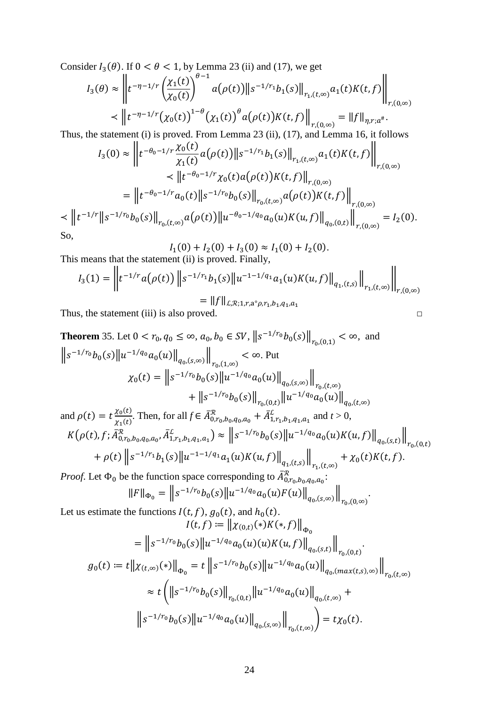Consider  $I_3(\theta)$ . If  $0 < \theta < 1$ , by Lemma 23 (ii) and (17), we get

$$
I_3(\theta) \approx \left\| t^{-\eta - 1/r} \left( \frac{\chi_1(t)}{\chi_0(t)} \right)^{\theta - 1} a(\rho(t)) \right\| s^{-1/r_1} b_1(s) \Big\|_{r_1, (t, \infty)} a_1(t) K(t, f) \Big\|_{r, (0, \infty)}
$$

$$
\prec \left\| t^{-\eta - 1/r} \left( \chi_0(t) \right)^{1 - \theta} \left( \chi_1(t) \right)^{\theta} a(\rho(t)) K(t, f) \right\|_{r, (0, \infty)} = \|f\|_{\eta, r; a^{\#}}.
$$

Thus, the statement (i) is proved. From Lemma 23 (ii), (17), and Lemma 16, it follows

$$
I_3(0) \approx \left\| t^{-\theta_0 - 1/r} \frac{\chi_0(t)}{\chi_1(t)} a(\rho(t)) \right\| s^{-1/r_1} b_1(s) \left\|_{r_1, (t,\infty)} a_1(t) K(t, f) \right\|_{r, (0,\infty)}
$$
  

$$
\prec \left\| t^{-\theta_0 - 1/r} \chi_0(t) a(\rho(t)) K(t, f) \right\|_{r, (0,\infty)}
$$
  

$$
= \left\| t^{-\theta_0 - 1/r} a_0(t) \right\| s^{-1/r_0} b_0(s) \left\|_{r_0, (t,\infty)} a(\rho(t)) K(t, f) \right\|_{r, (0,\infty)}
$$
  

$$
\prec \left\| t^{-1/r} \right\| s^{-1/r_0} b_0(s) \left\|_{r_0, (t,\infty)} a(\rho(t)) \left\| u^{-\theta_0 - 1/q_0} a_0(u) K(u, f) \right\|_{q_0, (0,t)} \right\|_{r, (0,\infty)} = I_2(0).
$$
  
So,

$$
I_1(0) + I_2(0) + I_3(0) \approx I_1(0) + I_2(0).
$$
 This means that the statement (ii) is proved. Finally,

$$
I_3(1) = \left\| t^{-1/r} a(\rho(t)) \left\| s^{-1/r_1} b_1(s) \left\| u^{-1-1/q_1} a_1(u) K(u, f) \right\|_{q_1,(t,s)} \right\|_{r_1,(t,\infty)} \right\|_{r,(0,\infty)}
$$
  
=  $||f||_{L,\mathcal{R};1,r,a^{\circ}\rho,r_1,b_1,q_1,a_1}$ 

Thus, the statement (iii) is also proved.

<span id="page-23-0"></span>**Theorem** 35. Let 
$$
0 < r_0, q_0 \le \infty, a_0, b_0 \in SV
$$
,  $||s^{-1/r_0}b_0(s)||_{r_{0}(0,1)} < \infty$ , and  
\n $||s^{-1/r_0}b_0(s)||u^{-1/q_0}a_0(u)||_{q_0,(s,\infty)}||_{r_{0}(1,\infty)} < \infty$ . Put  
\n
$$
\chi_0(t) = ||s^{-1/r_0}b_0(s)||u^{-1/q_0}a_0(u)||_{q_0,(s,\infty)}||_{r_{0},(t,\infty)} \n+ ||s^{-1/r_0}b_0(s)||_{r_{0},(0,t)} ||u^{-1/q_0}a_0(u)||_{q_0,(t,\infty)} \nand \rho(t) = t \frac{\chi_0(t)}{\chi_1(t)}
$$
. Then, for all  $f \in \overline{A}_{0,r_0,b_0,q_0,a_0}^R + \overline{A}_{1,r_1,b_1,q_1,a_1}^L$  and  $t > 0$ ,  
\n
$$
K(\rho(t), f; \overline{A}_{0,r_0,b_0,q_0,a_0}^R, \overline{A}_{1,r_1,b_1,q_1,a_1}^L) \approx ||s^{-1/r_0}b_0(s)||u^{-1/q_0}a_0(u)K(u, f)||_{q_0,(s,t)}||_{r_{0},(0,t)} \n+ \rho(t) ||s^{-1/r_1}b_1(s)||u^{-1-1/q_1}a_1(u)K(u, f)||_{q_1,(t,s)}||_{r_1,(t,\infty)} + \chi_0(t)K(t, f).
$$

*Proof.* Let  $\Phi_0$  be the function space corresponding to  $\bar{A}_{0,r_0,b_0,q_0,a_0}^{\mathcal{R}}$ :

$$
||F||_{\Phi_0} = ||s^{-1/r_0}b_0(s)||u^{-1/q_0}a_0(u)F(u)||_{q_0,(s,\infty)}||_{r_0,(0,\infty)}.
$$

Let us estimate the functions  $I(t, f)$ ,  $g_0(t)$ , and  $h_0(t)$ .<br> $I(t, f) := ||\mathbf{v}_{(0,t)}(*)K(*, f)||$ 

$$
I(t, f) := ||\chi_{(0,t)}(*)K(*, f)||_{\Phi_0}
$$
  
\n
$$
= ||s^{-1/r_0}b_0(s)||u^{-1/q_0}a_0(u)(u)K(u, f)||_{q_0,(s,t)}||_{r_{0},(0,t)}.
$$
  
\n
$$
g_0(t) := t||\chi_{(t,\infty)}(*)||_{\Phi_0} = t ||s^{-1/r_0}b_0(s)||u^{-1/q_0}a_0(u)||_{q_0,(\max(t,s),\infty)}||_{r_{0},(t,\infty)}
$$
  
\n
$$
\approx t (||s^{-1/r_0}b_0(s)||_{r_{0},(0,t)}||u^{-1/q_0}a_0(u)||_{q_0,(t,\infty)} +
$$
  
\n
$$
||s^{-1/r_0}b_0(s)||u^{-1/q_0}a_0(u)||_{q_0,(s,\infty)}||_{r_0,(t,\infty)} = t\chi_0(t).
$$

 $\Box$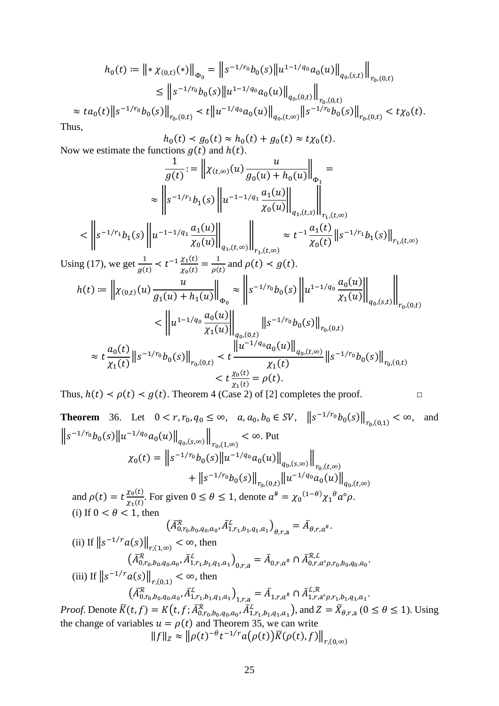$$
h_0(t) := \left\| * \chi_{(0,t)}(*) \right\|_{\Phi_0} = \left\| s^{-1/r_0} b_0(s) \left\| u^{1-1/q_0} a_0(u) \right\|_{q_0,(s,t)} \right\|_{r_0,(0,t)}
$$
  
\n
$$
\leq \left\| s^{-1/r_0} b_0(s) \left\| u^{1-1/q_0} a_0(u) \right\|_{q_0,(0,t)} \right\|_{r_0,(0,t)}
$$
  
\n
$$
\approx ta_0(t) \left\| s^{-1/r_0} b_0(s) \right\|_{r_0,(0,t)} < t \left\| u^{-1/q_0} a_0(u) \right\|_{q_0,(t,\infty)} \left\| s^{-1/r_0} b_0(s) \right\|_{r_0,(0,t)} < t \chi_0(t).
$$

Thus,

$$
h_0(t) < g_0(t) \approx h_0(t) + g_0(t) \approx t \chi_0(t).
$$
\n\n
$$
\text{arccos } g(t) \text{ and } h(t).
$$

Now we estimate the fu  $\overline{1}$  $\overline{g(t)} := ||x_{(t,\infty)}(u)|$  $\frac{u}{\sqrt{2}}$  $g_0(u) + h_0(u)$ <sub> $\phi_1$ </sub> =  $\frac{\Phi_1}{\cdot \cdot \cdot}$  $\approx \left\| s^{-1/r_1} b_1(s) \right\| u^{-1-1/q_1} \frac{a_1(u)}{a_2(u)}$  $\overline{\chi_0(u)}$  $q_{1}$ , $(t,s)$  $\mathbb I$  $r_1$ , $(t,\infty)$ 

$$
\langle \left\| s^{-1/r_1} b_1(s) \left\| u^{-1-1/q_1} \frac{a_1(u)}{\chi_0(u)} \right\|_{q_1, (t, \infty)} \right\|_{r_1, (t, \infty)} \approx t^{-1} \frac{a_1(t)}{\chi_0(t)} \| s^{-1/r_1} b_1(s) \|_{r_1, (t, \infty)}
$$

Using (17), we get  $\frac{1}{g(t)} < t^{-1} \frac{\chi_1(t)}{\chi_0(t)} = \frac{1}{\rho(t)}$  and  $\rho(t) < g(t)$ .

$$
h(t) := \left\| \chi_{(0,t)}(u) \frac{u}{g_1(u) + h_1(u)} \right\|_{\Phi_0} \approx \left\| s^{-1/r_0} b_0(s) \left\| u^{1-1/q_0} \frac{a_0(u)}{\chi_1(u)} \right\|_{q_0,(s,t)} \right\|_{r_{0},(0,t)}
$$
  

$$
< \left\| u^{1-1/q_0} \frac{a_0(u)}{\chi_1(u)} \right\|_{q_0,(0,t)} \left\| s^{-1/r_0} b_0(s) \right\|_{r_{0},(0,t)}
$$
  

$$
\approx t \frac{a_0(t)}{\chi_1(t)} \left\| s^{-1/r_0} b_0(s) \right\|_{r_{0},(0,t)} < t \frac{\left\| u^{-1/q_0} a_0(u) \right\|_{q_0,(t,\infty)}}{\chi_1(t)} \left\| s^{-1/r_0} b_0(s) \right\|_{r_{0},(0,t)}
$$
  

$$
< t \frac{\chi_0(t)}{\chi_1(t)} = \rho(t).
$$

Thus,  $h(t) < \rho(t) < g(t)$ . Theorem 4 (Case 2) of [\[2\]](#page-46-2) completes the proof. □

**Theorem** 36. Let 
$$
0 < r, r_0, q_0 \le \infty
$$
,  $a, a_0, b_0 \in SV$ ,  $||s^{-1/r_0}b_0(s)||_{r_{0}(0,1)} < \infty$ , and  
\n
$$
||s^{-1/r_0}b_0(s)||u^{-1/q_0}a_0(u)||_{q_{0}(s,\infty)}||_{r_{0}(1,\infty)} < \infty
$$
. Put  
\n
$$
\chi_0(t) = ||s^{-1/r_0}b_0(s)||u^{-1/q_0}a_0(u)||_{q_{0}(s,\infty)}||_{r_{0}(t,\infty)} \n+ ||s^{-1/r_0}b_0(s)||_{r_{0}(0,t)}||u^{-1/q_0}a_0(u)||_{q_{0}(t,\infty)}
$$
\nand  $\rho(t) = t \frac{\chi_0(t)}{\chi_1(t)}$ . For given  $0 \le \theta \le 1$ , denote  $a^{\#} = \chi_0^{(1-\theta)}\chi_1^{\theta}a^{\circ}\rho$ .  
\n(i) If  $0 < \theta < 1$ , then  
\n
$$
(A_{0,r_0,b_0,q_0,a_0}^{\mathcal{R}}, \overline{A}_{1,r_1,b_1,q_1,a_1}^{\mathcal{L}})_{\theta,r,a} = \overline{A}_{\theta,r,a^{\#}}
$$
\n(ii) If  $||s^{-1/r}a(s)||_{r,(1,\infty)} < \infty$ , then  
\n
$$
(\overline{A}_{0,r_0,b_0,q_0,a_0}^{\mathcal{R}}, \overline{A}_{1,r_1,b_1,q_1,a_1}^{\mathcal{L}})_{0,r,a} = \overline{A}_{0,r,a^{\#}} \cap \overline{A}_{0,r,a^{\circ}\rho,r_0,b_0,q_0,a_0}^{\mathcal{R}}
$$
\n(iii) If  $||s^{-1/r}a(s)||_{r,(0,1)} < \infty$ , then  
\n
$$
(\overline{A}_{0,r_0,b_0,q_0,a_0}^{\mathcal{R}}, \overline{A}_{1,r_1,b_1,q_1,a_1}^{\mathcal{L}})_{1,r,a} = \overline{A}_{1,r,a^{\#}} \cap \overline{A}_{1,r,a^{\circ}\rho,r_1,b_1,q_1,a_1}^{\mathcal{L}}
$$
\nProof. Denote  $\overline{K}(t, f) =$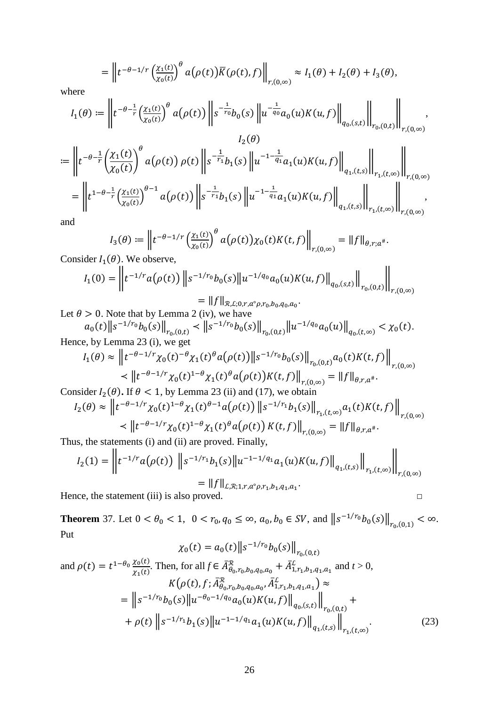$$
= \left\| t^{-\theta-1/r} \left( \frac{\chi_1(t)}{\chi_0(t)} \right)^{\theta} a(\rho(t)) \overline{K}(\rho(t),f) \right\|_{r,(0,\infty)} \approx I_1(\theta) + I_2(\theta) + I_3(\theta),
$$

where

$$
I_1(\theta) := \left\| t^{-\theta - \frac{1}{r}} \left( \frac{\chi_1(t)}{\chi_0(t)} \right)^{\theta} a(\rho(t)) \right\| s^{-\frac{1}{r_0}} b_0(s) \left\| u^{-\frac{1}{q_0}} a_0(u) K(u, f) \right\|_{q_0,(s,t)} \right\|_{r_0,(0,t)} \le \int_{r,(0,\infty)} \left\| u^{-\frac{1}{r_0}} a_0(u) K(u, f) \right\|_{r_0,(0,t)} \le \int_{r,(0,\infty)} \left\| u^{-\frac{1}{r_0}} a_0(u) K(u, f) \right\|_{r_0,(0,t)} \le \int_{r,(0,\infty)} \left\| u^{-\frac{1}{r_0}} a_0(u) K(u, f) \right\|_{r_0,(0,t)} \le \int_{r,(0,\infty)} \left\| u^{-\frac{1}{r_0}} a_0(u) K(u, f) \right\|_{r_0,(0,t)} \le \int_{r,(0,\infty)} \left\| u^{-\frac{1}{r_0}} a_0(u) K(u, f) \right\|_{r_0,(0,t)} \le \int_{r,(0,\infty)} \left\| u^{-\frac{1}{r_0}} a_0(u) K(u, f) \right\|_{r_0,(0,t)} \le \int_{r,(0,\infty)} \left\| u^{-\frac{1}{r_0}} a_0(u) K(u, f) \right\|_{r_0,(0,t)} \le \int_{r,(0,\infty)} \left\| u^{-\frac{1}{r_0}} a_0(u) K(u, f) \right\|_{r_0,(0,t)} \le \int_{r,(0,\infty)} \left\| u^{-\frac{1}{r_0}} a_0(u) K(u, f) \right\|_{r_0,(0,t)} \le \int_{r,(0,\infty)} \left\| u^{-\frac{1}{r_0}} a_0(u) K(u, f) \right\|_{r_0,(0,t)} \le \int_{r,(0,\infty)} \left\| u^{-\frac{1}{r_0}} a_0(u) K(u, f) \right\|_{r_0,(0,t)} \le \int_{r,(0,\infty)} \left\| u^{-\frac{1}{r_0}} a_0(u) K(u, f) \right\|_{r_0,(0,t)} \le \int_{r,(0,\infty)} \left\| u^{-\frac{1}{r_0}} a_0(u) K(u, f) \right\|_{r_0,(0,t)} \le
$$

$$
= \left\| t^{-\theta - \frac{1}{r}} \left( \frac{\chi_1(t)}{\chi_0(t)} \right)^{\theta} a(\rho(t)) \rho(t) \right\| s^{-\frac{1}{r_1}} b_1(s) \left\| u^{-1-\frac{1}{q_1}} a_1(u) K(u, f) \right\|_{q_1,(t,s)} \left\| \bigg\|_{r_1,(t,\infty)} \right\|_{r,(0,\infty)} = \left\| t^{1-\theta - \frac{1}{r}} \left( \frac{\chi_1(t)}{\chi_0(t)} \right)^{\theta - 1} a(\rho(t)) \left\| s^{-\frac{1}{r_1}} b_1(s) \left\| u^{-1-\frac{1}{q_1}} a_1(u) K(u, f) \right\|_{q_1,(t,s)} \right\|_{r_1,(t,\infty)} \right\|_{r,(0,\infty)} ,
$$

and

$$
I_3(\theta) := \left\| t^{-\theta - 1/r} \left( \frac{\chi_1(t)}{\chi_0(t)} \right)^{\theta} a(\rho(t)) \chi_0(t) K(t, f) \right\|_{r, (0, \infty)} = \|f\|_{\theta, r; a^{\#}}.
$$

Consider  $I_1(\theta)$ . We observe,

$$
I_1(0) = \left\| t^{-1/r} a(\rho(t)) \left\| s^{-1/r_0} b_0(s) \right\| u^{-1/q_0} a_0(u) K(u, f) \right\|_{q_0,(s,t)} \left\| \int_{r_0(0,t)} \right\|_{r,(0,\infty)}
$$
  
= 
$$
||f||_{\mathcal{R}, \mathcal{L}; 0, r, a^\circ \rho, r_0, b_0, q_0, a_0}.
$$

Let  $\theta > 0$ . Note that by Lemma 2 (iv), we have<br>  $a_0(t) \|s^{-1/r_0} b_0(s)\|_{r_0,(0,t)} < \|s^{-1/r_0} b_0(s)\|_{r_0,(0,t)} \|u^{-1/q_0} a_0(u)\|_{q_0,(t,\infty)} < \chi_0(t)$ . Hence, by Lemma 23 (i), we get

$$
I_1(\theta) \approx \left\| t^{-\theta - 1/r} \chi_0(t)^{-\theta} \chi_1(t)^{\theta} a(\rho(t)) \right\| s^{-1/r_0} b_0(s) \right\|_{r_0,(0,t)} a_0(t) K(t,f) \Big\|_{r,(0,\infty)}
$$
  

$$
\leq \left\| t^{-\theta - 1/r} \chi_0(t)^{1-\theta} \chi_1(t)^{\theta} a(\rho(t)) K(t,f) \right\|_{r,(0,\infty)} = \|f\|_{\theta, r, a^{\#}}.
$$

Consider  $I_2(\theta)$ . If  $\theta < 1$ , by Lemma 23 (ii) and (17), we obtain

$$
I_2(\theta) \approx \left\| t^{-\theta - 1/r} \chi_0(t)^{1-\theta} \chi_1(t)^{\theta - 1} a(\rho(t)) \left\| s^{-1/r_1} b_1(s) \right\|_{r_1, (t, \infty)} a_1(t) K(t, f) \right\|_{r, (0, \infty)}
$$
  

$$
\leq \left\| t^{-\theta - 1/r} \chi_0(t)^{1-\theta} \chi_1(t)^{\theta} a(\rho(t)) K(t, f) \right\|_{r, (0, \infty)} = \left\| f \right\|_{\theta, r, a^{\#}}.
$$

Thus, the statements (i) and (ii) are proved. Finally,

$$
I_2(1) = \left\| t^{-1/r} a(\rho(t)) \left\| s^{-1/r_1} b_1(s) \| u^{-1-1/q_1} a_1(u) K(u, f) \right\|_{q_1,(t,s)} \right\|_{r_1,(t,\infty)} \right\|_{r,(0,\infty)}
$$
  
= \|f\|\_{L,R;1,r,a^{\circ} \rho, r\_1, b\_1, q\_1, a\_1}.

 $\Box$ 

Hence, the statement (iii) is also proved.

<span id="page-25-0"></span>**Theorem** 37. Let  $0 < \theta_0 < 1$ ,  $0 < r_0, q_0 \le \infty$ ,  $a_0, b_0 \in SV$ , and  $||s^{-1/r_0}b_0(s)||_{r_0,(0,1)} < \infty$ . Put  $C_1$   $\sqrt{||}$   $\frac{1}{r_0}$   $\sqrt{||}$ 

$$
\chi_0(t) = a_0(t) \|s^{-1/r_0} b_0(s)\|_{r_0,(0,t)}
$$
  
and  $\rho(t) = t^{1-\theta_0} \frac{\chi_0(t)}{\chi_1(t)}$ . Then, for all  $f \in \bar{A}_{\theta_0, r_0, b_0, q_0, a_0}^R + \bar{A}_{1, r_1, b_1, q_1, a_1}^L$  and  $t > 0$ ,  

$$
K(\rho(t), f; \bar{A}_{\theta_0, r_0, b_0, q_0, a_0}^R, \bar{A}_{1, r_1, b_1, q_1, a_1}^L) \approx
$$

$$
= \|s^{-1/r_0} b_0(s) \|u^{-\theta_0 - 1/q_0} a_0(u) K(u, f)\|_{q_0,(s,t)}\|_{r_0,(0,t)} +
$$

$$
+ \rho(t) \|s^{-1/r_1} b_1(s) \|u^{-1-1/q_1} a_1(u) K(u, f)\|_{q_1,(t,s)}\|_{r_1,(t,\infty)}.
$$
(23)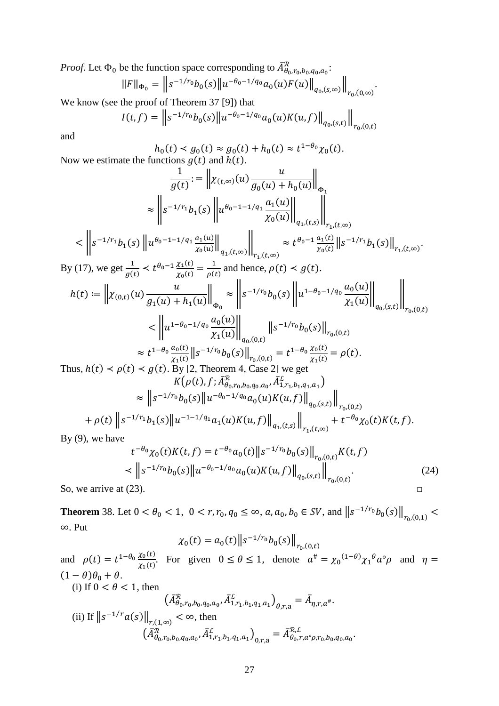*Proof.* Let  $\Phi_0$  be the function space corresponding to  $A_{\theta_0, r_0, b_0, q_0, a_0}^{\mathcal{R}}$ :

$$
||F||_{\Phi_0} = ||s^{-1/r_0}b_0(s)||u^{-\theta_0 - 1/q_0}a_0(u)F(u)||_{q_0,(s,\infty)}||_{r_0,(0,\infty)}
$$

.

We know (see the proof of Theorem 37 [\[9\]](#page-46-9)) that

$$
I(t,f) = \left\| s^{-1/r_0} b_0(s) \left\| u^{-\theta_0 - 1/q_0} a_0(u) K(u,f) \right\|_{q_0,(s,t)} \right\|_{r_0,(0,t)}
$$

and

 $h_0(t) < g_0(t) \approx g_0(t) + h_0(t) \approx t^{1-\theta_0} \chi_0(t).$ Now we estimate the functions  $g(t)$  and  $h(t)$ .

$$
\frac{1}{g(t)} := \left\| \chi_{(t,\infty)}(u) \frac{u}{g_0(u) + h_0(u)} \right\|_{\Phi_1}
$$
\n
$$
\approx \left\| s^{-1/r_1} h_1(s) \left\| u^{\theta_0 - 1 - 1/q_1} \frac{a_1(u)}{x_0(u)} \right\|_{q_1,(t,s)} \right\|_{r_1,(t,\infty)}
$$
\n
$$
< \left\| s^{-1/r_1} h_1(s) \left\| u^{\theta_0 - 1 - 1/q_1} \frac{a_1(u)}{x_0(u)} \right\|_{q_1,(t,\infty)} \right\|_{r_1,(t,\infty)} \approx t^{\theta_0 - 1} \frac{a_1(t)}{x_0(t)} \left\| s^{-1/r_1} h_1(s) \right\|_{r_1,(t,\infty)}
$$
\nBy (17), we get  $\frac{1}{g(t)} < t^{\theta_0 - 1} \frac{x_1(t)}{x_0(t)} = \frac{1}{\rho(t)}$  and hence,  $\rho(t) < g(t)$ .

$$
h(t) := \left\| \chi_{(0,t)}(u) \frac{u}{g_1(u) + h_1(u)} \right\|_{\Phi_0} \approx \left\| s^{-1/r_0} b_0(s) \left\| u^{1-\theta_0-1/q_0} \frac{a_0(u)}{\chi_1(u)} \right\|_{q_0,(s,t)} \right\|_{r_0,(0,t)}
$$
  

$$
< \left\| u^{1-\theta_0-1/q_0} \frac{a_0(u)}{\chi_1(u)} \right\|_{q_0,(0,t)} \left\| s^{-1/r_0} b_0(s) \right\|_{r_0,(0,t)}
$$
  

$$
\approx t^{1-\theta_0} \frac{a_0(t)}{\chi_1(t)} \left\| s^{-1/r_0} b_0(s) \right\|_{r_0,(0,t)} = t^{1-\theta_0} \frac{\chi_0(t)}{\chi_1(t)} = \rho(t).
$$
  
Thus,  $h(t) < \rho(t) < g(t)$ . By [2, Theorem 4, Case 2] we get

$$
K(\rho(t), f; \bar{A}_{\theta_0, r_0, b_0, q_0, a_0}^R, \bar{A}_{1, r_1, b_1, q_1, a_1}^R)
$$
  
\n
$$
\approx ||s^{-1/r_0}b_0(s)||u^{-\theta_0 - 1/q_0}a_0(u)K(u, f)||_{q_0,(s,t)}||_{r_0,(0,t)}
$$
  
\n
$$
+ \rho(t) ||s^{-1/r_1}b_1(s)||u^{-1-1/q_1}a_1(u)K(u, f)||_{q_1,(t,s)}||_{r_1,(t,\infty)} + t^{-\theta_0}\chi_0(t)K(t, f).
$$

By  $(9)$ , we have

$$
t^{-\theta_0} \chi_0(t) K(t, f) = t^{-\theta_0} a_0(t) \|s^{-1/r_0} b_0(s)\|_{r_{0,}(0,t)} K(t, f)
$$
  
< 
$$
\langle \|s^{-1/r_0} b_0(s)\|u^{-\theta_0 - 1/q_0} a_0(u) K(u, f)\|_{q_{0,}(s,t)}\|_{r_{0,}(0,t)}.
$$
 (24)  
So, we arrive at (23).

<span id="page-26-0"></span>**Theorem** 38. Let  $0 < \theta_0 < 1$ ,  $0 < r, r_0, q_0 \le \infty$ ,  $a, a_0, b_0 \in SV$ , and  $||s^{-1/r_0}b_0(s)||_{r_0,(0,1)} <$ ∞. Put

$$
\chi_0(t) = a_0(t) \|s^{-1/r_0} b_0(s)\|_{r_{0}(0,t)}
$$

and  $\rho(t) = t^{1-\theta_0} \frac{\chi_0(t)}{\chi_1(t)}$ . For given  $0 \le \theta \le 1$ , denote  $\alpha^{\#} = {\chi_0}^{(1-\theta)} {\chi_1}^{\theta} \alpha^{\circ} \rho$  and  $\eta =$  $(1 - \theta)\theta_0 + \theta$ . (i) If  $0 < \theta < 1$ , then  $\left(\bar{A}_{\theta_0,r_0,b_0,q_0,a_0}^{\mathcal{R}},\bar{A}_{1,r_1,b_1,q_1,a_1}^{\mathcal{L}}\right)_{\theta,r,a}=\bar{A}_{\eta,r,a^{\#}}.$ (ii) If  $||s^{-1/r}a(s)||_{r,(1,\infty)} < \infty$ , then  $\left(\bar{A}_{\theta_0,r_0,b_0,q_0,a_0}^{\mathcal{R}},\bar{A}_{1,r_1,b_1,q_1,a_1}^{\mathcal{L}}\right)_{0,r,a}=\bar{A}_{\theta_0,r,a^{\circ}\rho,r_0,b_0,q_0,a_0}^{\mathcal{R},L}.$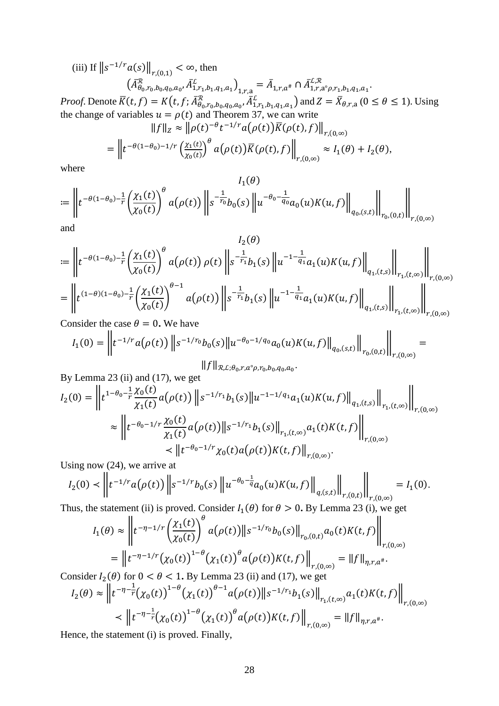(iii) If  $||s^{-1/r}a(s)||_{r,(0,1)} < \infty$ , then

$$
\left(\bar{A}_{\theta_{0},r_{0},b_{0},q_{0},a_{0}}^{R},\bar{A}_{1,r_{1},b_{1},q_{1},a_{1}}^{L}\right)_{1,r_{\alpha}} = \bar{A}_{1,r,a^{*}} \cap \bar{A}_{1,r,a^{0},p,r_{1},b_{1},q_{1},a_{1}}^{L,R}.
$$
\n
$$
\left(\bar{A}_{1,r,a^{0},p,r_{1},b_{1},q_{1},a_{1}}^{R},\bar{A}_{1,r,a^{0},p,r_{1},b_{1},q_{1},a_{1}}^{L,R}\right)_{\text{ord }Z} = \bar{V}
$$

*Proof.* Denote  $\overline{K}(t, f) = K(t, f; \overline{A}_{\theta_0, r_0, b_0, q_0, a_0}^{\mathcal{R}}, \overline{A}_{1, r_1, b_1, q_1, a_1}^{\mathcal{L}})$  and  $Z = \overline{X}_{\theta, r, a}$   $(0 \le \theta \le 1)$ . Using the change of variables  $u = \rho(t)$  and Theorem 37, we can write  $\|f\|_{\alpha} \approx \|o(t)^{-\theta}t^{-1/r}a(o(t))\overline{K}(o(t),f)\|$ 

$$
\|f\|_Z \sim \|p(t) - t - u(p(t))R(p(t), f)\|_{r,(0,\infty)}
$$
  
= 
$$
\left\|t^{-\theta(1-\theta_0)-1/r}\left(\frac{\chi_1(t)}{\chi_0(t)}\right)^{\theta}a(\rho(t))\overline{R}(\rho(t), f)\right\|_{r,(0,\infty)} \approx I_1(\theta) + I_2(\theta),
$$

where

$$
I_1(\theta)
$$
  
 :=  $\left\| t^{-\theta(1-\theta_0) - \frac{1}{r}} \left( \frac{\chi_1(t)}{\chi_0(t)} \right)^{\theta} a(\rho(t)) \right\| s^{-\frac{1}{r_0}} b_0(s) \left\| u^{-\theta_0 - \frac{1}{q_0}} a_0(u) K(u, f) \right\|_{q_0,(s,t)} \right\|_{r_0,(0,t)} \right\|_{r,(0,\infty)}$ 

and

$$
I_2(\theta)
$$
\n
$$
:= \left\| t^{-\theta(1-\theta_0) - \frac{1}{r}} \left( \frac{\chi_1(t)}{\chi_0(t)} \right)^{\theta} a(\rho(t)) \rho(t) \right\| s^{-\frac{1}{r_1}} b_1(s) \left\| u^{-1-\frac{1}{q_1}} a_1(u) K(u, f) \right\|_{q_1,(t,s)} \left\| \int_{r_1,(t,\infty)} \right\|_{r,(0,\infty)}
$$
\n
$$
= \left\| t^{(1-\theta)(1-\theta_0) - \frac{1}{r}} \left( \frac{\chi_1(t)}{\chi_0(t)} \right)^{\theta-1} a(\rho(t)) \right\| s^{-\frac{1}{r_1}} b_1(s) \left\| u^{-1-\frac{1}{q_1}} a_1(u) K(u, f) \right\|_{q_1,(t,s)} \left\| \int_{r_1,(t,\infty)} \right\|_{r,(0,\infty)}
$$

Consider the case  $\theta = 0$ . We have  $\sim$  11

$$
I_1(0) = \left\| t^{-1/r} a(\rho(t)) \left\| s^{-1/r_0} b_0(s) \left\| u^{-\theta_0 - 1/q_0} a_0(u) K(u, f) \right\|_{q_0,(s,t)} \right\|_{r_0,(0,t)} = 0
$$

 $IIJ \, II\mathcal{R},\mathcal{L};\theta_0,r,a^\circ\rho,r_0,b_0,q_0,a_0$ 

By Lemma 23 (ii) and (17), we get  
\n
$$
I_2(0) = \left\| t^{1-\theta_0 - \frac{1}{r}} \frac{\chi_0(t)}{\chi_1(t)} a(\rho(t)) \right\| s^{-1/r_1} b_1(s) \| u^{-1-1/q_1} a_1(u) K(u, f) \|_{q_1,(t,s)} \|_{r_1,(t,\infty)} \right\|_{r,(0,\infty)}
$$
\n
$$
\approx \left\| t^{-\theta_0 - 1/r} \frac{\chi_0(t)}{\chi_1(t)} a(\rho(t)) \| s^{-1/r_1} b_1(s) \|_{r_1,(t,\infty)} a_1(t) K(t, f) \right\|_{r,(0,\infty)}
$$
\n
$$
\leq \left\| t^{-\theta_0 - 1/r} \chi_0(t) a(\rho(t)) K(t, f) \right\|_{r,(0,\infty)}.
$$

Using now  $(24)$ , we arrive at

$$
I_2(0) \prec \left\| t^{-1/r} a(\rho(t)) \left\| s^{-1/r} b_0(s) \left\| u^{-\theta_0 - \frac{1}{q}} a_0(u) K(u,f) \right\|_{q,(s,t)} \right\|_{r,(0,t)} = I_1(0).
$$

Thus, the statement (ii) is proved. Consider  $I_1(\theta)$  for  $\theta > 0$ . By Lemma 23 (i), we get

$$
I_1(\theta) \approx \left\| t^{-\eta - 1/r} \left( \frac{\chi_1(t)}{\chi_0(t)} \right)^{\theta} a(\rho(t)) \right\| s^{-1/r_0} b_0(s) \left\|_{r_0(0,t)} a_0(t) K(t, f) \right\|_{r, (0,\infty)}
$$
  
=  $\left\| t^{-\eta - 1/r} \left( \chi_0(t) \right)^{1-\theta} \left( \chi_1(t) \right)^{\theta} a(\rho(t)) K(t, f) \right\|_{r, (0,\infty)} = \left\| f \right\|_{\eta, r, a^{\#}}.$ 

Consider  $I_2(\theta)$  for  $0 < \theta < 1$ . By Lemma 23 (ii) and (17), we get

$$
I_2(\theta) \approx \left\| t^{-\eta - \frac{1}{r}} (\chi_0(t))^{1-\theta} (\chi_1(t))^{\theta - 1} a(\rho(t)) \right\| s^{-1/r_1} b_1(s) \Big\|_{r_1, (t, \infty)} a_1(t) K(t, f) \Big\|_{r, (0, \infty)}
$$

$$
\prec \left\| t^{-\eta - \frac{1}{r}} (\chi_0(t))^{1-\theta} (\chi_1(t))^{\theta} a(\rho(t)) K(t, f) \right\|_{r, (0, \infty)} = \left\| f \right\|_{\eta, r, a^*}.
$$

Hence, the statement (i) is proved. Finally,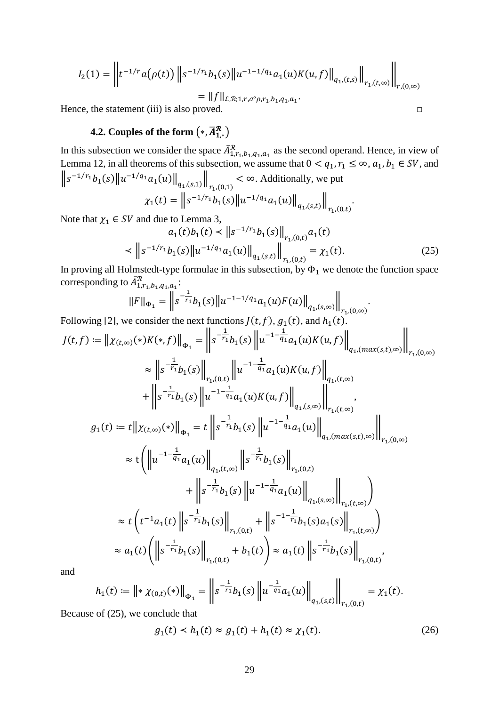$$
I_2(1) = \left\| t^{-1/r} a(\rho(t)) \left\| s^{-1/r_1} b_1(s) \left\| u^{-1-1/q_1} a_1(u) K(u, f) \right\|_{q_1,(t,s)} \right\|_{r_1,(t,\infty)} \right\|_{r,(0,\infty)}
$$
  
= 
$$
\left\| f \right\|_{\mathcal{L},\mathcal{R};1,r,a^{\circ}\rho,r_1,b_1,q_1,a_1}.
$$

<span id="page-28-1"></span>Hence, the statement (iii) is also proved.  $□$ 

# <span id="page-28-0"></span>**4.2.** Couples of the form  $(*, A^{\mathcal{R}}_{1,*})$

In this subsection we consider the space  $A_{1,r_1,b_1,q_1,a_1}^{\mathcal{R}}$  as the second operand. Hence, in view of [Lemma 12,](#page-5-2) in all theorems of this subsection, we assume that  $0 < q_1, r_1 \le \infty, a_1, b_1 \in SV$ , and  $\|s^{-1/r_1}b_1(s)\|u^{-1/q_1}a_1(u)\|_{q_1,(s,1)}\|$  $r_{1}$ , $(0,1)$ < ∞. Additionally, we put  $\chi_1(t) = ||s^{-1/r_1}b_1(s)||u^{-1/q_1}a_1(u)||_a$  $\mathbb I$ .

$$
\lambda_1(\varepsilon) = \|\varepsilon - \varepsilon_1(\varepsilon)\| \varepsilon - \alpha_1(\varepsilon) \|\varepsilon\|_{q_1}
$$
  
Note that  $\chi_1 \in SV$  and due to Lemma 3,

$$
a_1(t)b_1(t) < ||s^{-1/r_1}b_1(s)||_{r_{1}(0,t)} a_1(t)
$$
  

$$
< ||s^{-1/r_1}b_1(s)||u^{-1/q_1}a_1(u)||_{q_{1}(s,t)} ||_{r_{1}(0,t)} = \chi_1(t).
$$
 (25)

 $r_{1}$ , $(0,t)$ 

.

In proving all Holmstedt-type formulae in this subsection, by  $\Phi_1$  we denote the function space corresponding to  $A_{1,r_1,b_1,q_1,a_1}^{\mathcal{R}}$ :

$$
||F||_{\Phi_1} = \left\| s^{-\frac{1}{r_1}} b_1(s) ||u^{-1-1/q_1} a_1(u) F(u) ||_{q_1, (s,\infty)} \right\|_{r_1, (0,\infty)}
$$

Following [\[2\]](#page-46-2), we consider the next functions  $J(t, f)$ ,  $g_1(t)$ , and  $h_1(t)$ .  $J(t, f) := \| \chi_{(t, \infty)}(*) K(*, f) \|_{\Phi_1} = \| S$  $-\frac{1}{r_1}$  ${}^{r_1}b_1(s)$  ||u  $-1-\frac{1}{a}$  ${}^{q_1}a_1(u)K(u, f)$  $q_{1}$ ,(max(s,t),∞)  $\mathop{||}$  $r_{1}$ ,(0,∞) ≈ ∥s  $-\frac{1}{r_1}$  $\binom{r_1}{r_1(s)}$  $r_{1}$ , $(0,t)$  $\mathbb{I}^u$  $-1-\frac{1}{a}$  $\left\{ \begin{array}{l} a_1(a)K(u,f) \end{array} \right\}$  $q_{1}$ , $(t,\infty)$  $+$   $||s$  $-\frac{1}{r_1}$  ${}^{r_1}b_1(s)$  ||u  $-1-\frac{1}{a}$  $\left\{ \begin{array}{l} a_1(a)K(u, f) \end{array} \right\}$  $q_1$ ,(s,∞)  $\mathop{||}$  $r_{1}$ , $(t,\infty)$ ,  $g_1(t) = t || \chi_{(t,\infty)}(*) ||_{\Phi_1} = t || s$  $-\frac{1}{r_1}$  ${}^{r_1}b_1(s)$  ||u  $-1-\frac{1}{a}$  $^{q_1}a_1(u)$  $q_1$ , $(max(s,t),\infty)$  $\mathop{||}$  $r_{1}$ , $(0,\infty)$  $\approx$  t  $\vert \ \vert u$  $-1-\frac{1}{a}$  $\|q_1a_1(u)\|$  $q_{1}$ , $(t,\infty)$  $\parallel$ s  $-\frac{1}{r_1}$  $r_1b_1(s)$  $r_{1}$ , $(0,t)$  $+$   $||s$  $-\frac{1}{r_1}$  ${}^{r_1}b_1(s)$  ||u  $-1-\frac{1}{a_1}$  $\|a_1(a_1(u)\|)$  $q_{1}$ ,(s,∞)  $\mathop{\rm II}\nolimits$  $r_1$ , $(t,\infty)$  $\big)$  $\approx t$   $\left(t^{-1}a_1(t)\right)$  s  $-\frac{1}{r_1}$  $r_1b_1(s)$  $r_{1}$ , $(0,t)$  $+$   $||s$  $-1-\frac{1}{r_1}$  $r_1b_1(s)a_1(s)$  $r_{1}$ , $(t,\infty)$  $\big)$  $\approx a_1(t)$  | ||s  $-\frac{1}{r}$  $\binom{r_1}{r_1(s)}$  $r_{1}$ , $(0,t)$  $+ b_1(t) \geq a_1(t)$  ||s  $-\frac{1}{r}$  $\binom{r_1}{r_1(s)}$  $r_{1}$ , $(0,t)$ ,

and

$$
h_1(t) := \left\| \mathbf{1} \chi_{(0,t)}(\mathbf{1}) \right\|_{\Phi_1} = \left\| s^{-\frac{1}{r_1}} h_1(s) \left\| u^{-\frac{1}{q_1}} a_1(u) \right\|_{q_1,(s,t)} \right\|_{r_1,(0,t)} = \chi_1(t).
$$

Because of (25), we conclude that

$$
g_1(t) < h_1(t) \approx g_1(t) + h_1(t) \approx \chi_1(t). \tag{26}
$$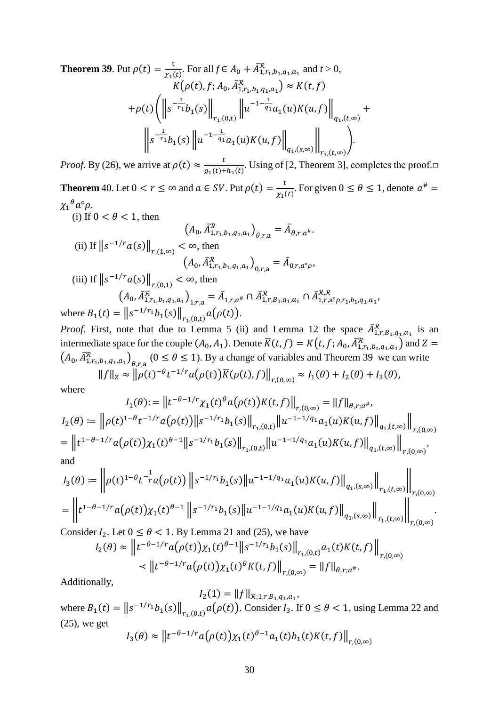<span id="page-29-0"></span>**Theorem 39.** Put  $\rho(t) = \frac{t}{\chi_1(t)}$ . For all  $f \in A_0 + \bar{A}_{1,r_1,b_1,q_1,a_1}^{\mathcal{R}}$  and  $t > 0$ ,  $K(\rho(t), f; A_0, A_{1,r_1,b_1,q_1,a_1}^R) \approx K(t, f)$  $+ \rho(t)$  | ||s  $-\frac{1}{r_1}$  $\|^{r_1}b_1(s)\|$  $r_{1}$ , $(0,t)$  $\mathbb{I}^u$  $-1-\frac{1}{a_1}$  $\left\{ u_1(a)K(u, f) \right\}$  $q_{1}$ ,(t,∞)  $\ddagger$  $\mathbb{I}^s$  $-\frac{1}{r_1}$  ${}^{r_1}b_1(s)$  ||u  $-1-\frac{1}{q}$  $\left\{ u_1(a)K(u, f) \right\}$  $q_{1}$ ,(s,∞)  $\parallel$  ).  $r_{1}$ , $(t,\infty)$ 

*Proof.* By (26), we arrive at  $\rho(t) \approx \frac{t}{g_1(t)+h_1(t)}$ . Using of [\[2,](#page-46-2) Theorem 3], completes the proof.□

<span id="page-29-1"></span>**Theorem** 40. Let  $0 < r \le \infty$  and  $a \in SV$ . Put  $\rho(t) = \frac{t}{\chi_1(t)}$ . For given  $0 \le \theta \le 1$ , denote  $a^{\#} =$  $\chi_1^{\mu} a^{\circ} \rho$ .

(i) If  $0 < \theta < 1$ , then

$$
(A_0, A_{1,r_1,b_1,q_1,a_1}^{\mathcal{K}})_{\theta,r,a} = A_{\theta,r,a^*}.
$$
  
(ii) If  $||s^{-1/r}a(s)||_{r,(1,\infty)} < \infty$ , then  

$$
(A_0, \bar{A}_{1,r_1,b_1,q_1,a_1}^{\mathcal{R}})_{0,r,a} = \bar{A}_{0,r,a^{\circ}\rho},
$$
  
(iii) If  $||s^{-1/r}a(s)||_{r,(0,1)} < \infty$ , then

$$
(A_0, \bar{A}_{1,r_1,b_1,q_1,a_1}^{\mathcal{R}})_{1,r,a} = \bar{A}_{1,r,a^{\#}} \cap \bar{A}_{1,r,B_1,q_1,a_1}^{\mathcal{R}}, \cap \bar{A}_{1,r,a^{\circ} \rho,r_1,b_1,q_1,a_1}^{\mathcal{R},\mathcal{R}},
$$
  
where  $B_1(t) = ||s^{-1/r_1}b_1(s)||_{r_1,(0,t)} a(\rho(t)).$ 

*Proof.* First, note that due to [Lemma 5](#page-3-0) (ii) and [Lemma 12](#page-5-2) the space  $A_{1,r,B_1,q_1,a_1}^{\mathcal{R}}$  is an intermediate space for the couple  $(A_0, A_1)$ . Denote  $\overline{K}(t, f) = K(t, f; A_0, \overline{A}_{1, r_1, b_1, q_1, a_1}^{\mathcal{R}})$  and  $Z =$  $(A_0, \overline{A}_{1,r_1,b_1,q_1,a_1}^{\mathcal{R}})$   $(0 \le \theta \le 1)$ . By a change of variables and [Theorem 39](#page-29-0) we can write  $||f||_Z \approx ||\rho(t)^{-\theta}t^{-1/r}a(\rho(t))\overline{K}(\rho(t), f)||_{r,(0,\infty)} \approx I_1(\theta) + I_2(\theta) + I_3(\theta),$ 

where

$$
I_1(\theta) := \left\| t^{-\theta - 1/r} \chi_1(t)^{\theta} a(\rho(t)) K(t, f) \right\|_{r,(0,\infty)} = \|f\|_{\theta, r; a^{\#}},
$$
  
\n
$$
I_2(\theta) := \left\| \rho(t)^{1-\theta} t^{-1/r} a(\rho(t)) \right\| s^{-1/r_1} b_1(s) \left\|_{r_1,(0,t)} \left\| u^{-1-1/q_1} a_1(u) K(u, f) \right\|_{q_1,(t,\infty)} \right\|_{r,(0,\infty)}
$$
  
\n
$$
= \left\| t^{1-\theta-1/r} a(\rho(t)) \chi_1(t)^{\theta-1} \right\| s^{-1/r_1} b_1(s) \left\|_{r_1,(0,t)} \left\| u^{-1-1/q_1} a_1(u) K(u, f) \right\|_{q_1,(t,\infty)} \right\|_{r,(0,\infty)},
$$
  
\nand

$$
I_3(\theta) := \left\| \rho(t)^{1-\theta} t^{-\frac{1}{r}} a(\rho(t)) \left\| s^{-1/r_1} b_1(s) \right\| u^{-1-1/q_1} a_1(u) K(u, f) \right\|_{q_1, (s, \infty)} \left\| \int_{r_1, (t, \infty)} \left\| \int_{r_2(0, \infty)} \rho(t)^{1-\theta} t^{-\frac{1}{r}} a(\rho(t)) \chi_1(t)^{\theta-1} \right\| s^{-1/r_1} b_1(s) \left\| u^{-1-1/q_1} a_1(u) K(u, f) \right\|_{q_1, (s, \infty)} \left\| \int_{r_1, (t, \infty)} \left\| \int_{r_2(0, \infty)} \rho(t)^{1-\theta} t^{-\frac{1}{r}} a(\rho(t)) \chi_1(t)^{\theta-1} \right\| s^{-1/r_1} b_1(s) \left\| u^{-1-1/q_1} a_1(u) K(u, f) \right\|_{q_1, (s, \infty)} \right\|_{r_2(0, \infty)}.
$$

Consider 
$$
I_2
$$
. Let  $0 \le \theta < 1$ . By Lemma 21 and (25), we have  
\n
$$
I_2(\theta) \approx \left\| t^{-\theta - 1/r} a(\rho(t)) \chi_1(t)^{\theta - 1} \right\| s^{-1/r_1} b_1(s) \Big\|_{r_1, (0,t)} a_1(t) K(t, f) \Big\|_{r, (0,\infty)}
$$
\n
$$
\le \| t^{-\theta - 1/r} a(\rho(t)) \chi_1(t)^{\theta} K(t, f) \Big\|_{r, (0,\infty)} = \| f \|_{\theta, r; a^{\#}}.
$$

Additionally,

 $I_2(1) = ||f||_{\mathcal{R}; 1, r, B_1, q_1, a_1},$ where  $B_1(t) = ||s^{-1/r_1}b_1(s)||_{r_1,(0,t)} a(\rho(t))$ . Consider  $I_3$ . If  $0 \le \theta < 1$ , using [Lemma 22](#page-10-0) and (25), we get

$$
I_3(\theta) \approx ||t^{-\theta - 1/r} a(\rho(t)) \chi_1(t)^{\theta - 1} a_1(t) b_1(t) K(t, f)||_{r, (0,\infty)}
$$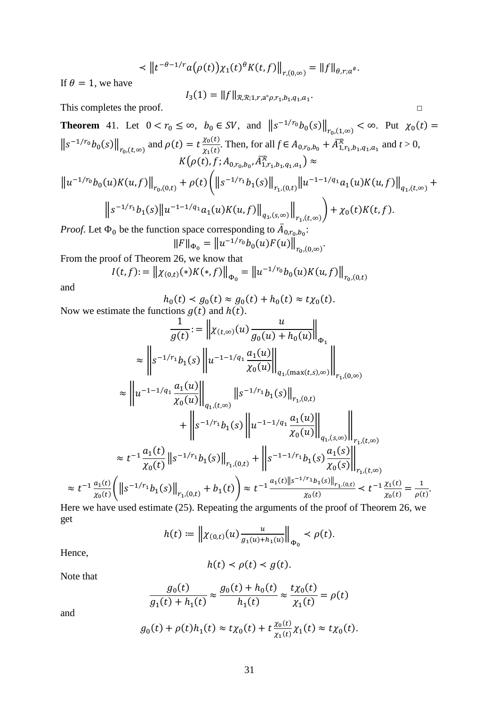$$
\langle \left\| t^{-\theta-1/r} a(\rho(t)) \chi_1(t)^\theta K(t,f) \right\|_{r,(0,\infty)} = \left\| f \right\|_{\theta,r;a^*}.
$$

If  $\theta = 1$ , we have

$$
I_3(1) = ||f||_{\mathcal{R}, \mathcal{R}; 1, r, a^{\circ} \rho, r_1, b_1, q_1, a_1}.
$$

This completes the proof. □

<span id="page-30-0"></span>**Theorem** 41. Let 
$$
0 < r_0 \le \infty
$$
,  $b_0 \in SV$ , and  $||s^{-1/r_0}b_0(s)||_{r_0,(1,\infty)} < \infty$ . Put  $\chi_0(t) =$   
\n $||s^{-1/r_0}b_0(s)||_{r_0,(t,\infty)}$  and  $\rho(t) = t \frac{\chi_0(t)}{\chi_1(t)}$ . Then, for all  $f \in A_{0,r_0,b_0} + \overline{A}_{1,r_1,b_1,q_1,a_1}^{\mathcal{R}}$  and  $t > 0$ ,  
\n $K(\rho(t), f; A_{0,r_0,b_0}, \overline{A}_{1,r_1,b_1,q_1,a_1}^{\mathcal{R}}) \approx$ 

$$
\|u^{-1/r_0}b_0(u)K(u,f)\|_{r_0,(0,t)} + \rho(t)\left(\|s^{-1/r_1}b_1(s)\|_{r_1,(0,t)}\|u^{-1-1/q_1}a_1(u)K(u,f)\|_{q_1,(t,\infty)} + \|\cdot\|s^{-1/r_1}b_1(s)\|u^{-1-1/q_1}a_1(u)K(u,f)\|_{q_1,(s,\infty)}\right) + \chi_0(t)K(t,f).
$$

*Proof.* Let  $\Phi_0$  be the function space corresponding to  $A_{0,r_0,b_0}$ :

$$
||F||_{\Phi_0} = ||u^{-1/r_0}b_0(u)F(u)||_{r_0,(0,\infty)}.
$$

From the proof of [Theorem 26,](#page-13-0) we know that

$$
I(t,f) := \left\| \chi_{(0,t)}(*)K(*,f) \right\|_{\Phi_0} = \left\| u^{-1/r_0} b_0(u)K(u,f) \right\|_{r_0,(0,t)}
$$

and

$$
h_0(t) < g_0(t) \approx g_0(t) + h_0(t) \approx t \chi_0(t).
$$
\nactions  $g(t)$  and  $h(t)$ .

Now we estimate the functions  $g(t)$  and  $h(t)$ .

$$
\frac{1}{g(t)} := \left\| \chi_{(t,\infty)}(u) \frac{u}{g_0(u) + h_0(u)} \right\|_{\Phi_1}
$$
\n
$$
\approx \left\| s^{-1/r_1} b_1(s) \left\| u^{-1-1/q_1} \frac{a_1(u)}{\chi_0(u)} \right\|_{q_{1,(\max(t,s),\infty)}} \right\|_{r_{1,0}(\infty)}
$$
\n
$$
\approx \left\| u^{-1-1/q_1} \frac{a_1(u)}{\chi_0(u)} \right\|_{q_{1,0}(t,\infty)}
$$
\n
$$
+ \left\| s^{-1/r_1} b_1(s) \left\| u^{-1-1/q_1} \frac{a_1(u)}{\chi_0(u)} \right\|_{q_{1,0}(s,\infty)}} \right\|_{r_{1,0}(\infty)}
$$
\n
$$
\approx t^{-1} \frac{a_1(t)}{\chi_0(t)} \left\| s^{-1/r_1} b_1(s) \right\|_{r_{1,0}(t)} + \left\| s^{-1-1/r_1} b_1(s) \frac{a_1(s)}{\chi_0(s)} \right\|_{r_{1,0}(\infty)}
$$
\n
$$
\approx t^{-1} \frac{a_1(t)}{\chi_0(t)} \left( \left\| s^{-1/r_1} b_1(s) \right\|_{r_{1,0}(t)} + b_1(t) \right) \approx t^{-1} \frac{a_1(t) \left\| s^{-1/r_1} b_1(s) \right\|_{r_{1,0}(t)}}{\chi_0(t)} \leq t^{-1} \frac{\chi_1(t)}{\chi_0(t)} = \frac{1}{\rho(t)}.
$$
\nHere we have used estimate (25). Properties the arguments of the proof of Theorem 26, we

Here we have used estimate (25). Repeating the arguments of the proof of [Theorem 26,](#page-13-0) we get

$$
h(t) := \left\| \chi_{(0,t)}(u) \frac{u}{g_1(u) + h_1(u)} \right\|_{\Phi_0} < \rho(t).
$$

Hence,

$$
h(t) < \rho(t) < g(t).
$$

Note that

$$
\frac{g_0(t)}{g_1(t) + h_1(t)} \approx \frac{g_0(t) + h_0(t)}{h_1(t)} \approx \frac{t\chi_0(t)}{\chi_1(t)} = \rho(t)
$$

and

$$
g_0(t) + \rho(t)h_1(t) \approx t\chi_0(t) + t\frac{\chi_0(t)}{\chi_1(t)}\chi_1(t) \approx t\chi_0(t).
$$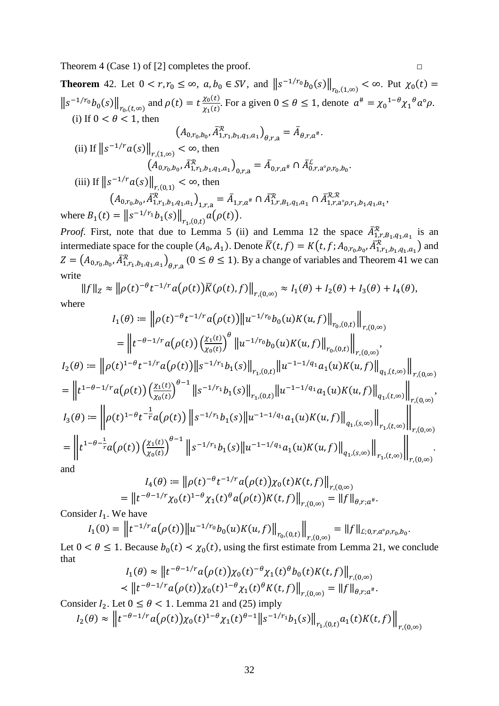Theorem 4 (Case 1) of [\[2\]](#page-46-2) completes the proof.  $\Box$ 

<span id="page-31-0"></span>**Theorem** 42. Let  $0 < r, r_0 \le \infty$ ,  $a, b_0 \in SV$ , and  $||s^{-1/r_0}b_0(s)||_{r_0,(1,\infty)} < \infty$ . Put  $\chi_0(t) =$  $||s^{-1/r_0}b_0(s)||_{r_0,(t,\infty)}$  and  $\rho(t) = t \frac{\chi_0(t)}{\chi_1(t)}$  $\frac{\lambda_0(\epsilon)}{\lambda_1(t)}$ . For a given  $0 \le \theta \le 1$ , denote  $a^{\#} = {\chi_0}^{1-\theta} {\chi_1}^{\theta} a^{\circ} \rho$ . (i) If  $0 < \theta < 1$ , then  $(A_{0,r_0,b_0}, A_{1,r_1,b_1,q_1,a_1}^{\mathcal{R}})_{\theta,r,a} = A_{\theta,r,a^*}.$ (ii) If  $\|s^{-1/r}a(s)\|_{r,(1,\infty)} < \infty$ , then  $(A_{0,r_0,b_0}, A_{1,r_1,b_1,q_1,a_1}^{\mathcal{X}})_{0,r,a} = A_{0,r,a^*} \cap A_{0,r,a^{\circ} \rho,r_0,b_0}^{\mathcal{L}}.$ (iii) If  $||s^{-1/r}a(s)||_{r,(0,1)} < \infty$ , then  $(A_{0,r_0,b_0}, \bar{A}_{1,r_1,b_1,q_1,a_1}^{\mathcal{R}})$ <sub>1,r,a</sub> =  $\bar{A}_{1,r,a^*}$   $\cap$   $\bar{A}_{1,r,B_1,q_1,a_1}^{\mathcal{R}},$   $\cap$   $\bar{A}_{1,r,a^{\circ} \rho,r_1,b_1,q_1,a_1}^{\mathcal{R},\mathcal{R}},$ 

where  $B_1(t) = ||s^{-1/r_1}b_1(s)||_{r_1,(0,t)} a(\rho(t)).$ 

*Proof.* First, note that due to [Lemma 5](#page-3-0) (ii) and [Lemma 12](#page-5-2) the space  $A_{1,r,B_{1},q_{1},a_{1}}^{R}$  is an intermediate space for the couple  $(A_0, A_1)$ . Denote  $K(t, f) = K(t, f; A_{0,r_0,b_0}, A_{1,r_1,b_1,q_1,a_1}^R)$  and  $Z = (A_{0,r_0,b_0}, A_{1,r_1,b_1,q_1,a_1}^{\mathcal{R}})_{\theta,r,a}$   $(0 \le \theta \le 1)$ . By a change of variables and [Theorem 41](#page-30-0) we can write

$$
||f||_Z \approx ||\rho(t)^{-\theta}t^{-1/r}a(\rho(t))\overline{K}(\rho(t),f)||_{r,(0,\infty)} \approx I_1(\theta) + I_2(\theta) + I_3(\theta) + I_4(\theta),
$$
  
Here

where

$$
I_{1}(\theta) := \left\| \rho(t)^{-\theta} t^{-1/r} a(\rho(t)) \right\| u^{-1/r_{0}} b_{0}(u) K(u, f) \Big\|_{r_{0}(0,t)} \Big\|_{r,(0,\infty)}
$$
  
\n
$$
= \left\| t^{-\theta-1/r} a(\rho(t)) \left( \frac{\chi_{1}(t)}{\chi_{0}(t)} \right)^{\theta} \left\| u^{-1/r_{0}} b_{0}(u) K(u, f) \right\|_{r,(0,t)} \Big\|_{r,(0,\infty)},
$$
  
\n
$$
I_{2}(\theta) := \left\| \rho(t)^{1-\theta} t^{-1/r} a(\rho(t)) \right\| s^{-1/r_{1}} b_{1}(s) \left\|_{r_{1}(0,t)} \left\| u^{-1-1/q_{1}} a_{1}(u) K(u, f) \right\|_{q_{1},(t,\infty)} \right\|_{r,(0,\infty)}
$$
  
\n
$$
= \left\| t^{1-\theta-1/r} a(\rho(t)) \left( \frac{\chi_{1}(t)}{\chi_{0}(t)} \right)^{\theta-1} \left\| s^{-1/r_{1}} b_{1}(s) \right\|_{r_{1},(0,t)} \left\| u^{-1-1/q_{1}} a_{1}(u) K(u, f) \right\|_{q_{1},(t,\infty)} \right\|_{r,(0,\infty)},
$$
  
\n
$$
I_{3}(\theta) := \left\| \rho(t)^{1-\theta} t^{-\frac{1}{r}} a(\rho(t)) \left\| s^{-1/r_{1}} b_{1}(s) \right\| u^{-1-1/q_{1}} a_{1}(u) K(u, f) \right\|_{q_{1},(s,\infty)} \left\| \int_{r_{1},(t,\infty)} \left\| \int_{r,(0,\infty)} \left\| \int_{r,(0,\infty)} \left\| s^{-1/r_{1}} b_{1}(s) \right\| u^{-1-1/q_{1}} a_{1}(u) K(u, f) \right\|_{q_{1},(s,\infty)} \right\|_{r_{1},(t,\infty)} \right\|_{r,(0,\infty)}
$$
  
\nand

and

$$
I_4(\theta) := \left\| \rho(t)^{-\theta} t^{-1/r} a(\rho(t)) \chi_0(t) K(t, f) \right\|_{r,(0,\infty)}
$$
  
= 
$$
\left\| t^{-\theta - 1/r} \chi_0(t)^{1-\theta} \chi_1(t)^{\theta} a(\rho(t)) K(t, f) \right\|_{r,(0,\infty)} = \|f\|_{\theta, r; a^{\#}}.
$$

Consider  $I_1$ . We have

$$
I_1(0) = \left\| t^{-1/r} a(\rho(t)) \right\| u^{-1/r_0} b_0(u) K(u, f) \Big\|_{r_0(0,t)} \Big\|_{r, (0,\infty)} = \|f\|_{L; 0, r, a^\circ \rho, r_0, b_0}.
$$

Let  $0 < \theta \le 1$ . Because  $b_0(t) < \chi_0(t)$ , using the first estimate from [Lemma 21,](#page-9-0) we conclude that

$$
I_1(\theta) \approx \left\| t^{-\theta - 1/r} a(\rho(t)) \chi_0(t)^{-\theta} \chi_1(t)^{\theta} b_0(t) K(t, f) \right\|_{r, (0, \infty)}
$$
  

$$
\left\| t^{-\theta - 1/r} a(\rho(t)) \chi_0(t)^{1-\theta} \chi_1(t)^{\theta} K(t, f) \right\|_{r, (0, \infty)} = \left\| f \right\|_{\theta, r; a^{\#}}.
$$

Consider  $I_2$ . Let  $0 \le \theta < 1$ . [Lemma 21](#page-9-0) and (25) imply

$$
I_2(\theta) \approx \left\| t^{-\theta - 1/r} a(\rho(t)) \chi_0(t)^{1-\theta} \chi_1(t)^{\theta - 1} \| s^{-1/r_1} b_1(s) \right\|_{r_1,(0,t)} a_1(t) K(t,f) \left\| \int_{r,(0,\infty)} |t|^{1-\theta - 1/r} a(\rho(t)) \chi_0(t)^{1-\theta} \chi_1(t)^{1-\theta} \chi_1(t)^{1-\theta} \chi_1(t)^{1-\theta} \chi_1(t)^{1-\theta} \chi_1(t)^{1-\theta} \chi_1(t)^{1-\theta} \chi_1(t)^{1-\theta} \chi_1(t)^{1-\theta} \chi_1(t)^{1-\theta} \chi_1(t)^{1-\theta} \chi_1(t)^{1-\theta} \chi_1(t)^{1-\theta} \chi_1(t)^{1-\theta} \chi_1(t)^{1-\theta} \chi_1(t)^{1-\theta} \chi_1(t)^{1-\theta} \chi_1(t)^{1-\theta} \chi_1(t)^{1-\theta} \chi_1(t)^{1-\theta} \chi_1(t)^{1-\theta} \chi_1(t)^{1-\theta} \chi_1(t)^{1-\theta} \chi_1(t)^{1-\theta} \chi_1(t)^{1-\theta} \chi_1(t)^{1-\theta} \chi_1(t)^{1-\theta} \chi_1(t)^{1-\theta} \chi_1(t)^{1-\theta} \chi_1(t)^{1-\theta} \chi_1(t)^{1-\theta} \chi_1(t)^{1-\theta} \chi_1(t)^{1-\theta} \chi_1(t)^{1-\theta} \chi_1(t)^{1-\theta} \chi_1(t)^{1-\theta} \chi_1(t)^{1-\theta} \chi_1(t)^{1-\theta} \chi_1(t)^{1-\theta} \chi_1(t)^{1-\theta} \chi_1(t)^{1-\theta} \chi_1(t)^{1-\theta} \chi_1(t)^{1-\theta} \chi_1(t)^{1-\theta} \chi_1(t)^{1-\theta} \chi_1(t)^{1-\theta} \chi_1(t)^{1-\theta} \chi_1(t)^{1-\theta} \chi_1(t)^{1-\theta} \chi_1(t)^{1-\theta} \chi_1(t)^{1-\theta} \chi_1(t)^{1-\theta} \chi_1(t)^{1-\theta} \chi_1(t)^{1-\theta} \chi_1(t)^{1-\theta} \chi_1(t)^{1-\theta} \chi_1(t)^{1-\theta} \chi_1(t)^{1-\theta} \chi_1(t)^{
$$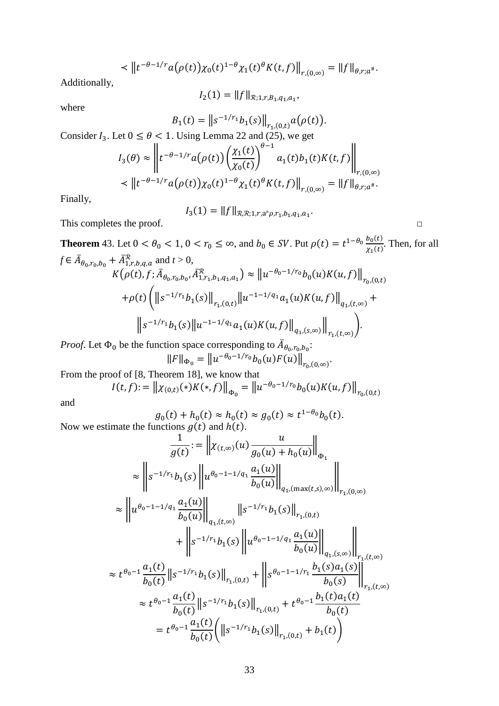$$
\langle \left\| t^{-\theta-1/r} a(\rho(t)) \chi_0(t)^{1-\theta} \chi_1(t)^{\theta} K(t,f) \right\|_{r,(0,\infty)} = \left\| f \right\|_{\theta,r;a^*}.
$$

Additionally,

$$
I_2(1) = \|f\|_{\mathcal{R}; 1, r, B_1, q_1, a_1},
$$

where

$$
B_1(t) = ||s^{-1/r_1}b_1(s)||_{r_1(0,t)}a(\rho(t)).
$$

Consider  $I_3$ . Let  $0 \le \theta \le 1$ . Using [Lemma 22](#page-10-0) and (25), we get

$$
I_3(\theta) \approx \left\| t^{-\theta - 1/r} a(\rho(t)) \left( \frac{\chi_1(t)}{\chi_0(t)} \right)^{\theta - 1} a_1(t) b_1(t) K(t, f) \right\|_{r, (0, \infty)}
$$
  

$$
\left\| t^{-\theta - 1/r} a(\rho(t)) \chi_0(t)^{1 - \theta} \chi_1(t)^{\theta} K(t, f) \right\|_{r, (0, \infty)} = \|f\|_{\theta, r; a^{\#}}.
$$

Finally,

$$
I_3(1) = \|f\|_{\mathcal{R},\mathcal{R};1,r,a^{\circ}\rho,r_1,b_1,q_1,a_1}.
$$

This completes the proof.  $\Box$ 

<span id="page-32-0"></span>**Theorem** 43. Let  $0 < \theta_0 < 1$ ,  $0 < r_0 \le \infty$ , and  $b_0 \in SV$ . Put  $\rho(t) = t^{1-\theta_0} \frac{b_0(t)}{x_1(t)}$ . Then, for all  $f \in A_{\theta_0, r_0, b_0} + A^{\mathcal{R}}_{1, r, b, q, a}$  and  $t > 0$ ,  $K(\rho(t), f; A_{\theta_0, r_0, b_0}, A_{1, r_1, b_1, q_1, a_1}^{\mathcal{R}}) \approx ||u^{-\theta_0 - 1/r_0} b_0(u) K(u, f)||_{r_0, (0, t)}$  $+\rho(t) \left( \left\| s^{-1/r_1} b_1(s) \right\|_{r_1,(0,t)} \left\| u^{-1-1/q_1} a_1(u) K(u,f) \right\|_{q_1,(t,\infty)} + \right.$  $\|s^{-1/r_1}b_1(s)\|u^{-1-1/q_1}a_1(u)K(u,f)\|_{q_1,(s,\infty)}\|$  $r_{1}$ , $(t,\infty)$  $\cdot$ 

*Proof.* Let  $\Phi_0$  be the function space corresponding to  $A_{\theta_0, r_0, b_0}$ :  $||F||_{\Phi_0} = ||u^{-\theta_0 - 1/r_0} b_0(u) F(u)||_{r_0,(0,\infty)}.$ 

From the proof of [\[8,](#page-46-8) Theorem 18], we know that

$$
I(t,f) := \| \chi_{(0,t)}(*)K(*,f) \|_{\Phi_0} = \| u^{-\theta_0 - 1/r_0} b_0(u)K(u,f) \|_{r_{0},(0,t)}
$$

and

$$
g_0(t) + h_0(t) \approx h_0(t) \approx g_0(t) \approx t^{1-\theta_0} b_0(t)
$$
.  
Now we estimate the functions  $g(t)$  and  $h(t)$ .

$$
\frac{1}{g(t)} := \left\| \chi_{(t,\infty)}(u) \frac{u}{g_0(u) + h_0(u)} \right\|_{\Phi_1}
$$
\n
$$
\approx \left\| s^{-1/r_1} b_1(s) \left\| u^{\theta_0 - 1 - 1/q_1} \frac{a_1(u)}{b_0(u)} \right\|_{q_{1},(\max(t,s),\infty)} \right\|_{r_{1},(0,\infty)}
$$
\n
$$
\approx \left\| u^{\theta_0 - 1 - 1/q_1} \frac{a_1(u)}{b_0(u)} \right\|_{q_{1},(t,\infty)} \|s^{-1/r_1} b_1(s) \left\|_{r_{1},(0,t)} \right\|_{r_{1},(0,t)}
$$
\n
$$
+ \left\| s^{-1/r_1} b_1(s) \left\| u^{\theta_0 - 1 - 1/q_1} \frac{a_1(u)}{b_0(u)} \right\|_{q_{1},(s,\infty)} \right\|_{r_{1},(t,\infty)}
$$
\n
$$
\approx t^{\theta_0 - 1} \frac{a_1(t)}{b_0(t)} \|s^{-1/r_1} b_1(s) \left\|_{r_{1},(0,t)} + \left\| s^{\theta_0 - 1 - 1/r_1} \frac{b_1(s) a_1(s)}{b_0(s)} \right\|_{r_{1},(t,\infty)}
$$
\n
$$
\approx t^{\theta_0 - 1} \frac{a_1(t)}{b_0(t)} \|s^{-1/r_1} b_1(s) \left\|_{r_{1},(0,t)} + t^{\theta_0 - 1} \frac{b_1(t) a_1(t)}{b_0(t)}
$$
\n
$$
= t^{\theta_0 - 1} \frac{a_1(t)}{b_0(t)} \left( \left\| s^{-1/r_1} b_1(s) \right\|_{r_{1},(0,t)} + b_1(t) \right)
$$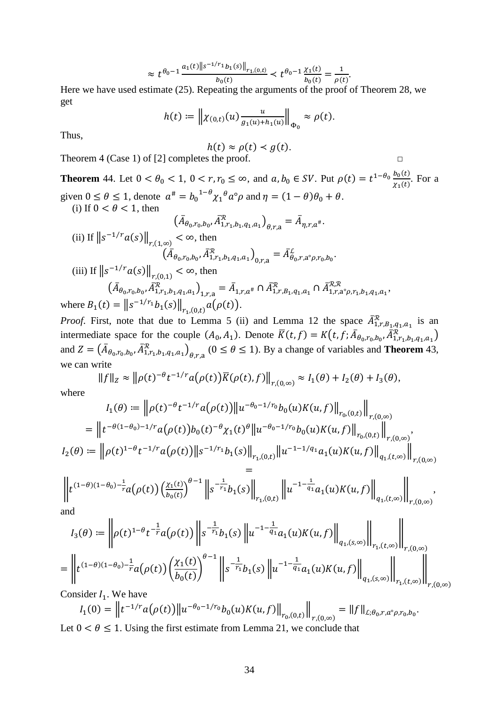$$
\approx t^{\theta_0 - 1} \frac{a_1(t) \|s^{-1/r_1} b_1(s)\|_{r_1,(0,t)}}{b_0(t)} < t^{\theta_0 - 1} \frac{\chi_1(t)}{b_0(t)} = \frac{1}{\rho(t)}.
$$

Here we have used estimate (25). Repeating the arguments of the proof of [Theorem 28,](#page-15-0) we get

$$
h(t) := \| \chi_{(0,t)}(u) \frac{u}{g_1(u) + h_1(u)} \|_{\Phi_0} \approx \rho(t).
$$

Thus,

$$
h(t) \approx \rho(t) < g(t).
$$

Theorem 4 (Case 1) of [\[2\]](#page-46-2) completes the proof.  $□$ 

<span id="page-33-0"></span>**Theorem** 44. Let  $0 < \theta_0 < 1$ ,  $0 < r, r_0 \le \infty$ , and  $a, b_0 \in SV$ . Put  $\rho(t) = t^{1-\theta_0} \frac{b_0(t)}{x_1(t)}$ . For a given  $0 \le \theta \le 1$ , denote  $a^{\#} = b_0^{1-\theta} \chi_1^{\theta} a^{\circ} \rho$  and  $\eta = (1-\theta)\theta_0 + \theta$ . (i) If  $0 < \theta < 1$ , then

$$
(A_{\theta_0,r_0,b_0}, A_{1,r_1,b_1,q_1,a_1}^R)_{\theta,r,a} = A_{\eta,r,a^*}.
$$
  
\n(ii) If  $||s^{-1/r}a(s)||_{r,(1,\infty)} < \infty$ , then  
\n
$$
(\overline{A}_{\theta_0,r_0,b_0}, \overline{A}_{1,r_1,b_1,q_1,a_1}^R)_{0,r,a} = \overline{A}_{\theta_0,r,a^{\circ}\rho,r_0,b_0}^L.
$$
  
\n(iii) If  $||s^{-1/r}a(s)||_{r,(0,1)} < \infty$ , then  
\n
$$
(\overline{A}_{\theta_0,r_0,b_0}, \overline{A}_{1,r_1,b_1,q_1,a_1}^R)_{1,r,a} = \overline{A}_{1,r,a^*} \cap \overline{A}_{1,r,B_1,q_1,a_1}^R \cap \overline{A}_{1,r,a^{\circ}\rho,r_1,b_1,q_1,a_1}^R,
$$
  
\nwhere  $B_1(t) = ||s^{-1/r_1}b_1(s)||_{r_1,(0,t)}a(\rho(t)).$ 

*Proof.* First, note that due to [Lemma 5](#page-3-0) (ii) and [Lemma 12](#page-5-2) the space  $A_{1,r,B_{1},q_{1},a_{1}}^{R}$  is an intermediate space for the couple  $(A_0, A_1)$ . Denote  $\overline{K}(t, f) = K(t, f; \overline{A}_{\theta_0, r_0, b_0}, \overline{A}_{1, r_1, b_1, q_1, a_1}^{\mathcal{R}})$ and  $Z = (A_{\theta_0, r_0, b_0}, A_{1, r_1, b_1, q_1, a_1}^{\mathcal{R}})_{\theta, r, a}$  ( $0 \le \theta \le 1$ ). By a change of variables and **[Theorem](#page-32-0)** 43, we can write

$$
||f||_Z \approx ||\rho(t)^{-\theta}t^{-1/r}a(\rho(t))\overline{K}(\rho(t),f)||_{r,(0,\infty)} \approx I_1(\theta) + I_2(\theta) + I_3(\theta),
$$

where

$$
I_1(\theta) := \left\| \rho(t)^{-\theta} t^{-1/r} a(\rho(t)) \right\| u^{-\theta_0 - 1/r_0} b_0(u) K(u, f) \Big\|_{r_0(0,t)} \Big\|_{r,(0,\infty)}
$$
  
\n
$$
= \left\| t^{-\theta(1-\theta_0) - 1/r} a(\rho(t)) b_0(t)^{-\theta} \chi_1(t)^{\theta} \left\| u^{-\theta_0 - 1/r_0} b_0(u) K(u, f) \right\|_{r_0(0,t)} \right\|_{r,(0,\infty)},
$$
  
\n
$$
I_2(\theta) := \left\| \rho(t)^{1-\theta} t^{-1/r} a(\rho(t)) \right\| s^{-1/r_1} b_1(s) \left\|_{r_1(0,t)} \right\| u^{-1-1/q_1} a_1(u) K(u, f) \left\|_{q_1,(t,\infty)} \right\|_{r,(0,\infty)}
$$
  
\n
$$
=
$$

$$
= \left\| t^{(1-\theta)(1-\theta_0) - \frac{1}{r}} a(\rho(t)) \left( \frac{\chi_1(t)}{b_0(t)} \right)^{\theta-1} \left\| s^{-\frac{1}{r_1}} b_1(s) \right\|_{r_1,(0,t)} \left\| u^{-1-\frac{1}{q_1}} a_1(u) K(u,f) \right\|_{q_1,(t,\infty)} \right\|_{r,(0,\infty)},
$$

and

$$
I_3(\theta) := \left\| \rho(t)^{1-\theta} t^{-\frac{1}{r_1}} a(\rho(t)) \right\| s^{-\frac{1}{r_1}} b_1(s) \left\| u^{-1-\frac{1}{q_1}} a_1(u) K(u, f) \right\|_{q_1,(s,\infty)} \left\| \bigg\|_{r_1,(t,\infty)} \right\|_{r,(0,\infty)}
$$
  
= 
$$
\left\| t^{(1-\theta)(1-\theta_0) - \frac{1}{r}} a(\rho(t)) \left( \frac{\chi_1(t)}{b_0(t)} \right)^{\theta-1} \right\| s^{-\frac{1}{r_1}} b_1(s) \left\| u^{-1-\frac{1}{q_1}} a_1(u) K(u, f) \right\|_{q_1,(s,\infty)} \left\| \bigg\|_{r_1,(t,\infty)} \right\|_{r,(0,\infty)}
$$

Consider  $I_1$ . We have

 $\ddot{\phantom{a}}$ 

$$
I_1(0) = \left\| t^{-1/r} a(\rho(t)) \right\| u^{-\theta_0 - 1/r_0} b_0(u) K(u, f) \Big\|_{r_0, (0,t)} \Big\|_{r, (0,\infty)} = \|f\|_{L; \theta_0, r, a^{\circ} \rho, r_0, b_0}.
$$
  
to  $0 < \theta < 1$ . Using the first estimate from I amme 21, we conclude that

Let  $0 < \theta \le 1$ . Using the first estimate from [Lemma 21,](#page-9-0) we conclude that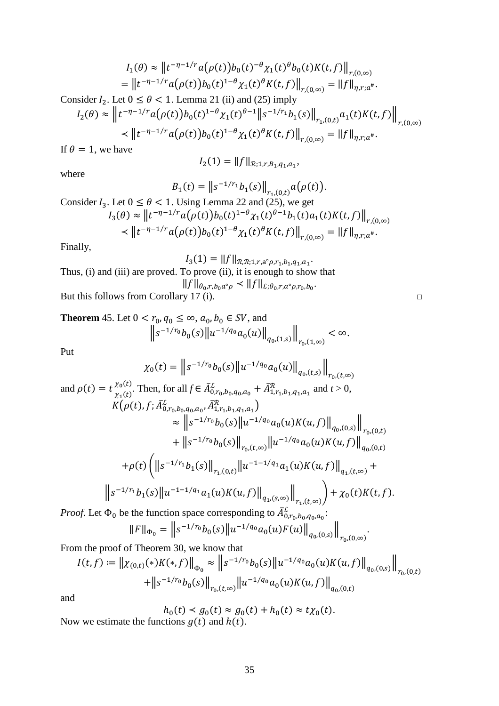$$
I_1(\theta) \approx ||t^{-\eta - 1/r} a(\rho(t)) b_0(t)^{-\theta} \chi_1(t)^{\theta} b_0(t) K(t, f)||_{r, (0, \infty)}
$$
  
=  $||t^{-\eta - 1/r} a(\rho(t)) b_0(t)^{1-\theta} \chi_1(t)^{\theta} K(t, f)||_{r, (0, \infty)} = ||f||_{\eta, r; a^*}.$ 

Consider  $I_2$ . Let  $0 \le \theta < 1$ . [Lemma 21](#page-9-0) (ii) and (25) imply

$$
I_2(\theta) \approx \left\| t^{-\eta - 1/r} a(\rho(t)) b_0(t)^{1-\theta} \chi_1(t)^{\theta-1} \right\| s^{-1/r_1} b_1(s) \left\|_{r_1(0,t)} a_1(t) K(t,f) \right\|_{r,(0,\infty)}
$$
  

$$
\leq \left\| t^{-\eta - 1/r} a(\rho(t)) b_0(t)^{1-\theta} \chi_1(t)^{\theta} K(t,f) \right\|_{r,(0,\infty)} = \left\| f \right\|_{\eta,r;a^*}.
$$

If  $\theta = 1$ , we have

$$
I_2(1) = ||f||_{\mathcal{R}; 1, r, B_1, q_1, a_1},
$$

where

$$
B_1(t) = ||s^{-1/r_1}b_1(s)||_{r_1,(0,t)}a(\rho(t)).
$$

Consider  $I_3$ . Let  $0 \le \theta < 1$ . Using [Lemma 22](#page-10-0) and (25), we get  $I_3(\theta) \approx \left\| t^{-\eta-1/r} a(\rho(t)) b_0(t)^{1-\theta} \chi_1(t)^{\theta-1} b_1(t) a_1(t) K(t,f) \right\|_{r,(0,\infty)}$  $\leq \|t^{-\eta-1/r}a(\rho(t))b_0(t)^{1-\theta}\chi_1(t)^{\theta}K(t,f)\|_{r,(0,\infty)} = \|f\|_{\eta,r;a^*}.$ 

Finally,

# $I_3(1) = ||f||_{\mathcal{R},\mathcal{R};1,r,a^{\circ}\rho,r_1,b_1,q_1,a_1}.$ Thus, (i) and (iii) are proved. To prove (ii), it is enough to show that  $||f||_{\theta_0,r,b_0a^{\circ}\rho} < ||f||_{\mathcal{L};\theta_0,r,a^{\circ}\rho,r_0,b_0}.$ But this follows from [Corollary 17](#page-7-1) (i).  $\Box$

<span id="page-34-0"></span>**Theorem** 45. Let 
$$
0 < r_0, q_0 \le \infty, a_0, b_0 \in SV
$$
, and  

$$
\left\| s^{-1/r_0} b_0(s) \right\| u^{-1/q_0} a_0(u) \left\|_{q_0,(1,s)} \right\|_{r_0,(1,\infty)} < \infty.
$$

Put

$$
\chi_{0}(t) = ||s^{-1/r_{0}}b_{0}(s)||u^{-1/q_{0}}a_{0}(u)||_{q_{0},(t,s)}||_{r_{0},(t,\infty)}
$$
  
\nand  $\rho(t) = t \frac{\chi_{0}(t)}{\chi_{1}(t)}$ . Then, for all  $f \in \bar{A}_{0,r_{0},b_{0},q_{0},a_{0}}^{c} + \bar{A}_{1,r_{1},b_{1},q_{1},a_{1}}^{R}$  and  $t > 0$ ,  
\n
$$
K(\rho(t), f; \bar{A}_{0,r_{0},b_{0},q_{0},a_{0}}^{c}, \bar{A}_{1,r_{1},b_{1},q_{1},a_{1}}^{R}) \approx ||s^{-1/r_{0}}b_{0}(s)||u^{-1/q_{0}}a_{0}(u)K(u,f)||_{q_{0},(0,s)}||_{r_{0},(0,t)}
$$
\n
$$
+ ||s^{-1/r_{0}}b_{0}(s)||_{r_{0},(t,\infty)}||u^{-1/q_{0}}a_{0}(u)K(u,f)||_{q_{0},(0,t)}
$$
\n
$$
+ \rho(t)\left(||s^{-1/r_{1}}b_{1}(s)||_{r_{1},(0,t)}||u^{-1-1/q_{1}}a_{1}(u)K(u,f)||_{q_{1},(t,\infty)} + ||s^{-1/r_{1}}b_{1}(s)||u^{-1-1/q_{1}}a_{1}(u)K(u,f)||_{q_{1},(t,\infty)}\right) + \chi_{0}(t)K(t,f).
$$

*Proof.* Let  $\Phi_0$  be the function space corresponding to  $\bar{A}^L_{0,r_0,b_0,q_0,a_0}$ :

$$
||F||_{\Phi_0} = ||s^{-1/r_0}b_0(s)||u^{-1/q_0}a_0(u)F(u)||_{q_0,(0,s)}||_{r_0,(0,\infty)}.
$$

From the proof of [Theorem 30,](#page-17-0) we know that

$$
I(t,f) := \left\| \chi_{(0,t)}(*)K(*,f) \right\|_{\Phi_0} \approx \left\| s^{-1/r_0} b_0(s) \left\| u^{-1/q_0} a_0(u) K(u,f) \right\|_{q_0,(0,s)} \right\|_{r_0,(0,t)}
$$

$$
+ \left\| s^{-1/r_0} b_0(s) \right\|_{r_0,(t,\infty)} \left\| u^{-1/q_0} a_0(u) K(u,f) \right\|_{q_0,(0,t)}
$$

and

$$
h_0(t) < g_0(t) \approx g_0(t) + h_0(t) \approx t \chi_0(t).
$$
\n
$$
g(t) \text{ and } h(t)
$$

Now we estimate the functions  $g(t)$  and  $h(t)$ .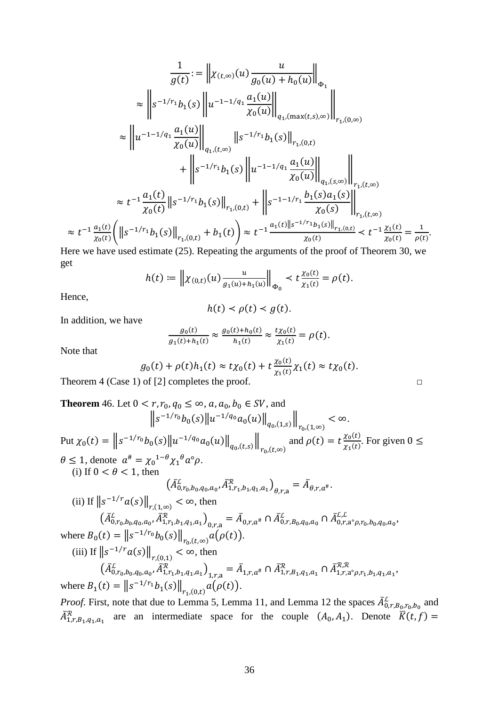$$
\frac{1}{g(t)} := \left\| \chi_{(t,\infty)}(u) \frac{u}{g_0(u) + h_0(u)} \right\|_{\Phi_1}
$$
\n
$$
\approx \left\| s^{-1/r_1} b_1(s) \left\| u^{-1-1/q_1} \frac{a_1(u)}{\chi_0(u)} \right\|_{q_1,(\max(t,s),\infty)} \right\|_{r_{1},(0,\infty)}
$$
\n
$$
\approx \left\| u^{-1-1/q_1} \frac{a_1(u)}{\chi_0(u)} \right\|_{q_1,(t,\infty)} \|s^{-1/r_1} b_1(s) \left\|_{r_{1},(0,t)} + \left\| s^{-1/r_1} b_1(s) \right\|_{r_{1},(0,t)} + \left\| s^{-1/r_1} b_1(s) \left\| u^{-1-1/q_1} \frac{a_1(u)}{\chi_0(u)} \right\|_{q_1,(s,\infty)} \right\|_{r_{1},(t,\infty)}
$$
\n
$$
\approx t^{-1} \frac{a_1(t)}{\chi_0(t)} \|s^{-1/r_1} b_1(s) \left\|_{r_{1},(0,t)} + \left\| s^{-1-1/r_1} \frac{b_1(s) a_1(s)}{\chi_0(s)} \right\|_{r_{1},(t,\infty)}
$$
\n
$$
\approx t^{-1} \frac{a_1(t)}{\chi_0(t)} \left( \left\| s^{-1/r_1} b_1(s) \right\|_{r_{1},(0,t)} + b_1(t) \right) \approx t^{-1} \frac{a_1(t) \|s^{-1/r_1} b_1(s) \left\|_{r_{1},(0,t)} }{\chi_0(t)} \lt t^{-1} \frac{\chi_1(t)}{\chi_0(t)} = \frac{1}{\rho(t)}.
$$

Here we have used estimate (25). Repeating the arguments of the proof of [Theorem 30,](#page-17-0) we get

$$
h(t) := \left\| \chi_{(0,t)}(u) \frac{u}{g_1(u) + h_1(u)} \right\|_{\Phi_0} < t \frac{\chi_0(t)}{\chi_1(t)} = \rho(t).
$$

Hence,

$$
h(t) \prec \rho(t) \prec g(t).
$$

In addition, we have

$$
\frac{g_0(t)}{g_1(t) + h_1(t)} \approx \frac{g_0(t) + h_0(t)}{h_1(t)} \approx \frac{t \chi_0(t)}{\chi_1(t)} = \rho(t).
$$

Note that

$$
g_0(t) + \rho(t)h_1(t) \approx t\chi_0(t) + t\frac{\chi_0(t)}{\chi_1(t)}\chi_1(t) \approx t\chi_0(t).
$$

Theorem 4 (Case 1) of [\[2\]](#page-46-2) completes the proof.  $\Box$ 

<span id="page-35-0"></span>Theorem 46. Let 
$$
0 < r, r_0, q_0 \le \infty
$$
,  $a, a_0, b_0 \in SV$ , and  
\n
$$
\|s^{-1/r_0}b_0(s)\|u^{-1/q_0}a_0(u)\|_{q_0,(1,s)}\|_{r_0,(1,\infty)} < \infty.
$$
\nPut  $\chi_0(t) = \|s^{-1/r_0}b_0(s)\|u^{-1/q_0}a_0(u)\|_{q_0,(t,s)}\|_{r_0,(t,\infty)}$  and  $\rho(t) = t\frac{\chi_0(t)}{\chi_1(t)}$ . For given  $0 \le$   
\n $\theta \le 1$ , denote  $a^{\#} = \chi_0^{1-\theta}\chi_1^{\theta}a^{\circ}\rho$ .  
\n(i) If  $0 < \theta < 1$ , then  
\n
$$
(A_{0,r_0,b_0,q_0,a_0}^{\beta}, A_{1,r_1,b_1,q_1,a_1}^{\beta})_{\theta,r,a} = \bar{A}_{\theta,r,a^{\#}}
$$
\n(ii) If  $||s^{-1/r}a(s)||_{r,(1,\infty)} < \infty$ , then  
\n
$$
(A_{0,r_0,b_0,q_0,a_0}^{\beta}, A_{1,r_1,b_1,q_1,a_1}^{\gamma})_{0,r,a} = \bar{A}_{0,r,a^{\#}} \cap \bar{A}_{0,r,\beta_0,q_0,a_0}^{\beta} \cap \bar{A}_{0,r,a^{\circ}\rho,r_0,b_0,q_0,a_0}^{\gamma}.
$$
\nwhere  $B_0(t) = ||s^{-1/r_0}b_0(s)||_{r_{0}(t,\infty)}a(\rho(t))$ .  
\n(iii) If  $||s^{-1/r}a(s)||_{r,(0,1)} < \infty$ , then  
\n
$$
(A_{0,r_0,b_0,q_0,a_0}^{\beta}, A_{1,r_1,b_1,q_1,a_1}^{\gamma})_{1,r,a} = \bar{A}_{1,r,a^{\#}} \cap \bar{A}_{1,r,B_1,q_1,a_1}^{\gamma} \cap \bar{A}_{1,r,a^{\circ}\rho,r_1,b_1,q_1,a_1}^{\gamma}.
$$
\nwhere  $B_1(t) = ||s^{-1/r_1}b_1(s)||_{r_1,(0,t)}a(\rho(t))$ .

*Proof.* First, note that due to [Lemma 5,](#page-3-0) [Lemma 11,](#page-5-1) and [Lemma 12](#page-5-2) the spaces  $\bar{A}^L_{0,r,B_0,r_0,b_0}$  and  $\bar{A}^R_{1,r,B_1,q_1,a_1}$  are an intermediate space for the couple  $(A_0, A_1)$ . Denote  $\bar{K}(t,f)$  =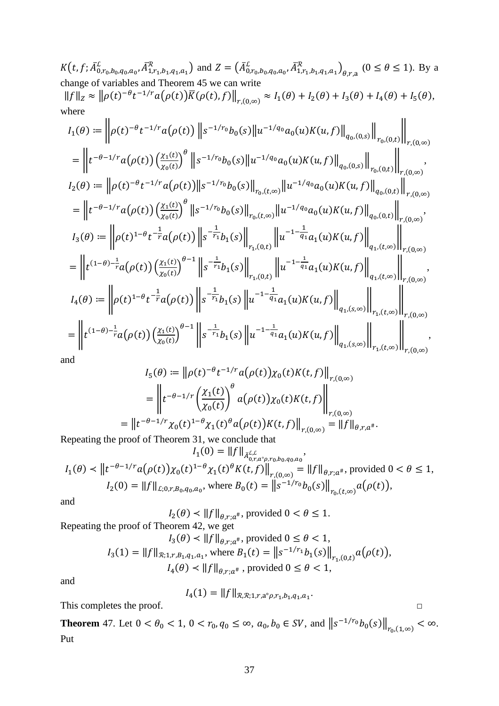$K(t, f; \bar{A}_{0,r_0,b_0,q_0,a_0}^{\mathcal{L}}, \bar{A}_{1,r_1,b_1,q_1,a_1}^{\mathcal{R}})$  and  $Z = (\bar{A}_{0,r_0,b_0,q_0,a_0}^{\mathcal{L}}, \bar{A}_{1,r_1,b_1,q_1,a_1}^{\mathcal{R}})_{\theta,r,a}$   $(0 \le \theta \le 1)$ . By a change of variables and Theorem 45 we can write

$$
||f||_Z \approx ||\rho(t)^{-\theta} t^{-1/r} a(\rho(t)) K(\rho(t), f)||_{r,(0,\infty)} \approx I_1(\theta) + I_2(\theta) + I_3(\theta) + I_4(\theta) + I_5(\theta),
$$
  
where

$$
I_{1}(\theta) := \left\| \rho(t)^{-\theta} t^{-1/r} a(\rho(t)) \left\| s^{-1/r_{0}} b_{0}(s) \right\| u^{-1/q_{0}} a_{0}(u) K(u,f) \right\|_{q_{0},(0,s)} \left\| \bigg\|_{r_{0},(0,t)} \right\|_{r_{0}(0,\infty)}
$$
\n
$$
= \left\| t^{-\theta-1/r} a(\rho(t)) \left(\frac{\chi_{1}(t)}{\chi_{0}(t)}\right)^{\theta} \left\| s^{-1/r_{0}} b_{0}(s) \right\| u^{-1/q_{0}} a_{0}(u) K(u,f) \right\|_{q_{0},(0,s)} \left\| \bigg\|_{r_{0},(0,t)} \right\|_{r,(0,\infty)}
$$
\n
$$
I_{2}(\theta) := \left\| \rho(t)^{-\theta} t^{-1/r} a(\rho(t)) \left(\frac{\chi_{1}(t)}{\chi_{0}(t)}\right)^{\theta} \left\| s^{-1/r_{0}} b_{0}(s) \right\|_{r_{0},(t,\infty)} \left\| u^{-1/q_{0}} a_{0}(u) K(u,f) \right\|_{q_{0},(0,t)} \right\|_{r,(0,\infty)}
$$
\n
$$
= \left\| t^{-\theta-1/r} a(\rho(t)) \left(\frac{\chi_{1}(t)}{\chi_{0}(t)}\right)^{\theta} \left\| s^{-1/r_{0}} b_{0}(s) \right\|_{r_{0},(t,\infty)} \left\| u^{-1/q_{0}} a_{0}(u) K(u,f) \right\|_{q_{0},(0,t)} \right\|_{r,(0,\infty)}
$$
\n
$$
I_{3}(\theta) := \left\| \rho(t)^{1-\theta} t^{-\frac{1}{r}} a(\rho(t)) \left\| s^{-\frac{1}{r_{1}}} b_{1}(s) \right\|_{r_{1},(0,t)} \left\| u^{-1-\frac{1}{q_{1}}} a_{1}(u) K(u,f) \right\|_{q_{1},(t,\infty)} \right\|_{r,(0,\infty)}
$$
\n
$$
I_{4}(\theta) := \left\| \rho(t)^{1-\theta} t^{-\frac{1}{r}} a(\rho(t)) \left\| s^{-\frac{1}{r_{1}}} b_{1}(s) \right\|_{r_{1},(0,t)} \left\| u^{-1-\frac{1}{q_{1}}} a_{1}(u) K(u,f) \right\|_{q_{1},
$$

and

$$
I_5(\theta) := \left\| \rho(t)^{-\theta} t^{-1/r} a(\rho(t)) \chi_0(t) K(t, f) \right\|_{r, (0, \infty)}
$$
  
= 
$$
\left\| t^{-\theta - 1/r} \left( \frac{\chi_1(t)}{\chi_0(t)} \right)^{\theta} a(\rho(t)) \chi_0(t) K(t, f) \right\|_{r, (0, \infty)}
$$
  
= 
$$
\left\| t^{-\theta - 1/r} \chi_0(t)^{1-\theta} \chi_1(t)^{\theta} a(\rho(t)) K(t, f) \right\|_{r, (0, \infty)} = \|f\|_{\theta, r, a^{\#}}.
$$

Repeating the proof of Theorem 31, we conclude that  $I_1(0) = ||f||_{\bar{A}_{0}^{L,L}}$ 

$$
I_1(\theta) < \left\| t^{-\theta - 1/r} a(\rho(t)) \chi_0(t)^{1-\theta} \chi_1(t)^{\theta} K(t, f) \right\|_{r,(0,\infty)} = \left\| f \right\|_{\theta, r; a^{\#}}, \text{ provided } 0 < \theta \le 1,
$$
\n
$$
I_2(0) = \left\| f \right\|_{\mathcal{L}; 0, r, B_0, q_0, a_0}, \text{ where } B_0(t) = \left\| s^{-1/r_0} b_0(s) \right\|_{r_0, (t,\infty)} a(\rho(t)),
$$

and

 $I_2(\theta) \lt ||f||_{\theta, r; a^{\#}}$ , provided  $0 \lt \theta \leq 1$ .

Repeating the proof of Theorem 42, we get  $I_2(\theta) < ||f||_{\theta}$  + provided  $0 \le \theta \le 1$ 

$$
I_3(1) = ||f||_{\mathcal{R}; 1, r, B_1, q_1, a_1}, \text{ where } B_1(t) = ||s^{-1/r_1}b_1(s)||_{r_1, (0, t)} a(\rho(t)),
$$
  

$$
I_4(\theta) < ||f||_{\theta, r; a^{\#}}, \text{ provided } 0 \le \theta < 1,
$$

and

$$
I_4(1) = ||f||_{\mathcal{R},\mathcal{R};1,r,a^{\circ}\rho,r_1,b_1,q_1,a_1}
$$

 $\Box$ 

This completes the proof.

<span id="page-36-0"></span>**Theorem** 47. Let  $0 < \theta_0 < 1$ ,  $0 < r_0$ ,  $q_0 \le \infty$ ,  $a_0, b_0 \in SV$ , and  $||s^{-1/r_0}b_0(s)||_{r_0,(1,\infty)} < \infty$ . Put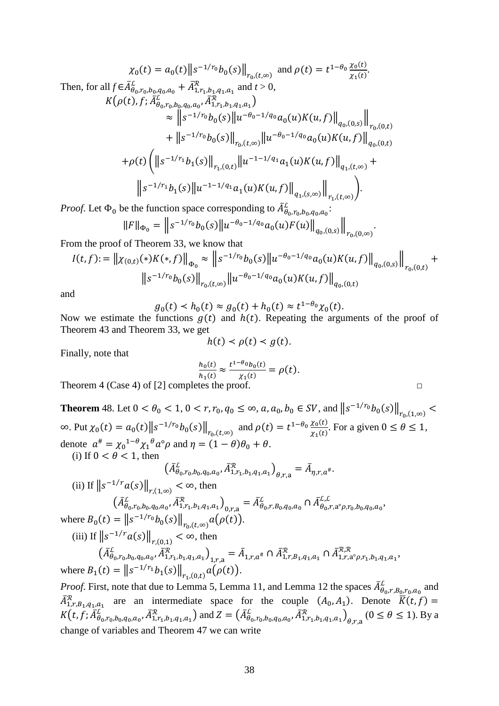$$
\chi_{0}(t) = a_{0}(t) \|s^{-1/r_{0}} b_{0}(s)\|_{r_{0},(t,\infty)} \text{ and } \rho(t) = t^{1-\theta_{0}} \frac{\chi_{0}(t)}{\chi_{1}(t)}.
$$
\nThen, for all  $f \in \bar{A}_{\theta_{0},r_{0},b_{0},q_{0},a_{0}}^{L} + \bar{A}_{1,r_{1},b_{1},q_{1},a_{1}}^{R}$  and  $t > 0$ ,\n
$$
K(\rho(t), f; \bar{A}_{\theta_{0},r_{0},b_{0},q_{0},a_{0}}^{L}, \bar{A}_{1,r_{1},b_{1},q_{1},a_{1}}^{R}) \approx \|s^{-1/r_{0}} b_{0}(s)\|u^{-\theta_{0}-1/q_{0}} a_{0}(u)K(u,f)\|_{q_{0},(0,s)}\|_{r_{0},(0,t)}
$$
\n
$$
+ \|s^{-1/r_{0}} b_{0}(s)\|_{r_{0},(t,\infty)} \|u^{-\theta_{0}-1/q_{0}} a_{0}(u)K(u,f)\|_{q_{0},(0,t)}
$$
\n
$$
+ \rho(t) \left( \|s^{-1/r_{1}} b_{1}(s)\|_{r_{1},(0,t)} \|u^{-1-1/q_{1}} a_{1}(u)K(u,f)\|_{q_{1},(t,\infty)} + \|\delta^{-1/r_{1}} b_{1}(s) \|u^{-1-1/q_{1}} a_{1}(u)K(u,f)\|_{q_{1},(s,\infty)} \right)
$$

*Proof.* Let  $\Phi_0$  be the function space corresponding to  $A^{\mathcal{L}}_{\theta_0, r_0, b_0, q_0, a_0}$ .

$$
||F||_{\Phi_0} = ||s^{-1/r_0}b_0(s)||u^{-\theta_0 - 1/q_0}a_0(u)F(u)||_{q_0,(0,s)}||_{r_0,(0,\infty)}.
$$

From the proof of [Theorem 33,](#page-20-0) we know that

$$
I(t,f) := \left\| \chi_{(0,t)}(*)K(*,f) \right\|_{\Phi_0} \approx \left\| s^{-1/r_0} b_0(s) \left\| u^{-\theta_0 - 1/q_0} a_0(u) K(u,f) \right\|_{q_0,(0,s)} \right\|_{r_0,(0,t)} +
$$
  

$$
\left\| s^{-1/r_0} b_0(s) \right\|_{r_0,(t,\infty)} \left\| u^{-\theta_0 - 1/q_0} a_0(u) K(u,f) \right\|_{q_0,(0,t)}
$$

and

$$
g_0(t) < h_0(t) \approx g_0(t) + h_0(t) \approx t^{1-\theta_0} \chi_0(t).
$$

Now we estimate the functions  $g(t)$  and  $h(t)$ . Repeating the arguments of the proof of [Theorem 43](#page-32-0) and [Theorem 33,](#page-20-0) we get

$$
h(t) < \rho(t) < g(t).
$$

Finally, note that

$$
\frac{h_0(t)}{h_1(t)} \approx \frac{t^{1-\theta_0}b_0(t)}{\chi_1(t)} = \rho(t).
$$

Theorem 4 (Case 4) of [\[2\]](#page-46-2) completes the proof.  $\Box$ 

<span id="page-37-0"></span>**Theorem** 48. Let  $0 < \theta_0 < 1$ ,  $0 < r, r_0, q_0 \le \infty$ ,  $a, a_0, b_0 \in SV$ , and  $||s^{-1/r_0}b_0(s)||_{r_0(1,\infty)} <$ ∞. Put  $\chi_0(t) = a_0(t) \|s^{-1/r_0} b_0(s)\|_{r_0,(t,\infty)}$  and  $\rho(t) = t^{1-\theta_0} \frac{\chi_0(t)}{\chi_1(t)}$ . For a given  $0 \le \theta \le 1$ , denote  $a^{\#} = \chi_0^{1-\theta} \chi_1^{\theta} a^{\circ} \rho$  and  $\eta = (1-\theta)\theta_0 + \theta$ . (i) If  $0 < \theta < 1$ , then

$$
(\bar{A}_{\theta_0, r_0, b_0, q_0, a_0}^{\mathcal{L}}, \bar{A}_{1, r_1, b_1, q_1, a_1}^{\mathcal{R}})_{\theta, r, a} = \bar{A}_{\eta, r, a^{\#}}.
$$
  

$$
\langle r_{a(s)} \rangle | \leq \infty, \text{ then}
$$

(ii) If 
$$
||s^{-1/r}a(s)||_{r,(1,\infty)} < \infty
$$
, then

$$
\left(\bar{A}_{\theta_0,r_0,b_0,q_0,a_0}^{\mathcal{L}}, \bar{A}_{1,r_1,b_1,q_1,a_1}^{\mathcal{R}}\right)_{0,r,a} = \bar{A}_{\theta_0,r,B_0,q_0,a_0}^{\mathcal{L}} \cap \bar{A}_{\theta_0,r,a^{\circ}\rho,r_0,b_0,q_0,a_0}^{\mathcal{L},\mathcal{L}},
$$
\nwhere  $B_0(t) = ||s^{-1/r_0}b_0(s)||_{r_0,(t,\infty)} a(\rho(t)).$ 

(iii) If 
$$
||s^{-1/r}a(s)||_{r,(0,1)} < \infty
$$
, then

$$
\left(\bar{A}_{\theta_0,r_0,b_0,q_0,a_0}^{\mathcal{L}}, \bar{A}_{1,r_1,b_1,q_1,a_1}^{\mathcal{R}}\right)_{1,r,a} = \bar{A}_{1,r,a^*} \cap \bar{A}_{1,r,B_1,q_1,a_1}^{\mathcal{R}} \cap \bar{A}_{1,r,a^{\circ}\rho,r_1,b_1,q_1,a_1}^{\mathcal{R},\mathcal{R}},
$$
\nwhere  $B_1(t) = ||s^{-1/r_1}b_1(s)||_{r_1,(0,t)} a(\rho(t)).$ 

*Proof.* First, note that due to [Lemma 5,](#page-3-0) [Lemma 11,](#page-5-1) and [Lemma 12](#page-5-2) the spaces  $\bar{A}^L_{\theta_0,r,B_0,r_0,a_0}$  and  $\bar{A}^R_{1,r,B_1,q_1,a_1}$  are an intermediate space for the couple  $(A_0, A_1)$ . Denote  $\bar{K}(t,f)$  =  $K(t, f; \bar{A}_{\theta_0, r_0, b_0, q_0, a_0}^L, \bar{A}_{1, r_1, b_1, q_1, a_1}^R)$  and  $Z = (\bar{A}_{\theta_0, r_0, b_0, q_0, a_0}^L, \bar{A}_{1, r_1, b_1, q_1, a_1}^R)_{\theta, r, a}$   $(0 \le \theta \le 1)$ . By a change of variables and [Theorem 47](#page-36-0) we can write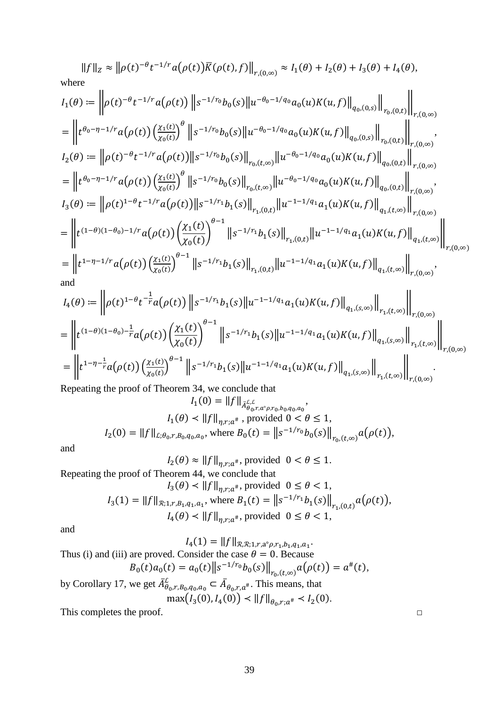$$
||f||_z \approx ||\rho(t)^{-\theta}t^{-1/r}a(\rho(t))\overline{K}(\rho(t),f)||_{r,(0,\infty)} \approx I_1(\theta) + I_2(\theta) + I_3(\theta) + I_4(\theta),
$$
  
\nwhere  
\n
$$
I_1(\theta) := \left\| \rho(t)^{-\theta}t^{-1/r}a(\rho(t)) \left\| s^{-1/r_0}b_0(s) \left\| u^{-\theta_0 - 1/q_0}a_0(u)K(u,f) \right\|_{q_0,(0,s)} \right\|_{r_0,(0,t)} \right\|_{r,(0,\infty)}
$$
  
\n
$$
= \left\| t^{\theta_0 - \eta - 1/r}a(\rho(t)) \left( \frac{\chi_1(t)}{\chi_0(t)} \right)^{\theta} \left\| s^{-1/r_0}b_0(s) \left\| u^{-\theta_0 - 1/q_0}a_0(u)K(u,f) \right\|_{q_0,(0,s)} \right\|_{r_0,(0,t)} \right\|_{r,(0,\infty)}
$$
  
\n
$$
I_2(\theta) := \left\| \rho(t)^{-\theta}t^{-1/r}a(\rho(t)) \left( \frac{\chi_1(t)}{\chi_0(t)} \right)^{\theta} \left\| s^{-1/r_0}b_0(s) \right\|_{r_0,(t,\infty)} \left\| u^{-\theta_0 - 1/q_0}a_0(u)K(u,f) \right\|_{q_0,(0,t)} \right\|_{r,(0,\infty)}
$$
  
\n
$$
= \left\| t^{\theta_0 - \eta - 1/r}a(\rho(t)) \left( \frac{\chi_1(t)}{\chi_0(t)} \right)^{\theta} \left\| s^{-1/r_0}b_0(s) \right\|_{r_0,(t,\infty)} \left\| u^{-\theta_0 - 1/q_0}a_0(u)K(u,f) \right\|_{q_0,(0,t)} \right\|_{r,(0,\infty)}
$$
  
\n
$$
I_3(\theta) := \left\| \rho(t)^{1-\theta}t^{-1/r}a(\rho(t)) \left( \frac{\chi_1(t)}{\chi_0(t)} \right)^{\theta - 1} \left\| s^{-1/r_1}b_1(s) \right\|_{r_1,(0,t)} \left\| u^{-1-1/q_1}a_1(u)K(u,f) \right\|_{q_1,(t,\infty)} \right\|_{r,(0,\infty)}
$$

$$
= \left\| t^{(1-\theta)(1-\theta_0) - \frac{1}{r}} a(\rho(t)) \left( \frac{\chi_1(t)}{\chi_0(t)} \right)^{\sigma-1} \left\| s^{-1/r_1} b_1(s) \right\| u^{-1-1/q_1} a_1(u) K(u,f) \left\|_{q_1,(s,\infty)} \right\|_{r_1,(t,\infty)} \right\|_{r,(0,\infty)}
$$
  
= 
$$
\left\| t^{1-\eta-\frac{1}{r}} a(\rho(t)) \left( \frac{\chi_1(t)}{\chi_0(t)} \right)^{\theta-1} \left\| s^{-1/r_1} b_1(s) \right\| u^{-1-1/q_1} a_1(u) K(u,f) \left\|_{q_1,(s,\infty)} \right\|_{r_1,(t,\infty)} \right\|_{r,(0,\infty)}.
$$

Repeating the proof of Theorem 34, we conclude that  $L(f) = ||f||_{c}$ 

$$
I_1(0) = ||f||_{\bar{A}_{\theta_0, r, a^{\circ} \rho, r_0, b_0, q_0, a_0}} \cdot I_1(\theta) < ||f||_{\eta, r; a^{\#}}, \text{ provided } 0 < \theta \le 1,
$$
\n
$$
I_2(0) = ||f||_{\mathcal{L}; \theta_0, r, B_0, q_0, a_0}, \text{ where } B_0(t) = ||s^{-1/r_0} b_0(s)||_{r_0, (t, \infty)} a(\rho(t)),
$$

and

 $I_2(\theta) \approx ||f||_{\eta, r; a^{\#}}$ , provided  $0 < \theta \le 1$ .

Repeating the proof of Theorem 44, we conclude that

$$
I_3(\theta) < \|f\|_{\eta, r; a^\#} \text{, provided } 0 \le \theta < 1,
$$
\n
$$
I_3(1) = \|f\|_{\mathcal{R}; 1, r, B_1, q_1, a_1}, \text{ where } B_1(t) = \|s^{-1/r_1} b_1(s)\|_{r_1, (0, t)} a(\rho(t)),
$$
\n
$$
I_4(\theta) < \|f\|_{\eta, r; a^\#} \text{, provided } 0 \le \theta < 1,
$$

and

 $I_4(1) = \|f\|_{\mathcal{R},\mathcal{R}; 1,r,a^{\circ}\rho, r_1,b_1,q_1,a_1}.$ Thus (i) and (iii) are proved. Consider the case  $\theta = 0$ . Because<br>  $B_0(t)a_0(t) = a_0(t) ||s^{-1/r_0}b_0(s)||_{r_0,(t,\infty)} a(\rho(t)) = a^*(t)$ , by Corollary 17, we get  $\bar{A}_{\theta_0,r,B_0,q_0,a_0}^{\mathcal{L}} \subset \bar{A}_{\theta_0,r,a^*}$ . This means, that<br>max $(I_3(0), I_4(0)) \prec ||f||_{\theta_0,r;a^*} \prec I_2(0)$ .

This completes the proof.

 $\Box$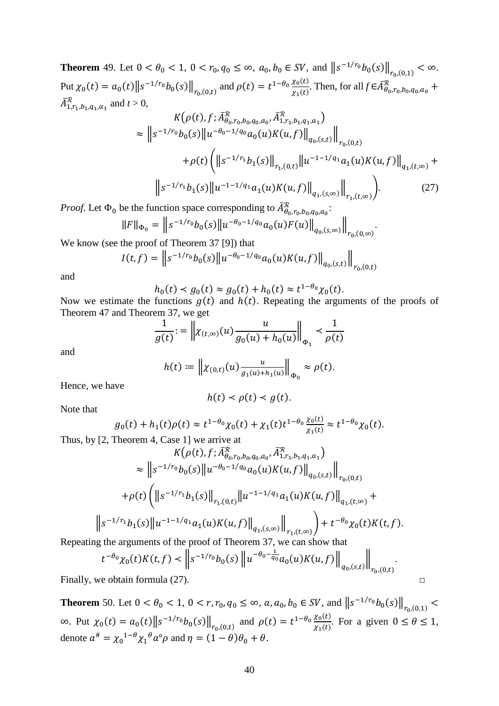<span id="page-39-0"></span>**Theorem** 49. Let  $0 < \theta_0 < 1$ ,  $0 < r_0, q_0 \le \infty$ ,  $a_0, b_0 \in SV$ , and  $||s^{-1/r_0}b_0(s)||_{r_0,(0,1)} < \infty$ . Put  $\chi_0(t) = a_0(t) \|s^{-1/r_0} b_0(s)\|_{r_0,(0,t)}$  and  $\rho(t) = t^{1-\theta_0} \frac{\chi_0(t)}{\chi_1(t)}$ . Then, for all  $f \in \bar{A}_{\theta_0,r_0,b_0,q_0,a_0}^R$  +  $A_{1,r_1,b_1,q_1,a_1}^{\mathcal{R}}$  and  $t > 0$ ,

$$
K(\rho(t), f; \bar{A}_{\theta_0, r_0, b_0, q_0, a_0}^{\mathcal{R}}, \bar{A}_{1, r_1, b_1, q_1, a_1}^{\mathcal{R}})
$$
  
\n
$$
\approx ||s^{-1/r_0}b_0(s)||u^{-\theta_0 - 1/q_0}a_0(u)K(u, f)||_{q_0,(s,t)}||_{r_0,(0,t)}
$$
  
\n
$$
+\rho(t)\left(||s^{-1/r_1}b_1(s)||_{r_1,(0,t)}||u^{-1-1/q_1}a_1(u)K(u, f)||_{q_1,(t,\infty)} + ||s^{-1/r_1}b_1(s)||u^{-1-1/q_1}a_1(u)K(u, f)||_{q_1,(s,\infty)}||_{r_1,(t,\infty)}\right).
$$
 (27)

.

.

*Proof.* Let  $\Phi_0$  be the function space corresponding to  $A_{\theta_0, r_0, b_0, q_0, a_0}^{\mathcal{R}}$ :

$$
||F||_{\Phi_0} = ||s^{-1/r_0} b_0(s)||u^{-\theta_0 - 1/q_0} a_0(u) F(u)||_{q_0, (s,\infty)}||_{r_0, (0,\infty)}
$$

We know (see the proof of Theorem 37 [\[9\]](#page-46-9)) that

$$
I(t,f) = \left\| s^{-1/r_0} b_0(s) \left\| u^{-\theta_0 - 1/q_0} a_0(u) K(u,f) \right\|_{q_0,(s,t)} \right\|_{r_0,(0,t)}
$$

and

$$
h_0(t) < g_0(t) \approx g_0(t) + h_0(t) \approx t^{1-\theta_0} \chi_0(t).
$$

Now we estimate the functions  $g(t)$  and  $h(t)$ . Repeating the arguments of the proofs of [Theorem 47](#page-36-0) and [Theorem 37,](#page-25-0) we get

$$
\frac{1}{g(t)} = \left\| \chi_{(t,\infty)}(u) \frac{u}{g_0(u) + h_0(u)} \right\|_{\Phi_1} < \frac{1}{\rho(t)}
$$

and

$$
h(t) := \left\| \chi_{(0,t)}(u) \frac{u}{g_1(u) + h_1(u)} \right\|_{\Phi_0} \approx \rho(t).
$$

Hence, we have

$$
h(t) < \rho(t) < g(t).
$$

Note that

$$
g_0(t) + h_1(t)\rho(t) \approx t^{1-\theta_0}\chi_0(t) + \chi_1(t)t^{1-\theta_0}\frac{\chi_0(t)}{\chi_1(t)} \approx t^{1-\theta_0}\chi_0(t).
$$

Thus, by [\[2,](#page-46-2) Theorem 4, Case 1] we arrive at

$$
K(\rho(t), f; \bar{A}_{\theta_0, r_0, b_0, q_0, a_0}^{\mathcal{R}}, \bar{A}_{1, r_1, b_1, q_1, a_1}^{\mathcal{R}})
$$
\n
$$
\approx ||s^{-1/r_0}b_0(s)||u^{-\theta_0 - 1/q_0}a_0(u)K(u, f)||_{q_0,(s,t)}||_{r_0,(0,t)}
$$
\n
$$
+\rho(t)\left(||s^{-1/r_1}b_1(s)||_{r_1,(0,t)}||u^{-1-1/q_1}a_1(u)K(u, f)||_{q_1,(t,\infty)} + ||s^{-1/r_1}b_1(s)||u^{-1-1/q_1}a_1(u)K(u, f)||_{q_1,(s,\infty)}||_{r_1,(t,\infty)}\right) + t^{-\theta_0}\chi_0(t)K(t, f).
$$

Repeating the arguments of the proof of [Theorem 37,](#page-25-0) we can show that

$$
t^{-\theta_0} \chi_0(t) K(t, f) \prec \left\| s^{-1/r_0} b_0(s) \left\| u^{-\theta_0 - \frac{1}{q_0}} a_0(u) K(u, f) \right\|_{q_0, (s, t)} \right\|_{r_0, (0, t)}
$$

Finally, we obtain formula (27).  $\Box$ 

<span id="page-39-1"></span>**Theorem** 50. Let  $0 < \theta_0 < 1$ ,  $0 < r, r_0, q_0 \le \infty$ ,  $a, a_0, b_0 \in SV$ , and  $||s^{-1/r_0}b_0(s)||_{r_0,(0,1)} <$ ∞. Put  $\chi_0(t) = a_0(t) ||s^{-1/r_0} b_0(s)||_{r_0,(0,t)}$  and  $\rho(t) = t^{1-\theta_0} \frac{\chi_0(t)}{\chi_1(t)}$ . For a given  $0 \le \theta \le 1$ , denote  $a^{\#} = \chi_0^{1-\theta} \chi_1^{\theta} a^{\circ} \rho$  and  $\eta = (1-\theta)\theta_0 + \theta$ .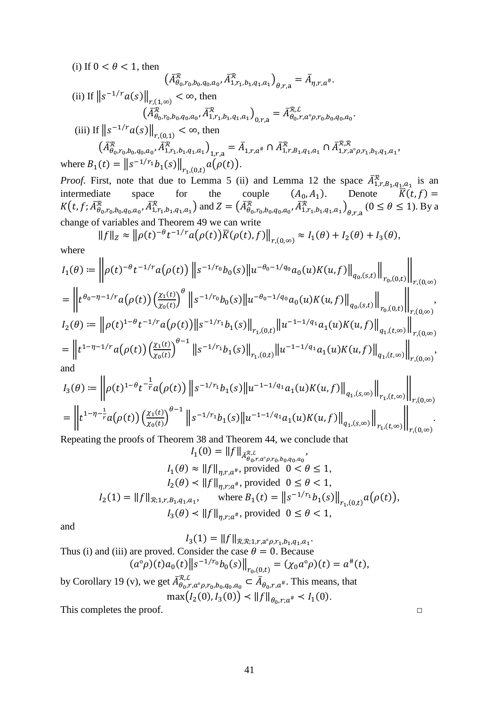(i) If  $0 < \theta < 1$ , then  $(A_{\theta_0,r_0,b_0,q_0,a_0}^{\mathcal{R}}, A_{1,r_1,b_1,q_1,a_1}^{\mathcal{R}})_{\theta,r,a} = A_{\eta,r,a^*}.$ (ii) If  $||s^{-1/r}a(s)||_{r,(1,\infty)} < \infty$ , then  $\left(\bar{A}^{\mathcal{R}}_{\theta_0,r_0,b_0,q_0,a_0}, \bar{A}^{\mathcal{R}}_{1,r_1,b_1,q_1,a_1}\right)_{0,r,{\bf a}} = \bar{A}^{\mathcal{R,L}}_{\theta_0,r,a^{\diamond}\rho,r_0,b_0,q_0,a_0}.$ (iii) If  $||s^{-1/r}a(s)||_{r,(0,1)} < \infty$ , then  $\left(\bar{A}_{\theta_0,r_0,b_0,q_0,a_0}^{\mathcal{R}},\bar{A}_{1,r_1,b_1,q_1,a_1}^{\mathcal{R}}\right)_{1,r,a}=\bar{A}_{1,r,a^*}\cap \bar{A}_{1,r,B_1,q_1,a_1}^{\mathcal{R}}\cap \bar{A}_{1,r,a^{\circ} \rho,r_1,b_1,q_1,a_1}^{\mathcal{R},\mathcal{R}},$ where  $B_1(t) = ||s^{-1/r_1}b_1(s)||_{r_1,(0,t)} a(\rho(t)).$ 

*Proof.* First, note that due to [Lemma 5](#page-3-0) (ii) and [Lemma 12](#page-5-2) the space  $A_{1,r,B_1,q_1,a_1}^{\mathcal{R}}$  is an  $1,r,B_1,q_1,a_1$ intermediate space for the couple  $(A_0, A_1)$ . Denote  $K(t, f) =$  $K(t, f; A^{\mathcal{R}}_{\theta_0, r_0, b_0, q_0, a_0}, A^{\mathcal{R}}_{1, r_1, b_1, q_1, a_1})$  and  $Z = (A^{\mathcal{R}}_{\theta_0, r_0, b_0, q_0, a_0}, A^{\mathcal{R}}_{1, r_1, b_1, q_1, a_1})_{\theta, r, a}$   $(0 \le \theta \le 1)$ . By a change of variables and [Theorem 49](#page-39-0) we can write

$$
||f||_Z \approx ||\rho(t)^{-\theta}t^{-1/r}a(\rho(t))\overline{K}(\rho(t),f)||_{r,(0,\infty)} \approx I_1(\theta) + I_2(\theta) + I_3(\theta),
$$

where

$$
I_1(\theta) := \left\| \rho(t)^{-\theta} t^{-1/r} a(\rho(t)) \left\| s^{-1/r_0} b_0(s) \left\| u^{-\theta_0 - 1/q_0} a_0(u) K(u, f) \right\|_{q_0,(s,t)} \right\|_{r_0,(0,t)} \right\|_{r,(0,\infty)}
$$
  
\n
$$
= \left\| t^{\theta_0 - \eta - 1/r} a(\rho(t)) \left( \frac{\chi_1(t)}{\chi_0(t)} \right)^{\theta} \left\| s^{-1/r_0} b_0(s) \left\| u^{-\theta_0 - 1/q_0} a_0(u) K(u, f) \right\|_{q_0,(s,t)} \right\|_{r_0,(0,t)} \right\|_{r,(0,\infty)}
$$
  
\n
$$
I_2(\theta) := \left\| \rho(t)^{1-\theta} t^{-1/r} a(\rho(t)) \left\| s^{-1/r_1} b_1(s) \right\|_{r_1,(0,t)} \left\| u^{-1-1/q_1} a_1(u) K(u, f) \right\|_{q_1,(t,\infty)} \right\|_{r,(0,\infty)}
$$
  
\n
$$
= \left\| t^{1-\eta - 1/r} a(\rho(t)) \left( \frac{\chi_1(t)}{\chi_0(t)} \right)^{\theta - 1} \left\| s^{-1/r_1} b_1(s) \right\|_{r_1,(0,t)} \left\| u^{-1-1/q_1} a_1(u) K(u, f) \right\|_{q_1,(t,\infty)} \right\|_{r,(0,\infty)}
$$
  
\nand

$$
I_3(\theta) := \left\| \rho(t)^{1-\theta} t^{-\frac{1}{r}} a(\rho(t)) \left\| s^{-1/r_1} b_1(s) \left\| u^{-1-1/q_1} a_1(u) K(u,f) \right\|_{q_1,(s,\infty)} \right\|_{r_1,(t,\infty)} \right\|_{r,(0,\infty)}
$$
  
= 
$$
\left\| t^{1-\eta-\frac{1}{r}} a(\rho(t)) \left( \frac{\chi_1(t)}{\chi_0(t)} \right)^{\theta-1} \left\| s^{-1/r_1} b_1(s) \left\| u^{-1-1/q_1} a_1(u) K(u,f) \right\|_{q_1,(s,\infty)} \right\|_{r_1,(t,\infty)} \right\|_{r,(0,\infty)}.
$$

Repeating the proofs of [Theorem 38](#page-26-0) and [Theorem 44,](#page-33-0) we conclude that

$$
I_1(0) = ||f||_{\bar{A}_{\theta_0, r, a^{\circ} \rho, r_0, b_0, q_0, a_0}},
$$
  
\n
$$
I_1(\theta) \approx ||f||_{\eta, r, a^{\#}}
$$
, provided  $0 < \theta \le 1$ ,  
\n
$$
I_2(\theta) < ||f||_{\eta, r, a^{\#}}
$$
, provided  $0 \le \theta < 1$ ,  
\n
$$
I_2(1) = ||f||_{\mathcal{R}; 1, r, B_1, q_1, a_1}, \text{ where } B_1(t) = ||s^{-1/r_1}b_1(s)||_{r_1, (0, t)} a(\rho(t)),
$$
  
\n
$$
I_3(\theta) < ||f||_{\eta, r; a^{\#}}
$$
, provided  $0 \le \theta < 1$ ,

and

 $I_3(1) = ||f||_{\mathcal{R},\mathcal{R};1,r,a^{\circ}\rho,r_1,b_1,q_1,a_1}.$ Thus (i) and (iii) are proved. Consider the case  $\theta = 0$ . Because  $(a^{\circ}\rho)(t)a_0(t)\|s^{-1/r_0}b_0(s)\|_{r_0,(0,t)} = (\chi_0a^{\circ}\rho)(t) = a^{\#}(t),$ by [Corollary 19](#page-8-0) (v), we get  $\bar{A}_{\theta_0,r,a^{\circ} \rho,r_0,b_0,q_0,a_0}^{\mathcal{R},L} \subset \bar{A}_{\theta_0,r,a^{\#}}$ . This means, that  $\max(I_2(0), I_3(0)) < ||f||_{\theta_0, r; a^*} < I_1(0).$ 

This completes the proof.  $\Box$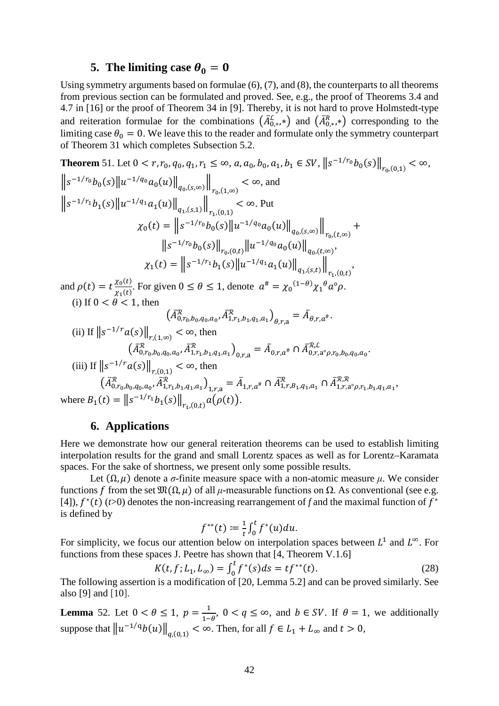### **5.** The limiting case  $\theta_0 = 0$

<span id="page-41-1"></span>Using symmetry arguments based on formulae (6), (7), and (8), the counterparts to all theorems from previous section can be formulated and proved. See, e.g., the proof of Theorems 3.4 and 4.7 in [\[16\]](#page-47-4) or the proof of Theorem 34 in [\[9\]](#page-46-9). Thereby, it is not hard to prove Holmstedt-type and reiteration formulae for the combinations  $(A_{0,*}^k,*)$  and  $(A_{0,*}^k,*)$  corresponding to the limiting case  $\theta_0 = 0$ . We leave this to the reader and formulate only the symmetry counterpart of [Theorem 31](#page-18-0) which completes Subsection [5.2.](#page-28-0)

Theorem 51. Let 
$$
0 < r, r_0, q_0, q_1, r_1 \le \infty
$$
,  $a, a_0, b_0, a_1, b_1 \in SV$ ,  $||s^{-1/r_0}b_0(s)||_{r_0,(0,1)} < \infty$ ,  
\n $||s^{-1/r_0}b_0(s)||u^{-1/q_0}a_0(u)||_{q_0,(s,\infty)}||_{r_0,(1,\infty)} < \infty$ , and  
\n $||s^{-1/r_1}b_1(s)||u^{-1/q_1}a_1(u)||_{q_1,(s,1)}||_{r_1,(0,1)} < \infty$ . Put  
\n
$$
\chi_0(t) = ||s^{-1/r_0}b_0(s)||u^{-1/q_0}a_0(u)||_{q_0,(s,\infty)}||_{r_0,(t,\infty)} + ||s^{-1/r_0}b_0(s)||_{r_0,(0,t)}||u^{-1/q_0}a_0(u)||_{q_0,(t,\infty)},
$$
\n
$$
\chi_1(t) = ||s^{-1/r_1}b_1(s)||u^{-1/q_1}a_1(u)||_{q_1,(s,t)}||_{r_1,(0,t)},
$$
\n
$$
\chi_2(t) = \chi_1(t) = \chi_2(t) = \chi_1(t) = \chi_2(t) = \chi_1(t) = \chi_2(t) = \chi_1(t) = \chi_2(t) = \chi_2(t) = \chi_1(t) = \chi_2(t) = \chi_2(t) = \chi_2(t) = \chi_2(t) = \chi_2(t) = \chi_2(t) = \chi_2(t) = \chi_2(t) = \chi_2(t) = \chi_2(t) = \chi_2(t) = \chi_2(t) = \chi_2(t) = \chi_2(t) = \chi_2(t) = \chi_2(t) = \chi_2(t) = \chi_2(t) = \chi_2(t) = \chi_2(t) = \chi_2(t) = \chi_2(t) = \chi_2(t) = \chi_2(t) = \chi_2(t) = \chi_2(t) = \chi_2(t) = \chi_2(t) = \chi_2(t) = \chi_2(t) = \chi_2(t) = \chi_2(t) = \chi_2(t) = \chi_2(t) = \chi_2(t) = \chi_2(t) = \chi_2(t) = \chi_2(t) = \chi_2(t) = \chi_2(t) = \chi_2(t) = \chi_2(t) = \chi_2(t) = \
$$

and  $\rho(t) = t \frac{\chi_0(t)}{\chi_1(t)}$  $\frac{\chi_0(\epsilon)}{\chi_1(t)}$ . For given  $0 \le \theta \le 1$ , denote  $a^* = {\chi_0}^{(1-\theta)} {\chi_1}^{\theta} a^{\circ} \rho$ . (i) If  $0 < \theta < 1$ , then

$$
\left(\bar{A}_{0,r_{0},b_{0},q_{0},a_{0}}^{\mathcal{R}},\bar{A}_{1,r_{1},b_{1},q_{1},a_{1}}^{\mathcal{R}}\right)_{\theta,r,a}=\bar{A}_{\theta,r,a^{\#}}.
$$

(ii) If 
$$
||s^{-1/r}a(s)||_{r,(1,\infty)} < \infty
$$
, then  
\n
$$
(\bar{A}_{0,r_0,b_0,q_0,a_0}^{\mathcal{R}}, \bar{A}_{1,r_1,b_1,q_1,a_1}^{\mathcal{R}})_{0,r,a} = \bar{A}_{0,r,a^{\#}} \cap \bar{A}_{0,r,a^{\circ}\rho,r_0,b_0,q_0,a_0}^{\mathcal{R},\mathcal{L}}.
$$
\n(iii) If  $||s^{-1/r}a(s)||_{r,(0,1)} < \infty$ , then  
\n
$$
(\bar{A}_{0,r_0,b_0,q_0,a_0}^{\mathcal{R}}, \bar{A}_{1,r_1,b_1,q_1,a_1}^{\mathcal{R}})_{1,r,a} = \bar{A}_{1,r,a^{\#}} \cap \bar{A}_{1,r,B_1,q_1,a_1}^{\mathcal{R}} \cap \bar{A}_{1,r,a^{\circ}\rho,r_1,b_1,q_1,a_1}^{\mathcal{R},\mathcal{R}},
$$
\nwhere  $B_1(t) = ||s^{-1/r_1}b_1(s)||_{r_1,(0,t)}a(\rho(t)).$ 

# **6. Applications**

<span id="page-41-0"></span>Here we demonstrate how our general reiteration theorems can be used to establish limiting interpolation results for the grand and small Lorentz spaces as well as for Lorentz–Karamata spaces. For the sake of shortness, we present only some possible results.

Let  $(\Omega, \mu)$  denote a *σ*-finite measure space with a non-atomic measure  $\mu$ . We consider functions f from the set  $\mathfrak{M}(\Omega, \mu)$  of all  $\mu$ -measurable functions on  $\Omega$ . As conventional (see e.g. [\[4\]](#page-46-0)),  $f^*(t)$  ( $t>0$ ) denotes the non-increasing rearrangement of f and the maximal function of  $f^*$ is defined by

$$
f^{**}(t) := \frac{1}{t} \int_0^t f^*(u) du.
$$

For simplicity, we focus our attention below on interpolation spaces between  $L^1$  and  $L^\infty$ . For functions from these spaces J. Peetre has shown that [\[4,](#page-46-0) Theorem V.1.6]

$$
K(t, f; L_1, L_\infty) = \int_0^t f^*(s) ds = t f^{**}(t). \tag{28}
$$

The following assertion is a modification of [\[20,](#page-47-2) Lemma 5.2] and can be proved similarly. See also [\[9\]](#page-46-9) and [\[10\]](#page-46-11).

<span id="page-41-2"></span>**Lemma** 52. Let  $0 < \theta \le 1$ ,  $p = \frac{1}{1-\theta}$ ,  $0 < q \le \infty$ , and  $b \in SV$ . If  $\theta = 1$ , we additionally suppose that  $||u^{-1/q}b(u)||_{a,(0,1)} < \infty$ . Then, for all  $f \in L_1 + L_\infty$  and  $t > 0$ ,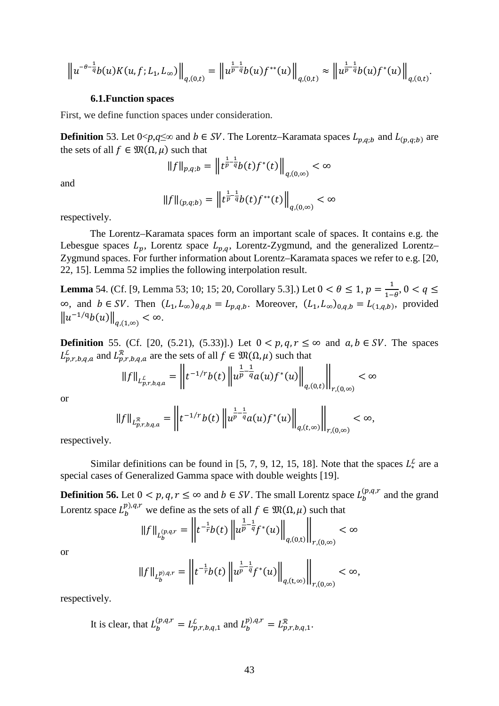$$
\left\|u^{-\theta-\frac{1}{q}}b(u)K(u,f;L_1,L_{\infty})\right\|_{q,(0,t)}=\left\|u^{\frac{1}{p}-\frac{1}{q}}b(u)f^{**}(u)\right\|_{q,(0,t)}\approx\left\|u^{\frac{1}{p}-\frac{1}{q}}b(u)f^{*}(u)\right\|_{q,(0,t)}.
$$

#### **6.1.Function spaces**

First, we define function spaces under consideration.

**Definition** 53. Let  $0 \leq p, q \leq \infty$  and  $b \in SV$ . The Lorentz–Karamata spaces  $L_{p,q;b}$  and  $L_{(p,q;b)}$  are the sets of all  $f \in \mathfrak{M}(\Omega, \mu)$  such that

$$
||f||_{p,q;b} = \left||t^{\frac{1}{p}-\frac{1}{q}}b(t)f^*(t)||_{q,(0,\infty)} < \infty
$$

and

$$
||f||_{(p,q;b)} = ||t^{\frac{1}{p}-\frac{1}{q}}b(t)f^{**}(t)||_{q,(0,\infty)} < \infty
$$

respectively.

The Lorentz–Karamata spaces form an important scale of spaces. It contains e.g. the Lebesgue spaces  $L_p$ , Lorentz space  $L_{p,q}$ , Lorentz-Zygmund, and the generalized Lorentz– Zygmund spaces. For further information about Lorentz–Karamata spaces we refer to e.g. [\[20,](#page-47-2) [22,](#page-47-7) [15\]](#page-47-0). [Lemma](#page-41-2) 52 implies the following interpolation result.

<span id="page-42-0"></span>**Lemma** 54. (Cf. [\[9,](#page-46-9) Lemma 53; [10;](#page-46-11) [15;](#page-47-0) [20,](#page-47-2) Corollary 5.3].) Let  $0 < \theta \le 1$ ,  $p = \frac{1}{1-\theta}$ ,  $0 < q \le$  $\infty$ , and  $b \in SV$ . Then  $(L_1, L_\infty)_{\theta, q, b} = L_{p,q,b}$ . Moreover,  $(L_1, L_\infty)_{0,q,b} = L_{(1,q,b)}$ , provided  $\|u^{-1/q}b(u)\|_{a(1,\infty)} < \infty.$ 

**Definition** 55. (Cf. [\[20,](#page-47-2) (5.21), (5.33)].) Let  $0 < p, q, r \leq ∞$  and  $a, b \in SV$ . The spaces  $L_{p,r,b,q,a}^{\mathcal{L}}$  and  $L_{p,r,b,q,a}^{\mathcal{R}}$  are the sets of all  $f \in \mathfrak{M}(\Omega, \mu)$  such that

$$
||f||_{L_{p,r,b,q,a}^{\mathcal{L}}} = \left||t^{-1/r}b(t)||u^{\frac{1}{p}-\frac{1}{q}}a(u)f^*(u)||_{q,(0,t)}\right||_{r,(0,\infty)} < \infty
$$

or

$$
||f||_{L_{p,r,b,q,a}^{\mathcal{R}}} = \left||t^{-1/r}b(t)||u^{\frac{1}{p}-\frac{1}{q}}a(u)f^{*}(u)||_{q,(t,\infty)}\right||_{r,(0,\infty)} < \infty,
$$

respectively.

Similar definitions can be found in [\[5,](#page-46-4) [7,](#page-46-12) [9,](#page-46-9) [12,](#page-46-6) [15,](#page-47-0) [18\]](#page-47-6). Note that the spaces  $L^{\mathcal{L}}_{*}$  are a special cases of Generalized Gamma space with double weights [\[19\]](#page-47-1).

**Definition 56.** Let  $0 < p, q, r \le \infty$  and  $b \in SV$ . The small Lorentz space  $L_b^{(p,q,r)}$  and the grand Lorentz space  $L_b^{p),q,r}$  we define as the sets of all  $f \in \mathfrak{M}(\Omega, \mu)$  such that

$$
||f||_{L_b^{(p,q,r)}} = \left||t^{-\frac{1}{r}}b(t)\left||u^{\frac{1}{p}-\frac{1}{q}}f^*(u)\right||_{q,(0,t)}\right||_{r,(0,\infty)} < \infty
$$

or

$$
||f||_{L_b^{p),q,r}} = \left||t^{-\frac{1}{r}}b(t)||u^{\frac{1}{p}-\frac{1}{q}}f^*(u)||_{q,(t,\infty)}\right||_{r,(0,\infty)} < \infty,
$$

respectively.

It is clear, that  $L_b^{(p,q,r)} = L_{p,r,b,q,1}^{\mathcal{L}}$  and  $L_b^{p),q,r} = L_{p,r,b,q,1}^{\mathcal{R}}$ .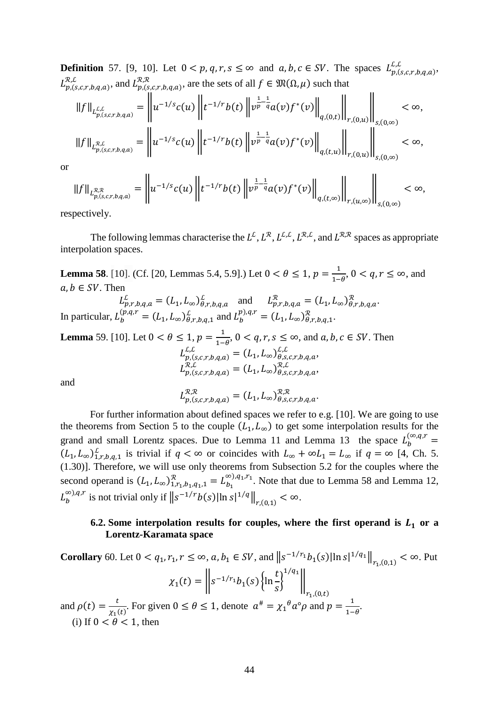**Definition** 57. [\[9,](#page-46-9) [10\]](#page-46-11). Let  $0 < p, q, r, s \le \infty$  and  $a, b, c \in SV$ . The spaces  $L_{p,(s,c,r,b,q,a)}^{L,L}$ ,  $L_{p,(s,c,r,b,q,a)}^{\mathcal{R},\mathcal{R}},$  and  $L_{p,(s,c,r,b,q,a)}^{\mathcal{R},\mathcal{R}},$  are the sets of all  $f \in \mathfrak{M}(\Omega,\mu)$  such that

$$
||f||_{L_{p,(s,c,r,b,q,a)}^{L,L}} = \left||u^{-1/s}c(u)||t^{-1/r}b(t)||v^{\frac{1}{p}-\frac{1}{q}}a(v)f^*(v)||_{q,(0,t)}\right||_{r,(0,u)}\left||\int_{s,(0,\infty)} s(\omega) \right||
$$
  

$$
||f||_{L_{p,(s,c,r,b,q,a)}^{R,L}} = \left||u^{-1/s}c(u)||t^{-1/r}b(t)||v^{\frac{1}{p}-\frac{1}{q}}a(v)f^*(v)||_{q,(t,u)}\right||_{r,(0,u)}\left||\int_{s,(0,\infty)} s(\omega) \right||_{s,(0,\infty)}\left||\int_{s,(0,\infty)} s(\omega) \right||_{r,(0,u)}\left||\int_{s,(0,\infty)} s(\omega) \right||_{r,(0,u)}\left||\int_{s,(0,\infty)} s(\omega) \right||_{r,(0,u)}\left||\int_{s,(0,\infty)} s(\omega) \right||_{r,(0,u)}\left||\int_{s,(0,\infty)} s(\omega) \right||_{r,(0,u)}\left||\int_{s,(0,\infty)} s(\omega) \right||_{r,(0,u)}\left||\int_{s,(0,\infty)} s(\omega) \right||_{r,(0,u)}\left||\int_{s,(0,\infty)} s(\omega) \right||_{r,(0,u)}\left||\int_{s,(0,\infty)} s(\omega) \right||_{r,(0,u)}\left||\int_{s,(0,\infty)} s(\omega) \right||_{r,(0,u)}\left||\int_{s,(0,\infty)} s(\omega) \right||_{r,(0,u)}\left||\int_{s,(0,\infty)} s(\omega) \right||_{r,(0,u)}\left||\int_{s,(0,\infty)} s(\omega) \right||_{r,(0,u)}\left||\int_{s,(0,\infty)} s(\omega) \right||_{r,(0,u)}\left||\int_{s,(0,\infty)} s(\omega) \right||_{r,(0,u)}\left||\int_{s,(0,\infty)} s(\omega) \right||_{r,(0,u)}\left||\int_{s,(0,\infty)} s(\omega) \right||_{r,(0,u)}\left||\int_{s,(0,\infty)} s(\omega) \right||_{r,(0,u)}\left||\int_{s,(0,\infty)} s(\omega) \right||_{r,(0,u)}\left||\int_{s,(0,\infty)} s(\omega) \right||_{r,(0,u)}\left||\int_{s,(0,\infty)} s(\omega) \right||_{r,(0,u)}\
$$

or

$$
||f||_{L_{p,(s,c,r,b,q,a)}^{\mathcal{R},\mathcal{R}}} = \left||u^{-1/s}c(u)||t^{-1/r}b(t)||v^{\frac{1}{p}-\frac{1}{q}}a(v)f^*(v)||_{q,(t,\infty)}||_{r,(u,\infty)}\right||_{s,(0,\infty)} < \infty,
$$

respectively.

The following lemmas characterise the  $L^{\mathcal{L}}, L^{\mathcal{R}}, L^{\mathcal{L}, \mathcal{L}}, L^{\mathcal{R}, \mathcal{L}},$  and  $L^{\mathcal{R}, \mathcal{R}}$  spaces as appropriate interpolation spaces.

<span id="page-43-0"></span>**Lemma 58**. [\[10\]](#page-46-11). (Cf. [\[20,](#page-47-2) Lemmas 5.4, 5.9].) Let  $0 < \theta \le 1$ ,  $p = \frac{1}{1-\theta}$ ,  $0 < q, r \le \infty$ , and  $a, b \in SV$ . Then  $L^L_{p,r,b,q,a} = (L_1, L_\infty)_{\theta,r,b,q,a}^k$  and  $L^R_{p,r,b,q,a} = (L_1, L_\infty)_{\theta,r,b,q,a}^R$ . In particular,  $L_b^{(p,q,r)} = (L_1, L_\infty)_{\theta, r, b, q, 1}^{\beta}$  and  $L_b^{(p,q,r)} = (L_1, L_\infty)_{\theta, r, b, q, 1}^{\mathcal{R}}$ . **Lemma** 59. [\[10\]](#page-46-11). Let  $0 < \theta \le 1$ ,  $p = \frac{1}{1-\theta}$ ,  $0 < q, r, s \le \infty$ , and  $a, b, c \in SV$ . Then

$$
L_{p,(s,c,r,b,q,a)}^{\mathcal{L},\mathcal{L}} = (L_1, L_\infty)_{\theta,s,c,r,b,q,a}^{\mathcal{L},\mathcal{L}},
$$
  

$$
L_{p,(s,c,r,b,q,a)}^{\mathcal{R},\mathcal{L}} = (L_1, L_\infty)_{\theta,s,c,r,b,q,a}^{\mathcal{R},\mathcal{L}},
$$

<span id="page-43-1"></span>and

$$
L_{p,(s,c,r,b,q,a)}^{\mathcal{R},\mathcal{R}} = (L_1, L_\infty)_{\theta,s,c,r,b,q,a}^{\mathcal{R},\mathcal{R}}.
$$

For further information about defined spaces we refer to e.g. [\[10\]](#page-46-11). We are going to use the theorems from Section [5](#page-11-0) to the couple  $(L_1, L_{\infty})$  to get some interpolation results for the grand and small Lorentz spaces. Due to [Lemma 11](#page-5-1) and [Lemma 13](#page-5-3) the space  $L_b^{(\infty,q,r)}$  $(L_1, L_\infty)_{1,r,b,q,1}^L$  is trivial if  $q < \infty$  or coincides with  $L_\infty + \infty L_1 = L_\infty$  if  $q = \infty$  [\[4,](#page-46-0) Ch. 5. (1.30)]. Therefore, we will use only theorems from Subsection [5.2](#page-28-1) for the couples where the second operand is  $(L_1, L_\infty)_{1,r_1,b_1,q_1,1}^{\mathcal{R}} = L_{b_1}^{\infty})_{q_1,r_1}^{\mathcal{R},n}$ . Note that due to [Lemma](#page-43-0) 58 and [Lemma 12,](#page-5-2)  $L_b^{\infty), q, r}$  is not trivial only if  $||s^{-1/r}b(s)||n s|^{1/q}||_{r,(0,1)} < \infty$ .

### **6.2.** Some interpolation results for couples, where the first operand is  $L_1$  or a **Lorentz-Karamata space**

<span id="page-43-2"></span>**Corollary** 60. Let  $0 < q_1, r_1, r \le \infty$ ,  $a, b_1 \in SV$ , and  $||s^{-1/r_1}b_1(s)||\ln s|^{1/q_1}||_{r_1,(0,1)} < \infty$ . Put  $\chi_1(t) = \left\| s^{-1/r_1} b_1(s) \right\| \ln \frac{t}{s}$ S  $\{$  $1/q_1$  $\mathsf{II}$  $r_{1}$ , $(0,t)$ and  $\rho(t) = \frac{t}{\chi_1(t)}$ . For given  $0 \le \theta \le 1$ , denote  $\alpha^* = \chi_1^{\theta} \alpha^{\circ} \rho$  and  $p = \frac{1}{1-\theta}$ .

(i) If  $0 < \theta < 1$ , then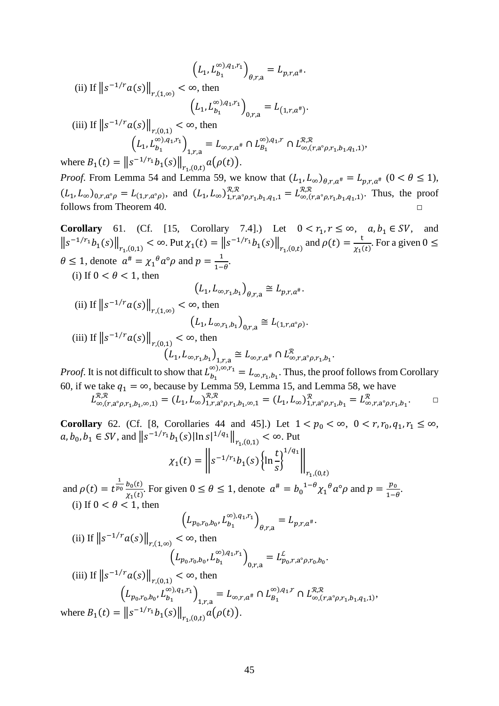$$
(L_1, L_{b_1}^{\infty})_{q,r,a} = L_{p,r,a^*}.
$$
  
\n(ii) If  $||s^{-1/r}a(s)||_{r,(1,\infty)} < \infty$ , then  
\n
$$
(L_1, L_{b_1}^{\infty})_{q,r,a} = L_{(1,r,a^*)}.
$$
  
\n(iii) If  $||s^{-1/r}a(s)||_{r,(0,1)} < \infty$ , then  
\n
$$
(L_1, L_{b_1}^{\infty})_{q,r,a} = L_{\infty,r,a^*} \cap L_{b_1}^{\infty})_{q,r,a} \cap L_{\infty,(r,a^{\circ}\rho,r_1,b_1,q_1,1)}^{\infty},
$$
  
\nwhere  $B_1(t) = ||s^{-1/r_1}b_1(s)||_{r_1,(0,t)}a(\rho(t)).$   
\n*Proof.* From Lemma 54 and Lemma 59, we know that  $(L_1, L_{\infty})_{\theta,r,a^*} = L_{p,r,a^*} \ (0 < \theta \le 1),$   
\n $(L_1, L_{\infty})_{0,r,a^{\circ}\rho} = L_{(1,r,a^{\circ}\rho)},$  and  $(L_1, L_{\infty})_{1,r,a^{\circ}\rho,r_1,b_1,q_1,1} = L_{\infty,(r,a^{\circ}\rho,r_1,b_1,q_1,1)}^{\mathcal{R},\mathcal{R}}.$  Thus, the proof

follows from [Theorem 40.](#page-29-1)

<span id="page-44-0"></span>**Corollary** 61. (Cf. [\[15,](#page-47-0) Corollary 7.4].) Let  $0 < r_1, r \le \infty$ ,  $a, b_1 \in SV$ , and  $||s^{-1/r_1}b_1(s)||_{r_1,(0,1)} < \infty$ . Put  $\chi_1(t) = ||s^{-1/r_1}b_1(s)||_{r_1,(0,t)}$  and  $\rho(t) = \frac{t}{\chi_1(t)}$ . For a given  $0 \le$  $\theta \le 1$ , denote  $a^{\#} = \chi_1^{\theta} a^{\circ} \rho$  and  $p = \frac{1}{1-\theta}$ . (i) If  $0 < \theta < 1$ , then

$$
(L_1, L_{\infty, r_1, b_1})_{\theta, r, a} \cong L_{p, r, a^*}.
$$

(ii) If 
$$
||s^{-1/r} a(s)||_{r,(1,\infty)} < \infty
$$
, then  
\n
$$
(L_1, L_{\infty, r_1, b_1})_{0, r, a} \cong L_{(1, r, a^{\circ} \rho)}.
$$
\n(iii) If  $||s^{-1/r} a(s)||_{r,(0,1)} < \infty$ , then  
\n
$$
(L_1, L_{\infty, r_1, b_1})_{1, r, a} \cong L_{\infty, r, a^*} \cap L_{\infty, r, a^{\circ} \rho, r_1, b_1}^{\mathcal{R}}.
$$

*Proof.* It is not difficult to show that  $L_{b_1}^{\infty}$ ,  $\infty$ ,  $r_1 = L_{\infty}$ ,  $r_1$ ,  $b_1$ . Thus, the proof follows from Corollary [60,](#page-43-2) if we take  $q_1 = \infty$ , because by [Lemma 59,](#page-43-1) [Lemma 15,](#page-6-0) and [Lemma](#page-43-0) 58, we have  $L_{\infty, (r, a^{\circ} \rho, r_1, b_1, \infty, 1)}^{\mathcal{X}, \mathcal{X}} = (L_1, L_{\infty})_{1, r, a^{\circ} \rho, r_1, b_1, \infty, 1}^{\mathcal{X}, \mathcal{X}} = (L_1, L_{\infty})_{1, r, a^{\circ} \rho, r_1, b_1}^{\mathcal{X}} = L_{\infty, r, a^{\circ} \rho, r_1, b_1}^{\mathcal{X}}.$ 

**Corollary** 62. (Cf. [\[8,](#page-46-8) Corollaries 44 and 45].) Let  $1 < p_0 < \infty$ ,  $0 < r, r_0, q_1, r_1 \le \infty$ ,  $a, b_0, b_1 \in SV$ , and  $||s^{-1/r_1}b_1(s)||n s|^{1/q_1}||_{r_1,(0,1)} < \infty$ . Put

$$
\chi_1(t) = \left\| s^{-1/r_1} b_1(s) \left\{ \ln \frac{t}{s} \right\}^{1/q_1} \right\|_{r_1,(0,t)}
$$

and  $\rho(t) = t^{\frac{1}{p_0}} \frac{b_0(t)}{y_1(t)}$  $\frac{b_0(t)}{\chi_1(t)}$ . For given  $0 \le \theta \le 1$ , denote  $a^{\#} = b_0^{-1-\theta} \chi_1^{\theta} a^{\circ} \rho$  and  $p = \frac{p_0}{1-\theta}$ . (i) If  $0 < \theta < 1$ , then

$$
(L_{p_0, r_0, b_0}, L_{b_1}^{\infty), q_1, r_1})_{\theta, r, a} = L_{p, r, a^*}.
$$
  
(ii) If  $||s^{-1/r}a(s)||_{r,(1,\infty)} < \infty$ , then  

$$
(L_{p_0, r_0, b_0}, L_{b_1}^{\infty), q_1, r_1})_{0, r, a} = L_{p_0, r, a^{\circ} \rho, r_0, b_0}^{\mathcal{L}}.
$$
  
(iii) If  $||s^{-1/r}a(s)||_{\infty} < \infty$  then

(iii) If  $||s^{-1/r}a(s)||_{r,(0,1)} < \infty$ , then  $\left(L_{p_0,r_0,b_0},L_{b_1}^{\infty),q_1,r_1}\right)_{1,r,a} = L_{\infty,r,a^{\#}} \cap L_{B_1}^{\infty),q_1,r} \cap L_{\infty,(r,a^{\circ}\rho,r_1,b_1,q_1,1)}^{\mathcal{R},\mathcal{R}},$ where  $B_1(t) = ||s^{-1/r_1}b_1(s)||_{r_1,(0,t)} a(\rho(t)).$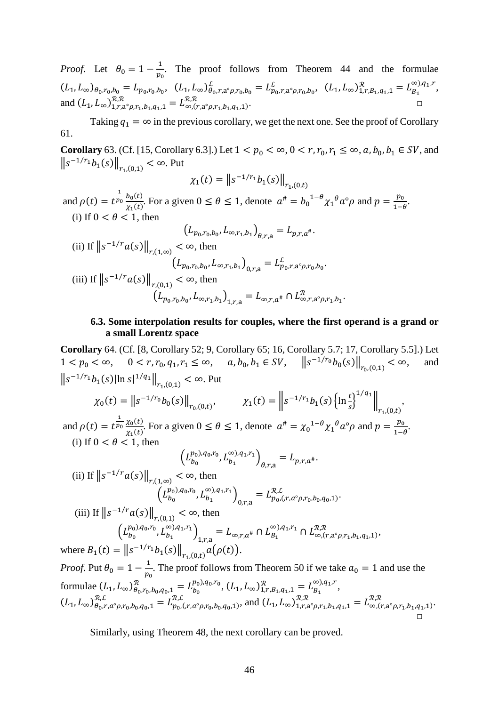*Proof.* Let  $\theta_0 = 1 - \frac{1}{p_0}$ . The proof follows from [Theorem 44](#page-33-0) and the formulae  $(L_1, L_{\infty})_{\theta_0, r_0, b_0} = L_{p_0, r_0, b_0}, \quad (L_1, L_{\infty})_{\theta_0, r, a^{\circ} \rho, r_0, b_0}^{\mathcal{L}} = L_{p_0, r, a^{\circ} \rho, r_0, b_0}^{\mathcal{L}}, \quad (L_1, L_{\infty})_{1, r, B_1, q_1, 1}^{\mathcal{R}} = L_{B_1}^{\infty, q_1, r},$ and  $(L_1, L_\infty)_{1,r,a^\circ\rho,r_1,b_1,q_1,1}^{x,x} = L_{\infty,(r,a^\circ\rho,r_1,b_1,q_1,1)}^{x,x}$ .

Taking  $q_1 = \infty$  in the previous corollary, we get the next one. See the proof of Corollary [61.](#page-44-0)

**Corollary** 63. (Cf. [\[15,](#page-47-0) Corollary 6.3].) Let  $1 < p_0 < \infty$ ,  $0 < r, r_0, r_1 \le \infty$ ,  $a, b_0, b_1 \in SV$ , and  $\left\|s^{-1/r_1}b_1(s)\right\|_{r_1,(0,1)} < \infty$ . Put

$$
\chi_1(t) = \left\| s^{-1/r_1} b_1(s) \right\|_{r_1,(0,t)}
$$

and  $\rho(t) = t^{\frac{1}{p_0}} \frac{b_0(t)}{\gamma_1(t)}$  $\frac{b_0(t)}{\chi_1(t)}$ . For a given  $0 \le \theta \le 1$ , denote  $a^{\#} = b_0^{1-\theta} \chi_1^{\theta} a^{\circ} \rho$  and  $p = \frac{p_0}{1-\theta}$ . (i) If  $0 < \theta < 1$ , then

$$
(L_{p_0,r_0,b_0}, L_{\infty,r_1,b_1})_{\theta,r,a} = L_{p,r,a^*}.
$$
  
\n(ii) If  $||s^{-1/r}a(s)||_{r,(1,\infty)} < \infty$ , then  
\n
$$
(L_{p_0,r_0,b_0}, L_{\infty,r_1,b_1})_{0,r,a} = L_{p_0,r,a^{\circ} \rho,r_0,b_0}^{\mathcal{L}}.
$$
  
\n(iii) If  $||s^{-1/r}a(s)||_{r,(0,1)} < \infty$ , then  
\n
$$
(L_{p_0,r_0,b_0}, L_{\infty,r_1,b_1})_{1,r,a} = L_{\infty,r,a^*} \cap L_{\infty,r,a^{\circ} \rho,r_1,b_1}^{\mathcal{R}}.
$$

#### **6.3. Some interpolation results for couples, where the first operand is a grand or a small Lorentz space**

**Corollary** 64. (Cf. [\[8,](#page-46-8) Corollary 52; [9,](#page-46-9) Corollary 65[; 16,](#page-47-4) Corollary 5.7; [17,](#page-47-5) Corollary 5.5].) Let  $1 < p_0 < \infty$ ,  $0 < r, r_0, q_1, r_1 \le \infty$ ,  $a, b_0, b_1 \in SV$ ,  $||s^{-1/r_0}b_0(s)||_{r_0,(0,1)} < \infty$ , and  $||s^{-1/r_1}b_1(s)||\ln s|^{1/q_1}||_{r_{1}(0,1)} < \infty$ . Put  $\chi_0(t) = ||s^{-1/r_0}b_0(s)||_{r_0,(0,t)}, \qquad \chi_1(t) = ||s^{-1/r_1}b_1(s) \{\ln \frac{t}{s}\}\$  $1/q_1$  $\mathbb I$  $r_{1}$ , $(0,t)$ , and  $\rho(t) = t^{\frac{1}{p_0}} \frac{\chi_0(t)}{\chi_1(t)}$  $\frac{\chi_0(t)}{\chi_1(t)}$ . For a given  $0 \le \theta \le 1$ , denote  $\alpha^{\#} = {\chi_0}^{1-\theta} {\chi_1}^{\theta} \alpha^{\circ} \rho$  and  $p = \frac{p_0}{1-\theta}$ . (i) If  $0 < \theta < 1$ , then  $\left(L_{b_0}^{p_0),q_0,r_0},L_{b_1}^{\infty),q_1,r_1}\right)_{\theta,r,a}=L_{p,r,a^*}.$ (ii) If  $||s^{-1/r}a(s)||_{r,(1,\infty)} < \infty$ , then  $\left(L_{b_0}^{p_0),q_0,r_0},L_{b_1}^{\infty),q_1,r_1}\right)_{0,r,a}=L_{p_0,(r,a^{\circ} \rho,r_0,b_0,q_0,1)}^{R,L}.$ (iii) If  $||s^{-1/r}a(s)||_{r,(0,1)} < \infty$ , then  $\left(L_{b_0}^{p_0),q_0,r_0},L_{b_1}^{\infty),q_1,r_1}\right)_{1,r,a} = L_{\infty,r,a^{\#}} \cap L_{B_1}^{\infty),q_1,r_1} \cap L_{\infty,(r,a^{\circ} \rho,r_1,b_1,q_1,1)}^{\mathcal{R},\mathcal{R}},$ where  $B_1(t) = ||s^{-1/r_1}b_1(s)||_{r_1,(0,t)} a(\rho(t)).$ *Proof.* Put  $\theta_0 = 1 - \frac{1}{p_0}$ . The proof follows from [Theorem 50](#page-39-1) if we take  $a_0 = 1$  and use the formulae  $(L_1, L_{\infty})_{\theta_0, r_0, b_0, q_0, 1}^{\mathcal{R}} = L_{b_0}^{p_0, q_0, r_0}, (L_1, L_{\infty})_{1, r, B_1, q_1, 1}^{\mathcal{R}} = L_{B_1}^{\infty, q_1, r},$  $(L_1, L_{\infty})_{\theta_0, r, a^{\circ} \rho, r_0, b_0, q_0, 1}^{\mathcal{R}, L} = L_{p_0, (r, a^{\circ} \rho, r_0, b_0, q_0, 1)}^{\mathcal{R}, L}$ , and  $(L_1, L_{\infty})_{1, r, a^{\circ} \rho, r_1, b_1, q_1, 1}^{\mathcal{R}, \mathcal{R}} = L_{\infty, (r, a^{\circ} \rho, r_1, b_1, q_1, 1)}^{\mathcal{R}, \mathcal{R}}$ . □

Similarly, using [Theorem 48,](#page-37-0) the next corollary can be proved.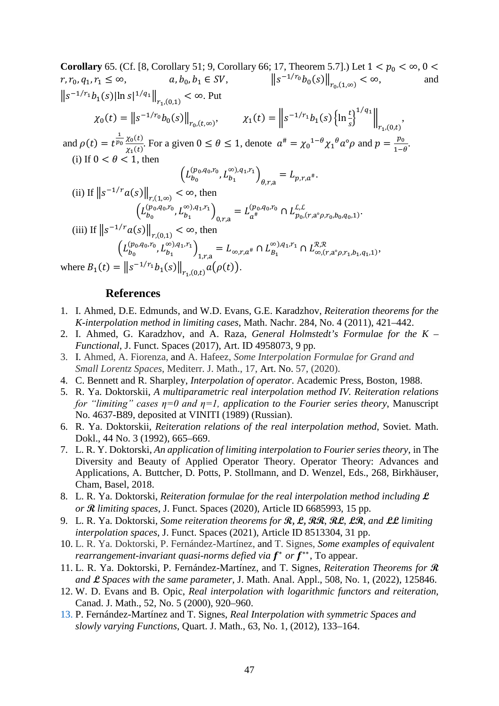**Corollary** 65. (Cf. [\[8,](#page-46-8) Corollary 51; [9,](#page-46-9) Corollary 66; [17,](#page-47-5) Theorem 5.7].) Let  $1 < p_0 < \infty$ ,  $0 <$  $r, r_0, q_1, r_1 \le \infty,$   $a, b_0, b_1 \in SV,$   $||s^{-1/r_0}b_0(s)||_{r_0,(1,\infty)} < \infty,$  and  $||s^{-1/r_1}b_1(s)||n s|^{1/q_1}||_{r_{1}(0,1)} < \infty$ . Put  $\chi_0(t) = ||s^{-1/r_0}b_0(s)||_{r_0,(t,\infty)}, \qquad \chi_1(t) = ||s^{-1/r_1}b_1(s)||_{\frac{1}{s}}$  $1/q_1$  $\mathbb I$  $r_{1}$ , $(0,t)$ , and  $\rho(t) = t^{\frac{1}{p_0}} \frac{\chi_0(t)}{\chi_1(t)}$  $\frac{\chi_0(t)}{\chi_1(t)}$ . For a given  $0 \le \theta \le 1$ , denote  $\alpha^{\#} = {\chi_0}^{1-\theta} {\chi_1}^{\theta} \alpha^{\circ} \rho$  and  $p = \frac{p_0}{1-\theta}$ . (i) If  $0 < \theta < 1$ , then  $\left(L_{b_0}^{(p_0,q_0,r_0},L_{b_1}^{\infty),q_1,r_1}\right)_{\theta,r,a}=L_{p,r,a^*}.$ (ii) If  $||s^{-1/r}a(s)||_{r,(1,\infty)} < \infty$ , then  $\left(L_{b_0}^{(p_0,q_0,r_0},L_{b_1}^{\infty),q_1,r_1}\right)_{0,r,a} = L_{a^{\#}}^{(p_0,q_0,r_0)} \cap L_{p_0,(r,a^{\circ} \rho,r_0,b_0,q_0,1)}^{L,L}.$ (iii) If  $||s^{-1/r}a(s)||_{r,(0,1)} < \infty$ , then  $\left(L_{b_0}^{(p_0,q_0,r_0},L_{b_1}^{\infty),q_1,r_1}\right)_{1,r,a} = L_{\infty,r,a^{\#}} \cap L_{B_1}^{\infty,0,q_1,r_1} \cap L_{\infty,(r,a^{\circ} \rho,r_1,b_1,q_1,1)}^{\mathcal{R},\mathcal{R}},$ where  $B_1(t) = ||s^{-1/r_1}b_1(s)||_{r_1,(0,t)} a(\rho(t)).$ 

**References**

- <span id="page-46-1"></span>1. I. Ahmed, D.E. Edmunds, and W.D. Evans, G.E. Karadzhov, *Reiteration theorems for the K-interpolation method in limiting cases*, Math. Nachr. 284, No. 4 (2011), 421–442.
- <span id="page-46-2"></span>2. I. Ahmed, G. Karadzhov, and A. Raza, *General Holmstedt's Formulae for the K – Functional*, J. Funct. Spaces (2017), Art. ID 4958073, 9 pp.
- <span id="page-46-3"></span>3. I. Ahmed, A. Fiorenza, and A. Hafeez, *Some Interpolation Formulae for Grand and Small Lorentz Spaces*, Mediterr. J. Math., 17, Art. No. 57, (2020).
- <span id="page-46-0"></span>4. C. Bennett and R. Sharpley, *Interpolation of operator*. Academic Press, Boston, 1988.
- <span id="page-46-4"></span>5. R. Ya. Doktorskii, *A multiparametric real interpolation method IV. Reiteration relations for "limiting" cases η=0 and η=1, application to the Fourier series theory*, Manuscript No. 4637-B89, deposited at VINITI (1989) (Russian).
- <span id="page-46-5"></span>6. R. Ya. Doktorskii, *Reiteration relations of the real interpolation method*, Soviet. Math. Dokl., 44 No. 3 (1992), 665–669.
- <span id="page-46-12"></span>7. L. R. Y. Doktorski, *An application of limiting interpolation to Fourier series theory*, in The Diversity and Beauty of Applied Operator Theory. Operator Theory: Advances and Applications, A. Buttcher, D. Potts, P. Stollmann, and D. Wenzel, Eds., 268, Birkhäuser, Cham, Basel, 2018.
- <span id="page-46-8"></span>8. L. R. Ya. Doktorski, *Reiteration formulae for the real interpolation method including* **L** *or* **R** *limiting spaces*, J. Funct. Spaces (2020), Article ID 6685993, 15 pp.
- <span id="page-46-9"></span>9. L. R. Ya. Doktorski, *Some reiteration theorems for* **R, L, RR**, **RL**, **LR**, *and* **LL** *limiting interpolation spaces*, J. Funct. Spaces (2021), Article ID 8513304, 31 pp.
- <span id="page-46-11"></span>10. L. R. Ya. Doktorski, P. Fernández-Martínez, and T. Signes, *Some examples of equivalent rearrangement-invariant quasi-norms defied via*  $f^*$  *or*  $f^{**}$ , To appear.
- <span id="page-46-10"></span>11. L. R. Ya. Doktorski, P. Fernández-Martínez, and T. Signes, *Reiteration Theorems for* **R** *and* **L** *Spaces with the same parameter*, J. Math. Anal. Appl., 508, No. 1, (2022), 125846.
- <span id="page-46-6"></span>12. W. D. Evans and B. Opic, *Real interpolation with logarithmic functors and reiteration*, Canad. J. Math., 52, No. 5 (2000), 920–960.
- <span id="page-46-7"></span>13. P. Fernández-Martínez and T. Signes, *Real Interpolation with symmetric Spaces and slowly varying Functions*, Quart. J. Math., 63, No. 1, (2012), 133–164.